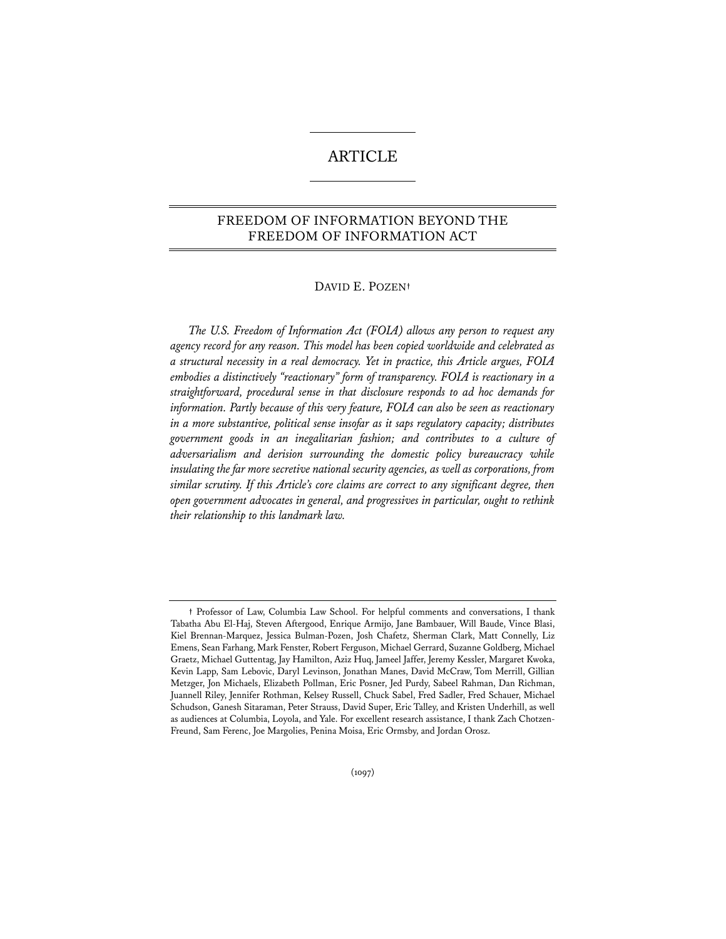# ARTICLE

# FREEDOM OF INFORMATION BEYOND THE FREEDOM OF INFORMATION ACT

# DAVID E. POZEN**†**

*The U.S. Freedom of Information Act (FOIA) allows any person to request any agency record for any reason. This model has been copied worldwide and celebrated as a structural necessity in a real democracy. Yet in practice, this Article argues, FOIA embodies a distinctively "reactionary" form of transparency. FOIA is reactionary in a straightforward, procedural sense in that disclosure responds to ad hoc demands for information. Partly because of this very feature, FOIA can also be seen as reactionary in a more substantive, political sense insofar as it saps regulatory capacity; distributes government goods in an inegalitarian fashion; and contributes to a culture of adversarialism and derision surrounding the domestic policy bureaucracy while*  insulating the far more secretive national security agencies, as well as corporations, from *similar scrutiny. If this Article's core claims are correct to any significant degree, then open government advocates in general, and progressives in particular, ought to rethink their relationship to this landmark law.* 

**<sup>†</sup>** Professor of Law, Columbia Law School. For helpful comments and conversations, I thank Tabatha Abu El-Haj, Steven Aftergood, Enrique Armijo, Jane Bambauer, Will Baude, Vince Blasi, Kiel Brennan-Marquez, Jessica Bulman-Pozen, Josh Chafetz, Sherman Clark, Matt Connelly, Liz Emens, Sean Farhang, Mark Fenster, Robert Ferguson, Michael Gerrard, Suzanne Goldberg, Michael Graetz, Michael Guttentag, Jay Hamilton, Aziz Huq, Jameel Jaffer, Jeremy Kessler, Margaret Kwoka, Kevin Lapp, Sam Lebovic, Daryl Levinson, Jonathan Manes, David McCraw, Tom Merrill, Gillian Metzger, Jon Michaels, Elizabeth Pollman, Eric Posner, Jed Purdy, Sabeel Rahman, Dan Richman, Juannell Riley, Jennifer Rothman, Kelsey Russell, Chuck Sabel, Fred Sadler, Fred Schauer, Michael Schudson, Ganesh Sitaraman, Peter Strauss, David Super, Eric Talley, and Kristen Underhill, as well as audiences at Columbia, Loyola, and Yale. For excellent research assistance, I thank Zach Chotzen-Freund, Sam Ferenc, Joe Margolies, Penina Moisa, Eric Ormsby, and Jordan Orosz.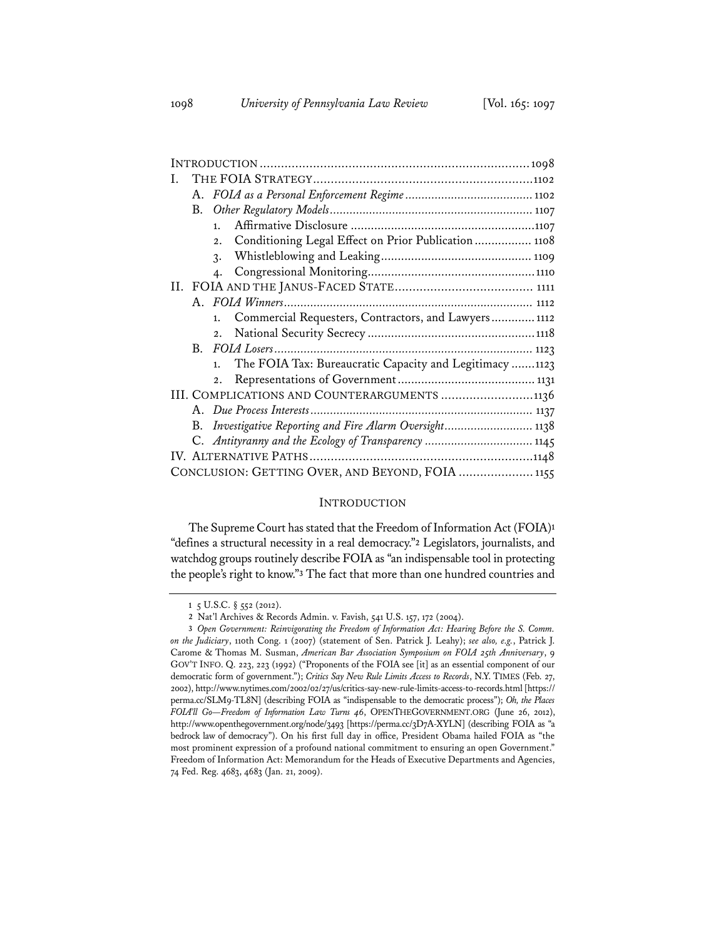| L                                                             |
|---------------------------------------------------------------|
|                                                               |
|                                                               |
| 1.                                                            |
| Conditioning Legal Effect on Prior Publication  1108<br>2.    |
| $\mathcal{R}$ .                                               |
| $\mathbf{4}$ .                                                |
|                                                               |
|                                                               |
| Commercial Requesters, Contractors, and Lawyers 1112<br>1.    |
| 2.                                                            |
|                                                               |
| The FOIA Tax: Bureaucratic Capacity and Legitimacy 1123<br>1. |
| 2.                                                            |
| III. COMPLICATIONS AND COUNTERARGUMENTS 1136                  |
|                                                               |
| Investigative Reporting and Fire Alarm Oversight 1138<br>В.   |
| C. Antityranny and the Ecology of Transparency  1145          |
|                                                               |
| CONCLUSION: GETTING OVER, AND BEYOND, FOIA  1155              |

# INTRODUCTION

The Supreme Court has stated that the Freedom of Information Act (FOIA)**<sup>1</sup>** "defines a structural necessity in a real democracy."**<sup>2</sup>** Legislators, journalists, and watchdog groups routinely describe FOIA as "an indispensable tool in protecting the people's right to know."**<sup>3</sup>** The fact that more than one hundred countries and

**<sup>1</sup>** 5 U.S.C. § 552 (2012).

**<sup>2</sup>** Nat'l Archives & Records Admin. v. Favish, 541 U.S. 157, 172 (2004).

**<sup>3</sup>** *Open Government: Reinvigorating the Freedom of Information Act: Hearing Before the S. Comm. on the Judiciary*, 110th Cong. 1 (2007) (statement of Sen. Patrick J. Leahy); *see also, e.g.*, Patrick J. Carome & Thomas M. Susman, *American Bar Association Symposium on FOIA 25th Anniversary*, 9 GOV'T INFO. Q. 223, 223 (1992) ("Proponents of the FOIA see [it] as an essential component of our democratic form of government."); *Critics Say New Rule Limits Access to Records*, N.Y. TIMES (Feb. 27, 2002), http://www.nytimes.com/2002/02/27/us/critics-say-new-rule-limits-access-to-records.html [https:// perma.cc/SLM9-TL8N] (describing FOIA as "indispensable to the democratic process"); *Oh, the Places FOIA'll Go—Freedom of Information Law Turns 46*, OPENTHEGOVERNMENT.ORG (June 26, 2012), http://www.openthegovernment.org/node/3493 [https://perma.cc/3D7A-XYLN] (describing FOIA as "a bedrock law of democracy"). On his first full day in office, President Obama hailed FOIA as "the most prominent expression of a profound national commitment to ensuring an open Government." Freedom of Information Act: Memorandum for the Heads of Executive Departments and Agencies, 74 Fed. Reg. 4683, 4683 (Jan. 21, 2009).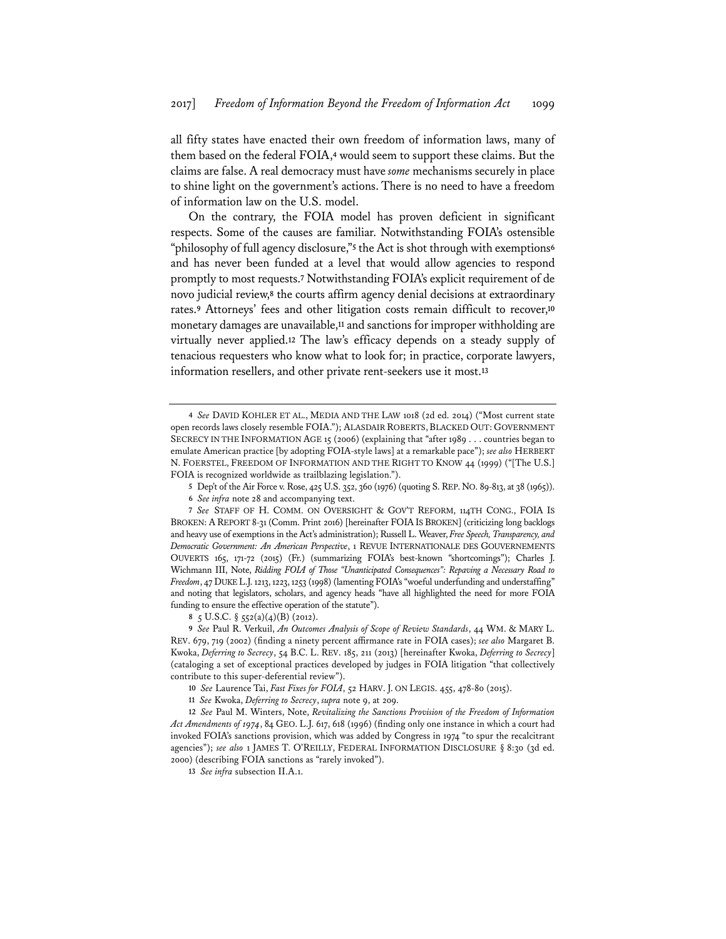all fifty states have enacted their own freedom of information laws, many of them based on the federal FOIA,**<sup>4</sup>** would seem to support these claims. But the claims are false. A real democracy must have *some* mechanisms securely in place to shine light on the government's actions. There is no need to have a freedom of information law on the U.S. model.

On the contrary, the FOIA model has proven deficient in significant respects. Some of the causes are familiar. Notwithstanding FOIA's ostensible "philosophy of full agency disclosure,"**<sup>5</sup>** the Act is shot through with exemptions**<sup>6</sup>** and has never been funded at a level that would allow agencies to respond promptly to most requests.**<sup>7</sup>** Notwithstanding FOIA's explicit requirement of de novo judicial review,**<sup>8</sup>** the courts affirm agency denial decisions at extraordinary rates.**<sup>9</sup>** Attorneys' fees and other litigation costs remain difficult to recover,**<sup>10</sup>** monetary damages are unavailable,**<sup>11</sup>** and sanctions for improper withholding are virtually never applied.**<sup>12</sup>** The law's efficacy depends on a steady supply of tenacious requesters who know what to look for; in practice, corporate lawyers, information resellers, and other private rent-seekers use it most.**<sup>13</sup>**

**8** 5 U.S.C. § 552(a)(4)(B) (2012).

**9** *See* Paul R. Verkuil, *An Outcomes Analysis of Scope of Review Standards*, 44 WM. & MARY L. REV. 679, 719 (2002) (finding a ninety percent affirmance rate in FOIA cases); *see also* Margaret B. Kwoka, *Deferring to Secrecy*, 54 B.C. L. REV. 185, 211 (2013) [hereinafter Kwoka, *Deferring to Secrecy*] (cataloging a set of exceptional practices developed by judges in FOIA litigation "that collectively contribute to this super-deferential review").

**10** *See* Laurence Tai, *Fast Fixes for FOIA*, 52 HARV. J. ON LEGIS. 455, 478-80 (2015).

**11** *See* Kwoka, *Deferring to Secrecy*, *supra* note 9, at 209.

**12** *See* Paul M. Winters, Note, *Revitalizing the Sanctions Provision of the Freedom of Information Act Amendments of 1974*, 84 GEO. L.J. 617, 618 (1996) (finding only one instance in which a court had invoked FOIA's sanctions provision, which was added by Congress in 1974 "to spur the recalcitrant agencies"); *see also* 1 JAMES T. O'REILLY, FEDERAL INFORMATION DISCLOSURE § 8:30 (3d ed. 2000) (describing FOIA sanctions as "rarely invoked").

**13** *See infra* subsection II.A.1.

**<sup>4</sup>** *See* DAVID KOHLER ET AL., MEDIA AND THE LAW 1018 (2d ed. 2014) ("Most current state open records laws closely resemble FOIA."); ALASDAIR ROBERTS, BLACKED OUT: GOVERNMENT SECRECY IN THE INFORMATION AGE 15 (2006) (explaining that "after 1989 . . . countries began to emulate American practice [by adopting FOIA-style laws] at a remarkable pace"); *see also* HERBERT N. FOERSTEL, FREEDOM OF INFORMATION AND THE RIGHT TO KNOW 44 (1999) ("[The U.S.] FOIA is recognized worldwide as trailblazing legislation.").

**<sup>5</sup>** Dep't of the Air Force v. Rose, 425 U.S. 352, 360 (1976) (quoting S.REP. NO. 89-813, at 38 (1965)).

**<sup>6</sup>** *See infra* note 28 and accompanying text.

**<sup>7</sup>** *See* STAFF OF H. COMM. ON OVERSIGHT & GOV'T REFORM, 114TH CONG., FOIA IS BROKEN: A REPORT 8-31 (Comm. Print 2016) [hereinafter FOIA IS BROKEN] (criticizing long backlogs and heavy use of exemptions in the Act's administration); Russell L. Weaver, *Free Speech, Transparency, and Democratic Government: An American Perspective*, 1 REVUE INTERNATIONALE DES GOUVERNEMENTS OUVERTS 165, 171-72 (2015) (Fr.) (summarizing FOIA's best-known "shortcomings"); Charles J. Wichmann III, Note, *Ridding FOIA of Those "Unanticipated Consequences": Repaving a Necessary Road to Freedom*, 47 DUKE L.J. 1213, 1223, 1253 (1998) (lamenting FOIA's "woeful underfunding and understaffing" and noting that legislators, scholars, and agency heads "have all highlighted the need for more FOIA funding to ensure the effective operation of the statute").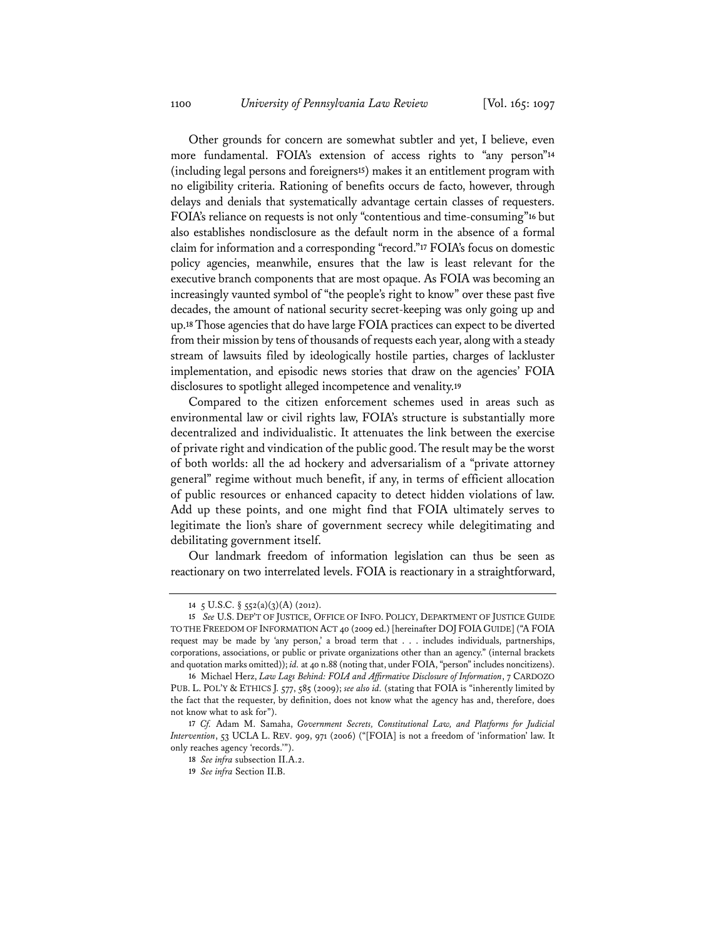Other grounds for concern are somewhat subtler and yet, I believe, even more fundamental. FOIA's extension of access rights to "any person"**<sup>14</sup>** (including legal persons and foreigners**<sup>15</sup>**) makes it an entitlement program with no eligibility criteria. Rationing of benefits occurs de facto, however, through delays and denials that systematically advantage certain classes of requesters. FOIA's reliance on requests is not only "contentious and time-consuming"**<sup>16</sup>** but also establishes nondisclosure as the default norm in the absence of a formal claim for information and a corresponding "record."**<sup>17</sup>** FOIA's focus on domestic policy agencies, meanwhile, ensures that the law is least relevant for the executive branch components that are most opaque. As FOIA was becoming an increasingly vaunted symbol of "the people's right to know" over these past five decades, the amount of national security secret-keeping was only going up and up.**<sup>18</sup>** Those agencies that do have large FOIA practices can expect to be diverted from their mission by tens of thousands of requests each year, along with a steady stream of lawsuits filed by ideologically hostile parties, charges of lackluster implementation, and episodic news stories that draw on the agencies' FOIA disclosures to spotlight alleged incompetence and venality.**<sup>19</sup>**

Compared to the citizen enforcement schemes used in areas such as environmental law or civil rights law, FOIA's structure is substantially more decentralized and individualistic. It attenuates the link between the exercise of private right and vindication of the public good. The result may be the worst of both worlds: all the ad hockery and adversarialism of a "private attorney general" regime without much benefit, if any, in terms of efficient allocation of public resources or enhanced capacity to detect hidden violations of law. Add up these points, and one might find that FOIA ultimately serves to legitimate the lion's share of government secrecy while delegitimating and debilitating government itself.

Our landmark freedom of information legislation can thus be seen as reactionary on two interrelated levels. FOIA is reactionary in a straightforward,

**<sup>14</sup>** 5 U.S.C. § 552(a)(3)(A) (2012).

**<sup>15</sup>** *See* U.S. DEP'T OF JUSTICE, OFFICE OF INFO. POLICY, DEPARTMENT OF JUSTICE GUIDE TO THE FREEDOM OF INFORMATION ACT 40 (2009 ed.) [hereinafter DOJ FOIA GUIDE] ("A FOIA request may be made by 'any person,' a broad term that . . . includes individuals, partnerships, corporations, associations, or public or private organizations other than an agency." (internal brackets and quotation marks omitted)); *id.* at 40 n.88 (noting that, under FOIA, "person" includes noncitizens).

**<sup>16</sup>** Michael Herz, *Law Lags Behind: FOIA and Affirmative Disclosure of Information*, 7 CARDOZO PUB. L. POL'Y & ETHICS J. 577, 585 (2009); *see also id.* (stating that FOIA is "inherently limited by the fact that the requester, by definition, does not know what the agency has and, therefore, does not know what to ask for").

**<sup>17</sup>** *Cf.* Adam M. Samaha, *Government Secrets, Constitutional Law, and Platforms for Judicial Intervention*, 53 UCLA L. REV. 909, 971 (2006) ("[FOIA] is not a freedom of 'information' law. It only reaches agency 'records.'").

**<sup>18</sup>** *See infra* subsection II.A.2.

**<sup>19</sup>** *See infra* Section II.B.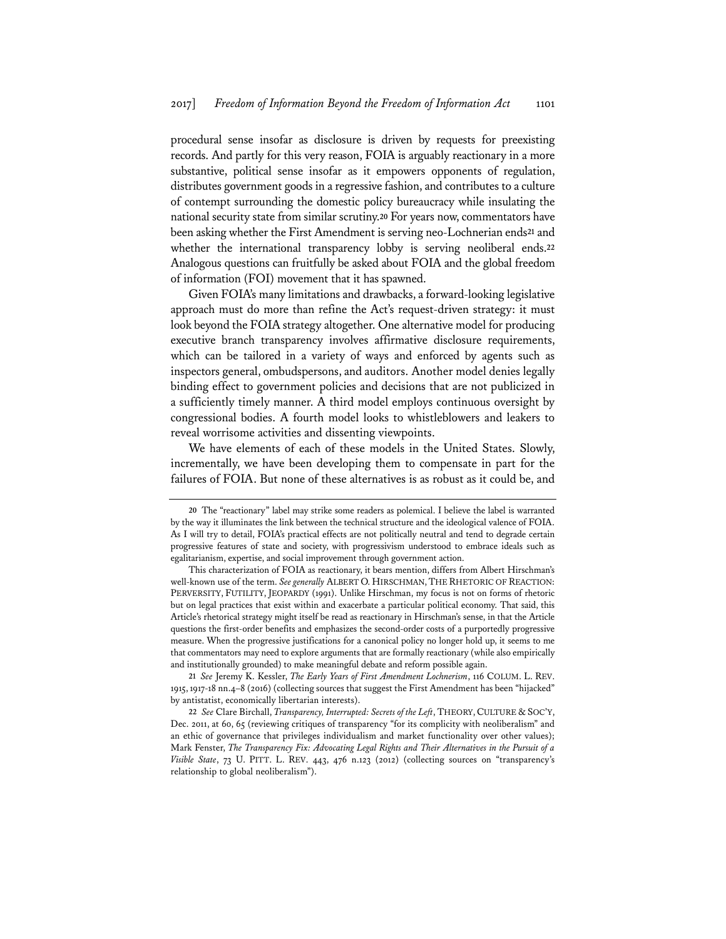procedural sense insofar as disclosure is driven by requests for preexisting records. And partly for this very reason, FOIA is arguably reactionary in a more substantive, political sense insofar as it empowers opponents of regulation, distributes government goods in a regressive fashion, and contributes to a culture of contempt surrounding the domestic policy bureaucracy while insulating the national security state from similar scrutiny.**<sup>20</sup>** For years now, commentators have been asking whether the First Amendment is serving neo-Lochnerian ends**<sup>21</sup>** and whether the international transparency lobby is serving neoliberal ends.**<sup>22</sup>** Analogous questions can fruitfully be asked about FOIA and the global freedom of information (FOI) movement that it has spawned.

Given FOIA's many limitations and drawbacks, a forward-looking legislative approach must do more than refine the Act's request-driven strategy: it must look beyond the FOIA strategy altogether. One alternative model for producing executive branch transparency involves affirmative disclosure requirements, which can be tailored in a variety of ways and enforced by agents such as inspectors general, ombudspersons, and auditors. Another model denies legally binding effect to government policies and decisions that are not publicized in a sufficiently timely manner. A third model employs continuous oversight by congressional bodies. A fourth model looks to whistleblowers and leakers to reveal worrisome activities and dissenting viewpoints.

We have elements of each of these models in the United States. Slowly, incrementally, we have been developing them to compensate in part for the failures of FOIA. But none of these alternatives is as robust as it could be, and

**<sup>20</sup>** The "reactionary" label may strike some readers as polemical. I believe the label is warranted by the way it illuminates the link between the technical structure and the ideological valence of FOIA. As I will try to detail, FOIA's practical effects are not politically neutral and tend to degrade certain progressive features of state and society, with progressivism understood to embrace ideals such as egalitarianism, expertise, and social improvement through government action.

This characterization of FOIA as reactionary, it bears mention, differs from Albert Hirschman's well-known use of the term. *See generally* ALBERT O. HIRSCHMAN, THE RHETORIC OF REACTION: PERVERSITY, FUTILITY, JEOPARDY (1991). Unlike Hirschman, my focus is not on forms of rhetoric but on legal practices that exist within and exacerbate a particular political economy. That said, this Article's rhetorical strategy might itself be read as reactionary in Hirschman's sense, in that the Article questions the first-order benefits and emphasizes the second-order costs of a purportedly progressive measure. When the progressive justifications for a canonical policy no longer hold up, it seems to me that commentators may need to explore arguments that are formally reactionary (while also empirically and institutionally grounded) to make meaningful debate and reform possible again.

**<sup>21</sup>** *See* Jeremy K. Kessler, *The Early Years of First Amendment Lochnerism*, 116 COLUM. L. REV. 1915, 1917-18 nn.4–8 (2016) (collecting sources that suggest the First Amendment has been "hijacked" by antistatist, economically libertarian interests).

**<sup>22</sup>** *See* Clare Birchall, *Transparency, Interrupted: Secrets of the Left*, THEORY,CULTURE & SOC'Y, Dec. 2011, at 60, 65 (reviewing critiques of transparency "for its complicity with neoliberalism" and an ethic of governance that privileges individualism and market functionality over other values); Mark Fenster, *The Transparency Fix: Advocating Legal Rights and Their Alternatives in the Pursuit of a Visible State*, 73 U. PITT. L. REV. 443, 476 n.123 (2012) (collecting sources on "transparency's relationship to global neoliberalism").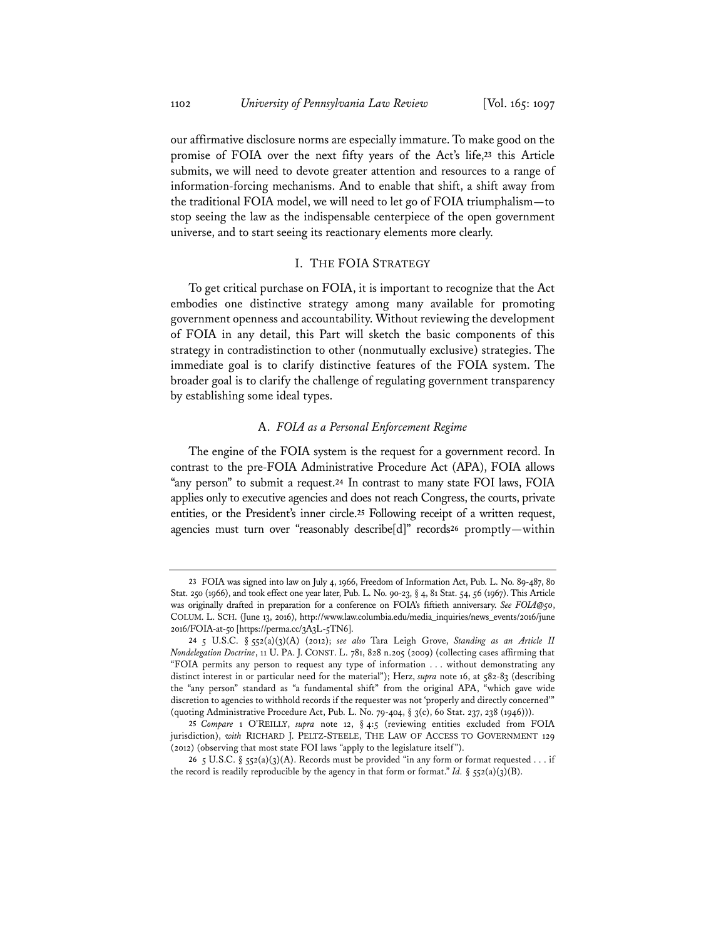our affirmative disclosure norms are especially immature. To make good on the promise of FOIA over the next fifty years of the Act's life,**<sup>23</sup>** this Article submits, we will need to devote greater attention and resources to a range of information-forcing mechanisms. And to enable that shift, a shift away from the traditional FOIA model, we will need to let go of FOIA triumphalism—to stop seeing the law as the indispensable centerpiece of the open government universe, and to start seeing its reactionary elements more clearly.

# I. THE FOIA STRATEGY

To get critical purchase on FOIA, it is important to recognize that the Act embodies one distinctive strategy among many available for promoting government openness and accountability. Without reviewing the development of FOIA in any detail, this Part will sketch the basic components of this strategy in contradistinction to other (nonmutually exclusive) strategies. The immediate goal is to clarify distinctive features of the FOIA system. The broader goal is to clarify the challenge of regulating government transparency by establishing some ideal types.

#### A. *FOIA as a Personal Enforcement Regime*

The engine of the FOIA system is the request for a government record. In contrast to the pre-FOIA Administrative Procedure Act (APA), FOIA allows "any person" to submit a request.**<sup>24</sup>** In contrast to many state FOI laws, FOIA applies only to executive agencies and does not reach Congress, the courts, private entities, or the President's inner circle.**<sup>25</sup>** Following receipt of a written request, agencies must turn over "reasonably describe[d]" records**<sup>26</sup>** promptly—within

**<sup>23</sup>** FOIA was signed into law on July 4, 1966, Freedom of Information Act, Pub. L. No. 89-487, 80 Stat. 250 (1966), and took effect one year later, Pub. L. No. 90-23, § 4, 81 Stat. 54, 56 (1967). This Article was originally drafted in preparation for a conference on FOIA's fiftieth anniversary. *See FOIA@50*, COLUM. L. SCH. (June 13, 2016), http://www.law.columbia.edu/media\_inquiries/news\_events/2016/june 2016/FOIA-at-50 [https://perma.cc/3A3L-5TN6].

**<sup>24</sup>** 5 U.S.C. § 552(a)(3)(A) (2012); *see also* Tara Leigh Grove, *Standing as an Article II Nondelegation Doctrine*, 11 U. PA. J. CONST. L. 781, 828 n.205 (2009) (collecting cases affirming that "FOIA permits any person to request any type of information . . . without demonstrating any distinct interest in or particular need for the material"); Herz, *supra* note 16, at 582-83 (describing the "any person" standard as "a fundamental shift" from the original APA, "which gave wide discretion to agencies to withhold records if the requester was not 'properly and directly concerned'" (quoting Administrative Procedure Act, Pub. L. No. 79-404, § 3(c), 60 Stat. 237, 238 (1946))).

**<sup>25</sup>** *Compare* 1 O'REILLY, *supra* note 12, § 4:5 (reviewing entities excluded from FOIA jurisdiction), *with* RICHARD J. PELTZ-STEELE, THE LAW OF ACCESS TO GOVERNMENT 129 (2012) (observing that most state FOI laws "apply to the legislature itself").

<sup>26 5</sup> U.S.C. §  $52(a)(3)(A)$ . Records must be provided "in any form or format requested . . . if the record is readily reproducible by the agency in that form or format." *Id.* §  $552(a)(3)(B)$ .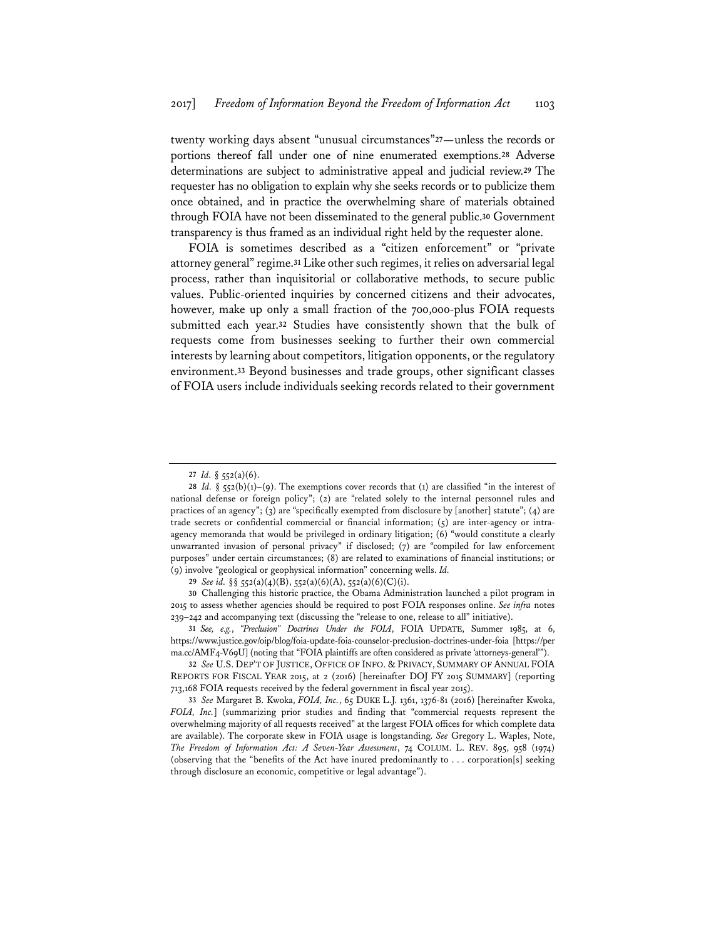twenty working days absent "unusual circumstances"**<sup>27</sup>**—unless the records or portions thereof fall under one of nine enumerated exemptions.**<sup>28</sup>** Adverse determinations are subject to administrative appeal and judicial review.**<sup>29</sup>** The requester has no obligation to explain why she seeks records or to publicize them once obtained, and in practice the overwhelming share of materials obtained through FOIA have not been disseminated to the general public.**<sup>30</sup>** Government transparency is thus framed as an individual right held by the requester alone.

FOIA is sometimes described as a "citizen enforcement" or "private attorney general" regime.**<sup>31</sup>** Like other such regimes, it relies on adversarial legal process, rather than inquisitorial or collaborative methods, to secure public values. Public-oriented inquiries by concerned citizens and their advocates, however, make up only a small fraction of the 700,000-plus FOIA requests submitted each year.**<sup>32</sup>** Studies have consistently shown that the bulk of requests come from businesses seeking to further their own commercial interests by learning about competitors, litigation opponents, or the regulatory environment.**<sup>33</sup>** Beyond businesses and trade groups, other significant classes of FOIA users include individuals seeking records related to their government

**30** Challenging this historic practice, the Obama Administration launched a pilot program in 2015 to assess whether agencies should be required to post FOIA responses online. *See infra* notes 239–242 and accompanying text (discussing the "release to one, release to all" initiative).

**31** *See, e.g.*, *"Preclusion" Doctrines Under the FOIA*, FOIA UPDATE, Summer 1985, at 6, https://www.justice.gov/oip/blog/foia-update-foia-counselor-preclusion-doctrines-under-foia [https://per ma.cc/AMF4-V69U] (noting that "FOIA plaintiffs are often considered as private 'attorneys-general'").

**32** *See* U.S. DEP'T OF JUSTICE, OFFICE OF INFO. & PRIVACY, SUMMARY OF ANNUAL FOIA REPORTS FOR FISCAL YEAR 2015, at 2 (2016) [hereinafter DOJ FY 2015 SUMMARY] (reporting 713,168 FOIA requests received by the federal government in fiscal year 2015).

**33** *See* Margaret B. Kwoka, *FOIA, Inc.*, 65 DUKE L.J. 1361, 1376-81 (2016) [hereinafter Kwoka, *FOIA, Inc.*] (summarizing prior studies and finding that "commercial requests represent the overwhelming majority of all requests received" at the largest FOIA offices for which complete data are available). The corporate skew in FOIA usage is longstanding. *See* Gregory L. Waples, Note, *The Freedom of Information Act: A Seven-Year Assessment*, 74 COLUM. L. REV. 895, 958 (1974) (observing that the "benefits of the Act have inured predominantly to . . . corporation[s] seeking through disclosure an economic, competitive or legal advantage").

**<sup>27</sup>** *Id.* § 552(a)(6).

<sup>28</sup> *Id.* § 552(b)(1)–(9). The exemptions cover records that (1) are classified "in the interest of national defense or foreign policy"; (2) are "related solely to the internal personnel rules and practices of an agency"; (3) are "specifically exempted from disclosure by [another] statute"; (4) are trade secrets or confidential commercial or financial information;  $(5)$  are inter-agency or intraagency memoranda that would be privileged in ordinary litigation; (6) "would constitute a clearly unwarranted invasion of personal privacy" if disclosed; (7) are "compiled for law enforcement purposes" under certain circumstances; (8) are related to examinations of financial institutions; or (9) involve "geological or geophysical information" concerning wells. *Id.*

**<sup>29</sup>** *See id.* §§ 552(a)(4)(B), 552(a)(6)(A), 552(a)(6)(C)(i).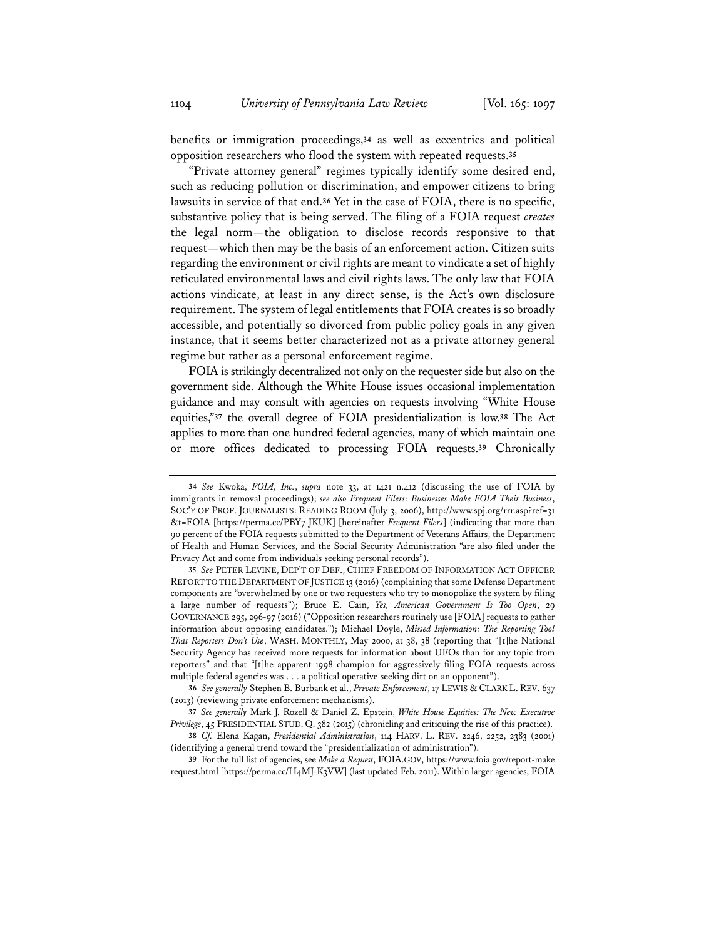benefits or immigration proceedings,**<sup>34</sup>** as well as eccentrics and political opposition researchers who flood the system with repeated requests.**<sup>35</sup>**

"Private attorney general" regimes typically identify some desired end, such as reducing pollution or discrimination, and empower citizens to bring lawsuits in service of that end.**<sup>36</sup>** Yet in the case of FOIA, there is no specific, substantive policy that is being served. The filing of a FOIA request *creates* the legal norm—the obligation to disclose records responsive to that request—which then may be the basis of an enforcement action. Citizen suits regarding the environment or civil rights are meant to vindicate a set of highly reticulated environmental laws and civil rights laws. The only law that FOIA actions vindicate, at least in any direct sense, is the Act's own disclosure requirement. The system of legal entitlements that FOIA creates is so broadly accessible, and potentially so divorced from public policy goals in any given instance, that it seems better characterized not as a private attorney general regime but rather as a personal enforcement regime.

FOIA is strikingly decentralized not only on the requester side but also on the government side. Although the White House issues occasional implementation guidance and may consult with agencies on requests involving "White House equities,"**<sup>37</sup>** the overall degree of FOIA presidentialization is low.**<sup>38</sup>** The Act applies to more than one hundred federal agencies, many of which maintain one or more offices dedicated to processing FOIA requests.**<sup>39</sup>** Chronically

**<sup>34</sup>** *See* Kwoka, *FOIA, Inc.*, *supra* note 33, at 1421 n.412 (discussing the use of FOIA by immigrants in removal proceedings); *see also Frequent Filers: Businesses Make FOIA Their Business*, SOC'Y OF PROF. JOURNALISTS: READING ROOM (July 3, 2006), http://www.spj.org/rrr.asp?ref=31 &t=FOIA [https://perma.cc/PBY7-JKUK] [hereinafter *Frequent Filers*] (indicating that more than 90 percent of the FOIA requests submitted to the Department of Veterans Affairs, the Department of Health and Human Services, and the Social Security Administration "are also filed under the Privacy Act and come from individuals seeking personal records").

**<sup>35</sup>** *See* PETER LEVINE, DEP'T OF DEF., CHIEF FREEDOM OF INFORMATION ACT OFFICER REPORT TO THE DEPARTMENT OF JUSTICE 13 (2016) (complaining that some Defense Department components are "overwhelmed by one or two requesters who try to monopolize the system by filing a large number of requests"); Bruce E. Cain, *Yes, American Government Is Too Open*, 29 GOVERNANCE 295, 296-97 (2016) ("Opposition researchers routinely use [FOIA] requests to gather information about opposing candidates."); Michael Doyle, *Missed Information: The Reporting Tool That Reporters Don't Use*, WASH. MONTHLY, May 2000, at 38, 38 (reporting that "[t]he National Security Agency has received more requests for information about UFOs than for any topic from reporters" and that "[t]he apparent 1998 champion for aggressively filing FOIA requests across multiple federal agencies was . . . a political operative seeking dirt on an opponent").

**<sup>36</sup>** *See generally* Stephen B. Burbank et al., *Private Enforcement*, 17 LEWIS & CLARK L. REV. 637 (2013) (reviewing private enforcement mechanisms).

**<sup>37</sup>** *See generally* Mark J. Rozell & Daniel Z. Epstein, *White House Equities: The New Executive Privilege*, 45 PRESIDENTIAL STUD. Q. 382 (2015) (chronicling and critiquing the rise of this practice).

**<sup>38</sup>** *Cf.* Elena Kagan, *Presidential Administration*, 114 HARV. L. REV. 2246, 2252, 2383 (2001) (identifying a general trend toward the "presidentialization of administration").

**<sup>39</sup>** For the full list of agencies, see *Make a Request*, FOIA.GOV, https://www.foia.gov/report-make request.html [https://perma.cc/H4MJ-K3VW] (last updated Feb. 2011). Within larger agencies, FOIA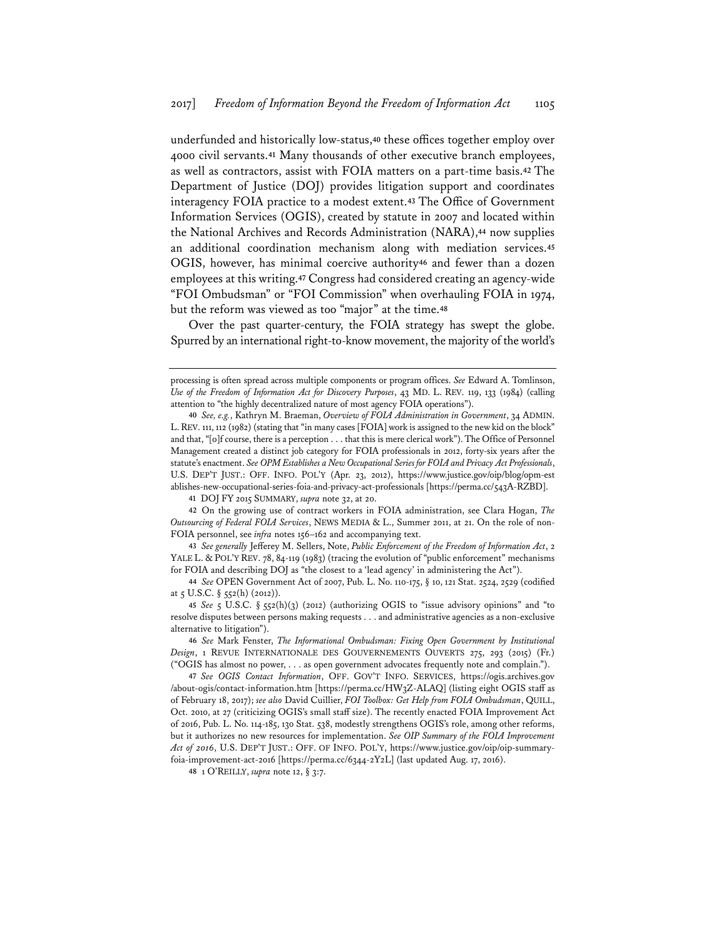underfunded and historically low-status,**<sup>40</sup>** these offices together employ over 4000 civil servants.**<sup>41</sup>** Many thousands of other executive branch employees, as well as contractors, assist with FOIA matters on a part-time basis.**<sup>42</sup>** The Department of Justice (DOJ) provides litigation support and coordinates interagency FOIA practice to a modest extent.**<sup>43</sup>** The Office of Government Information Services (OGIS), created by statute in 2007 and located within the National Archives and Records Administration (NARA),**<sup>44</sup>** now supplies an additional coordination mechanism along with mediation services.**<sup>45</sup>** OGIS, however, has minimal coercive authority**<sup>46</sup>** and fewer than a dozen employees at this writing.**<sup>47</sup>** Congress had considered creating an agency-wide "FOI Ombudsman" or "FOI Commission" when overhauling FOIA in 1974, but the reform was viewed as too "major" at the time.**<sup>48</sup>**

Over the past quarter-century, the FOIA strategy has swept the globe. Spurred by an international right-to-know movement, the majority of the world's

**48** 1 O'REILLY, *supra* note 12, § 3:7.

processing is often spread across multiple components or program offices. *See* Edward A. Tomlinson, *Use of the Freedom of Information Act for Discovery Purposes*, 43 MD. L. REV. 119, 133 (1984) (calling attention to "the highly decentralized nature of most agency FOIA operations").

**<sup>40</sup>** *See, e.g.*, Kathryn M. Braeman, *Overview of FOIA Administration in Government*, 34 ADMIN. L.REV. 111, 112 (1982) (stating that "in many cases [FOIA] work is assigned to the new kid on the block" and that, "[o]f course, there is a perception . . . that this is mere clerical work"). The Office of Personnel Management created a distinct job category for FOIA professionals in 2012, forty-six years after the statute's enactment. *See OPM Establishes a New Occupational Series for FOIA and Privacy Act Professionals*, U.S. DEP'T JUST.: OFF. INFO. POL'Y (Apr. 23, 2012), https://www.justice.gov/oip/blog/opm-est ablishes-new-occupational-series-foia-and-privacy-act-professionals [https://perma.cc/543A-RZBD].

**<sup>41</sup>** DOJ FY 2015 SUMMARY, *supra* note 32, at 20.

**<sup>42</sup>** On the growing use of contract workers in FOIA administration, see Clara Hogan, *The Outsourcing of Federal FOIA Services*, NEWS MEDIA & L., Summer 2011, at 21. On the role of non-FOIA personnel, see *infra* notes 156–162 and accompanying text.

**<sup>43</sup>** *See generally* Jefferey M. Sellers, Note, *Public Enforcement of the Freedom of Information Act*, 2 YALE L. & POL'Y REV. 78, 84-119 (1983) (tracing the evolution of "public enforcement" mechanisms for FOIA and describing DOJ as "the closest to a 'lead agency' in administering the Act").

**<sup>44</sup>** *See* OPEN Government Act of 2007, Pub. L. No. 110-175, § 10, 121 Stat. 2524, 2529 (codified at  $\zeta$  U.S.C.  $\S$   $\zeta$   $\zeta$ 2(h) (2012)).

**<sup>45</sup>** *See* 5 U.S.C. § 552(h)(3) (2012) (authorizing OGIS to "issue advisory opinions" and "to resolve disputes between persons making requests . . . and administrative agencies as a non-exclusive alternative to litigation").

**<sup>46</sup>** *See* Mark Fenster, *The Informational Ombudsman: Fixing Open Government by Institutional Design*, 1 REVUE INTERNATIONALE DES GOUVERNEMENTS OUVERTS 275, 293 (2015) (Fr.) ("OGIS has almost no power, . . . as open government advocates frequently note and complain.").

**<sup>47</sup>** *See OGIS Contact Information*, OFF. GOV'T INFO. SERVICES, https://ogis.archives.gov /about-ogis/contact-information.htm [https://perma.cc/HW3Z-ALAQ] (listing eight OGIS staff as of February 18, 2017); *see also* David Cuillier, *FOI Toolbox: Get Help from FOIA Ombudsman*, QUILL, Oct. 2010, at 27 (criticizing OGIS's small staff size). The recently enacted FOIA Improvement Act of 2016, Pub. L. No. 114-185, 130 Stat. 538, modestly strengthens OGIS's role, among other reforms, but it authorizes no new resources for implementation. *See OIP Summary of the FOIA Improvement Act of 2016*, U.S. DEP'T JUST.: OFF. OF INFO. POL'Y, https://www.justice.gov/oip/oip-summaryfoia-improvement-act-2016 [https://perma.cc/6344-2Y2L] (last updated Aug. 17, 2016).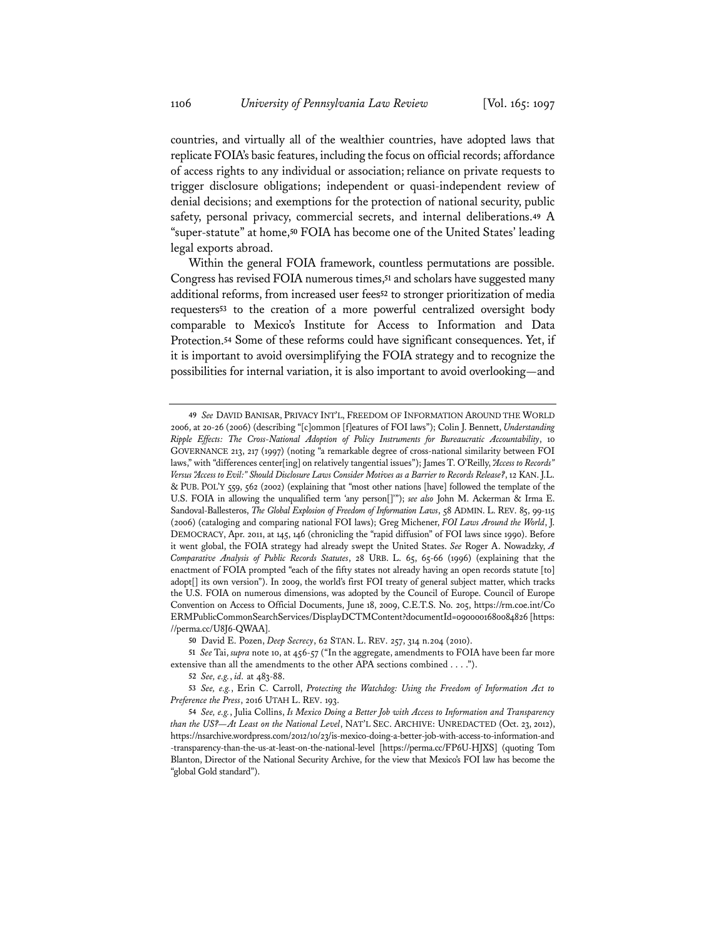countries, and virtually all of the wealthier countries, have adopted laws that replicate FOIA's basic features, including the focus on official records; affordance of access rights to any individual or association;reliance on private requests to trigger disclosure obligations; independent or quasi-independent review of denial decisions; and exemptions for the protection of national security, public safety, personal privacy, commercial secrets, and internal deliberations.**<sup>49</sup>** A "super-statute" at home,**<sup>50</sup>** FOIA has become one of the United States' leading legal exports abroad.

Within the general FOIA framework, countless permutations are possible. Congress has revised FOIA numerous times,**<sup>51</sup>** and scholars have suggested many additional reforms, from increased user fees**<sup>52</sup>** to stronger prioritization of media requesters**<sup>53</sup>** to the creation of a more powerful centralized oversight body comparable to Mexico's Institute for Access to Information and Data Protection.**<sup>54</sup>** Some of these reforms could have significant consequences. Yet, if it is important to avoid oversimplifying the FOIA strategy and to recognize the possibilities for internal variation, it is also important to avoid overlooking—and

**50** David E. Pozen, *Deep Secrecy*, 62 STAN. L. REV. 257, 314 n.204 (2010).

**51** *See* Tai, *supra* note 10, at 456-57 ("In the aggregate, amendments to FOIA have been far more extensive than all the amendments to the other APA sections combined . . . .").

**52** *See, e.g.*, *id.* at 483-88.

**53** *See, e.g.*, Erin C. Carroll, *Protecting the Watchdog: Using the Freedom of Information Act to Preference the Press*, 2016 UTAH L. REV. 193.

**<sup>49</sup>** *See* DAVID BANISAR, PRIVACY INT'L, FREEDOM OF INFORMATION AROUND THE WORLD 2006, at 20-26 (2006) (describing "[c]ommon [f]eatures of FOI laws"); Colin J. Bennett, *Understanding Ripple Effects: The Cross-National Adoption of Policy Instruments for Bureaucratic Accountability*, 10 GOVERNANCE 213, 217 (1997) (noting "a remarkable degree of cross-national similarity between FOI laws," with "differences center[ing] on relatively tangential issues"); James T. O'Reilly, *"Access to Records" Versus "Access to Evil:" Should Disclosure Laws Consider Motives as a Barrier to Records Release?*, 12 KAN.J.L. & PUB. POL'Y 559, 562 (2002) (explaining that "most other nations [have] followed the template of the U.S. FOIA in allowing the unqualified term 'any person[]'"); *see also* John M. Ackerman & Irma E. Sandoval-Ballesteros, *The Global Explosion of Freedom of Information Laws*, 58 ADMIN. L. REV. 85, 99-115 (2006) (cataloging and comparing national FOI laws); Greg Michener, *FOI Laws Around the World*, J. DEMOCRACY, Apr. 2011, at 145, 146 (chronicling the "rapid diffusion" of FOI laws since 1990). Before it went global, the FOIA strategy had already swept the United States. *See* Roger A. Nowadzky, *A Comparative Analysis of Public Records Statutes*, 28 URB. L. 65, 65-66 (1996) (explaining that the enactment of FOIA prompted "each of the fifty states not already having an open records statute [to] adopt[] its own version"). In 2009, the world's first FOI treaty of general subject matter, which tracks the U.S. FOIA on numerous dimensions, was adopted by the Council of Europe. Council of Europe Convention on Access to Official Documents, June 18, 2009, C.E.T.S. No. 205, https://rm.coe.int/Co ERMPublicCommonSearchServices/DisplayDCTMContent?documentId=0900001680084826 [https: //perma.cc/U8J6-QWAA].

**<sup>54</sup>** *See, e.g.*, Julia Collins, *Is Mexico Doing a Better Job with Access to Information and Transparency than the US?—At Least on the National Level*, NAT'L SEC. ARCHIVE: UNREDACTED (Oct. 23, 2012), https://nsarchive.wordpress.com/2012/10/23/is-mexico-doing-a-better-job-with-access-to-information-and -transparency-than-the-us-at-least-on-the-national-level [https://perma.cc/FP6U-HJXS] (quoting Tom Blanton, Director of the National Security Archive, for the view that Mexico's FOI law has become the "global Gold standard").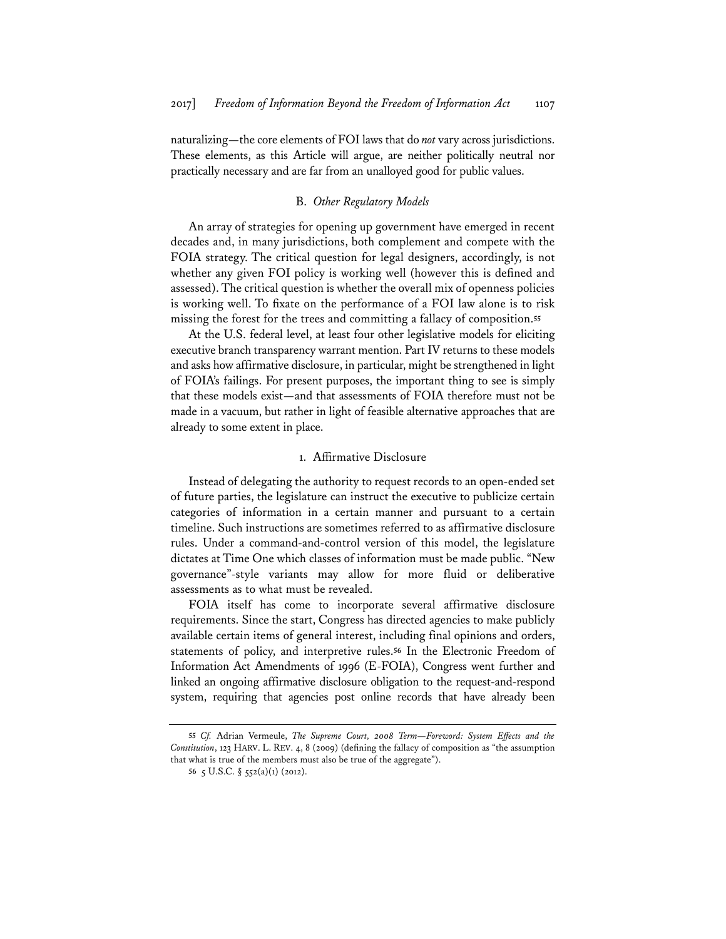naturalizing—the core elements of FOI laws that do *not* vary across jurisdictions. These elements, as this Article will argue, are neither politically neutral nor practically necessary and are far from an unalloyed good for public values.

# B. *Other Regulatory Models*

An array of strategies for opening up government have emerged in recent decades and, in many jurisdictions, both complement and compete with the FOIA strategy. The critical question for legal designers, accordingly, is not whether any given FOI policy is working well (however this is defined and assessed). The critical question is whether the overall mix of openness policies is working well. To fixate on the performance of a FOI law alone is to risk missing the forest for the trees and committing a fallacy of composition.**<sup>55</sup>**

At the U.S. federal level, at least four other legislative models for eliciting executive branch transparency warrant mention. Part IV returns to these models and asks how affirmative disclosure, in particular, might be strengthened in light of FOIA's failings. For present purposes, the important thing to see is simply that these models exist—and that assessments of FOIA therefore must not be made in a vacuum, but rather in light of feasible alternative approaches that are already to some extent in place.

#### 1. Affirmative Disclosure

Instead of delegating the authority to request records to an open-ended set of future parties, the legislature can instruct the executive to publicize certain categories of information in a certain manner and pursuant to a certain timeline. Such instructions are sometimes referred to as affirmative disclosure rules. Under a command-and-control version of this model, the legislature dictates at Time One which classes of information must be made public. "New governance"-style variants may allow for more fluid or deliberative assessments as to what must be revealed.

FOIA itself has come to incorporate several affirmative disclosure requirements. Since the start, Congress has directed agencies to make publicly available certain items of general interest, including final opinions and orders, statements of policy, and interpretive rules.**<sup>56</sup>** In the Electronic Freedom of Information Act Amendments of 1996 (E-FOIA), Congress went further and linked an ongoing affirmative disclosure obligation to the request-and-respond system, requiring that agencies post online records that have already been

**<sup>55</sup>** *Cf.* Adrian Vermeule, *The Supreme Court, 2008 Term—Foreword: System Effects and the Constitution*, 123 HARV. L. REV. 4, 8 (2009) (defining the fallacy of composition as "the assumption that what is true of the members must also be true of the aggregate").

**<sup>56</sup>** 5 U.S.C. § 552(a)(1) (2012).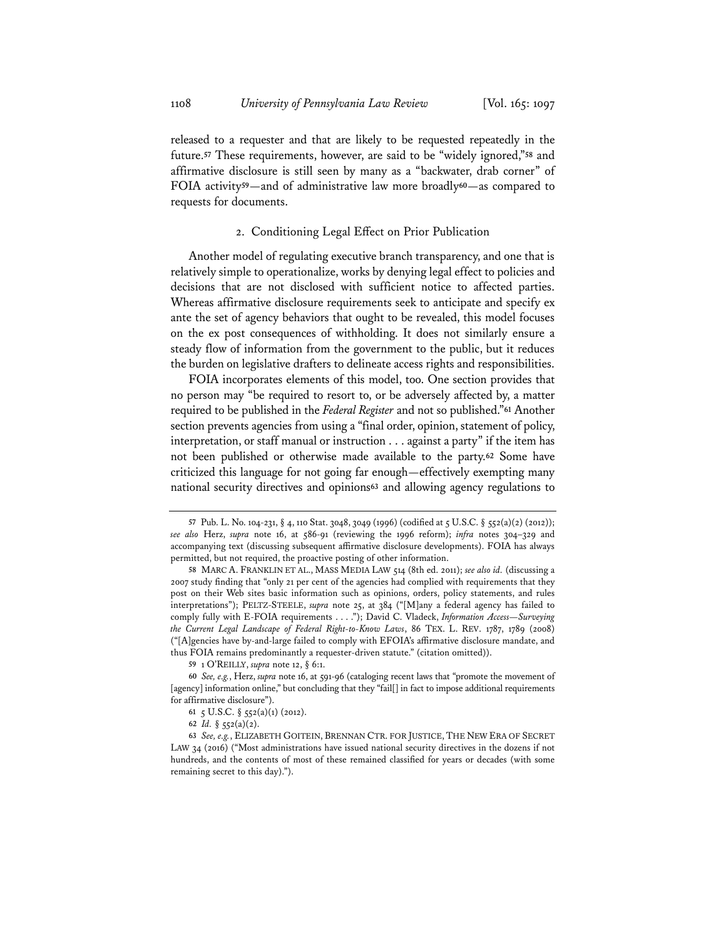released to a requester and that are likely to be requested repeatedly in the future.**<sup>57</sup>** These requirements, however, are said to be "widely ignored,"**<sup>58</sup>** and affirmative disclosure is still seen by many as a "backwater, drab corner" of FOIA activity**<sup>59</sup>**—and of administrative law more broadly**<sup>60</sup>**—as compared to requests for documents.

# 2. Conditioning Legal Effect on Prior Publication

Another model of regulating executive branch transparency, and one that is relatively simple to operationalize, works by denying legal effect to policies and decisions that are not disclosed with sufficient notice to affected parties. Whereas affirmative disclosure requirements seek to anticipate and specify ex ante the set of agency behaviors that ought to be revealed, this model focuses on the ex post consequences of withholding. It does not similarly ensure a steady flow of information from the government to the public, but it reduces the burden on legislative drafters to delineate access rights and responsibilities.

FOIA incorporates elements of this model, too. One section provides that no person may "be required to resort to, or be adversely affected by, a matter required to be published in the *Federal Register* and not so published."**<sup>61</sup>** Another section prevents agencies from using a "final order, opinion, statement of policy, interpretation, or staff manual or instruction . . . against a party" if the item has not been published or otherwise made available to the party.**<sup>62</sup>** Some have criticized this language for not going far enough—effectively exempting many national security directives and opinions**<sup>63</sup>** and allowing agency regulations to

**<sup>57</sup>** Pub. L. No. 104-231, § 4, 110 Stat. 3048, 3049 (1996) (codified at 5 U.S.C. § 552(a)(2) (2012)); *see also* Herz, *supra* note 16, at 586-91 (reviewing the 1996 reform); *infra* notes 304–329 and accompanying text (discussing subsequent affirmative disclosure developments). FOIA has always permitted, but not required, the proactive posting of other information.

**<sup>58</sup>** MARC A. FRANKLIN ET AL., MASS MEDIA LAW 514 (8th ed. 2011); *see also id.* (discussing a 2007 study finding that "only 21 per cent of the agencies had complied with requirements that they post on their Web sites basic information such as opinions, orders, policy statements, and rules interpretations"); PELTZ-STEELE, *supra* note 25, at 384 ("[M]any a federal agency has failed to comply fully with E-FOIA requirements . . . ."); David C. Vladeck, *Information Access—Surveying the Current Legal Landscape of Federal Right-to-Know Laws*, 86 TEX. L. REV. 1787, 1789 (2008) ("[A]gencies have by-and-large failed to comply with EFOIA's affirmative disclosure mandate, and thus FOIA remains predominantly a requester-driven statute." (citation omitted)).

**<sup>59</sup>** 1 O'REILLY, *supra* note 12, § 6:1.

**<sup>60</sup>** *See, e.g.*, Herz, *supra* note 16, at 591-96 (cataloging recent laws that "promote the movement of [agency] information online," but concluding that they "fail[] in fact to impose additional requirements for affirmative disclosure").

**<sup>61</sup>** 5 U.S.C. § 552(a)(1) (2012).

**<sup>62</sup>** *Id.* § 552(a)(2).

**<sup>63</sup>** *See, e.g.*, ELIZABETH GOITEIN, BRENNAN CTR. FOR JUSTICE, THE NEW ERA OF SECRET LAW 34 (2016) ("Most administrations have issued national security directives in the dozens if not hundreds, and the contents of most of these remained classified for years or decades (with some remaining secret to this day).").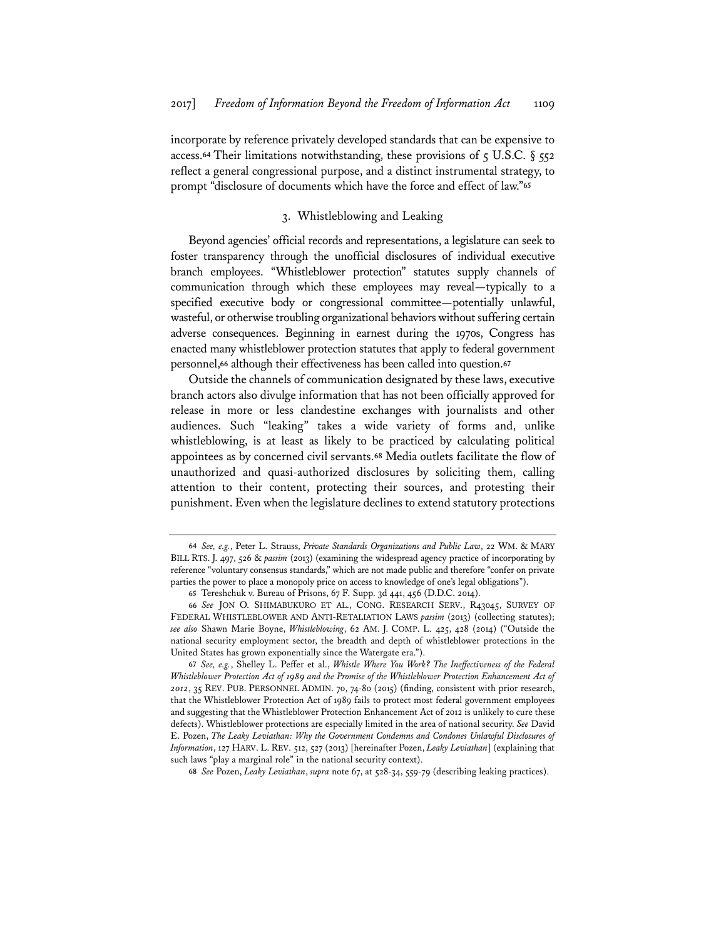incorporate by reference privately developed standards that can be expensive to access.<sup>64</sup> Their limitations notwithstanding, these provisions of 5 U.S.C. § 552 reflect a general congressional purpose, and a distinct instrumental strategy, to prompt "disclosure of documents which have the force and effect of law."**<sup>65</sup>**

# 3. Whistleblowing and Leaking

Beyond agencies' official records and representations, a legislature can seek to foster transparency through the unofficial disclosures of individual executive branch employees. "Whistleblower protection" statutes supply channels of communication through which these employees may reveal—typically to a specified executive body or congressional committee—potentially unlawful, wasteful, or otherwise troubling organizational behaviors without suffering certain adverse consequences. Beginning in earnest during the 1970s, Congress has enacted many whistleblower protection statutes that apply to federal government personnel,**<sup>66</sup>** although their effectiveness has been called into question.**<sup>67</sup>**

Outside the channels of communication designated by these laws, executive branch actors also divulge information that has not been officially approved for release in more or less clandestine exchanges with journalists and other audiences. Such "leaking" takes a wide variety of forms and, unlike whistleblowing, is at least as likely to be practiced by calculating political appointees as by concerned civil servants.**<sup>68</sup>** Media outlets facilitate the flow of unauthorized and quasi-authorized disclosures by soliciting them, calling attention to their content, protecting their sources, and protesting their punishment. Even when the legislature declines to extend statutory protections

**<sup>64</sup>** *See, e.g.*, Peter L. Strauss, *Private Standards Organizations and Public Law*, 22 WM. & MARY BILL RTS. J. 497, 526 & *passim* (2013) (examining the widespread agency practice of incorporating by reference "voluntary consensus standards," which are not made public and therefore "confer on private parties the power to place a monopoly price on access to knowledge of one's legal obligations").

**<sup>65</sup>** Tereshchuk v. Bureau of Prisons, 67 F. Supp. 3d 441, 456 (D.D.C. 2014).

**<sup>66</sup>** *See* JON O. SHIMABUKURO ET AL., CONG. RESEARCH SERV., R43045, SURVEY OF FEDERAL WHISTLEBLOWER AND ANTI-RETALIATION LAWS *passim* (2013) (collecting statutes); *see also* Shawn Marie Boyne, *Whistleblowing*, 62 AM. J. COMP. L. 425, 428 (2014) ("Outside the national security employment sector, the breadth and depth of whistleblower protections in the United States has grown exponentially since the Watergate era.").

**<sup>67</sup>** *See, e.g.*, Shelley L. Peffer et al., *Whistle Where You Work? The Ineffectiveness of the Federal Whistleblower Protection Act of 1989 and the Promise of the Whistleblower Protection Enhancement Act of 2012*, 35 REV. PUB. PERSONNEL ADMIN. 70, 74-80 (2015) (finding, consistent with prior research, that the Whistleblower Protection Act of 1989 fails to protect most federal government employees and suggesting that the Whistleblower Protection Enhancement Act of 2012 is unlikely to cure these defects). Whistleblower protections are especially limited in the area of national security. *See* David E. Pozen, *The Leaky Leviathan: Why the Government Condemns and Condones Unlawful Disclosures of Information*, 127 HARV. L. REV. 512, 527 (2013) [hereinafter Pozen, *Leaky Leviathan*] (explaining that such laws "play a marginal role" in the national security context).

**<sup>68</sup>** *See* Pozen, *Leaky Leviathan*, *supra* note 67, at 528-34, 559-79 (describing leaking practices).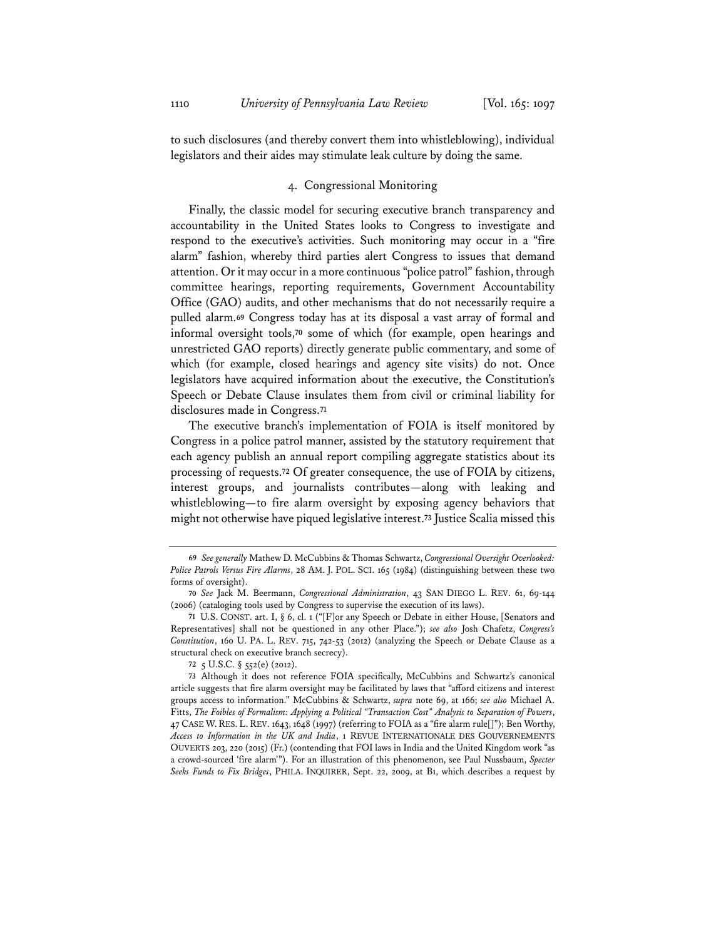to such disclosures (and thereby convert them into whistleblowing), individual legislators and their aides may stimulate leak culture by doing the same.

# 4. Congressional Monitoring

Finally, the classic model for securing executive branch transparency and accountability in the United States looks to Congress to investigate and respond to the executive's activities. Such monitoring may occur in a "fire alarm" fashion, whereby third parties alert Congress to issues that demand attention. Or it may occur in a more continuous "police patrol" fashion, through committee hearings, reporting requirements, Government Accountability Office (GAO) audits, and other mechanisms that do not necessarily require a pulled alarm.**<sup>69</sup>** Congress today has at its disposal a vast array of formal and informal oversight tools,**<sup>70</sup>** some of which (for example, open hearings and unrestricted GAO reports) directly generate public commentary, and some of which (for example, closed hearings and agency site visits) do not. Once legislators have acquired information about the executive, the Constitution's Speech or Debate Clause insulates them from civil or criminal liability for disclosures made in Congress.**<sup>71</sup>**

The executive branch's implementation of FOIA is itself monitored by Congress in a police patrol manner, assisted by the statutory requirement that each agency publish an annual report compiling aggregate statistics about its processing of requests.**<sup>72</sup>** Of greater consequence, the use of FOIA by citizens, interest groups, and journalists contributes—along with leaking and whistleblowing—to fire alarm oversight by exposing agency behaviors that might not otherwise have piqued legislative interest.**<sup>73</sup>** Justice Scalia missed this

**<sup>69</sup>** *See generally* Mathew D. McCubbins & Thomas Schwartz, *Congressional Oversight Overlooked: Police Patrols Versus Fire Alarms*, 28 AM. J. POL. SCI. 165 (1984) (distinguishing between these two forms of oversight).

**<sup>70</sup>** *See* Jack M. Beermann, *Congressional Administration*, 43 SAN DIEGO L. REV. 61, 69-144 (2006) (cataloging tools used by Congress to supervise the execution of its laws).

**<sup>71</sup>** U.S. CONST. art. I, § 6, cl. 1 ("[F]or any Speech or Debate in either House, [Senators and Representatives] shall not be questioned in any other Place."); *see also* Josh Chafetz, *Congress's Constitution*, 160 U. PA. L. REV. 715, 742-53 (2012) (analyzing the Speech or Debate Clause as a structural check on executive branch secrecy).

**<sup>72</sup>** 5 U.S.C. § 552(e) (2012).

**<sup>73</sup>** Although it does not reference FOIA specifically, McCubbins and Schwartz's canonical article suggests that fire alarm oversight may be facilitated by laws that "afford citizens and interest groups access to information." McCubbins & Schwartz, *supra* note 69, at 166; *see also* Michael A. Fitts, *The Foibles of Formalism: Applying a Political "Transaction Cost" Analysis to Separation of Powers*, 47 CASE W. RES. L. REV. 1643, 1648 (1997) (referring to FOIA as a "fire alarm rule[]"); Ben Worthy, *Access to Information in the UK and India*, 1 REVUE INTERNATIONALE DES GOUVERNEMENTS OUVERTS 203, 220 (2015) (Fr.) (contending that FOI laws in India and the United Kingdom work "as a crowd-sourced 'fire alarm'"). For an illustration of this phenomenon, see Paul Nussbaum, *Specter Seeks Funds to Fix Bridges*, PHILA. INQUIRER, Sept. 22, 2009, at B1, which describes a request by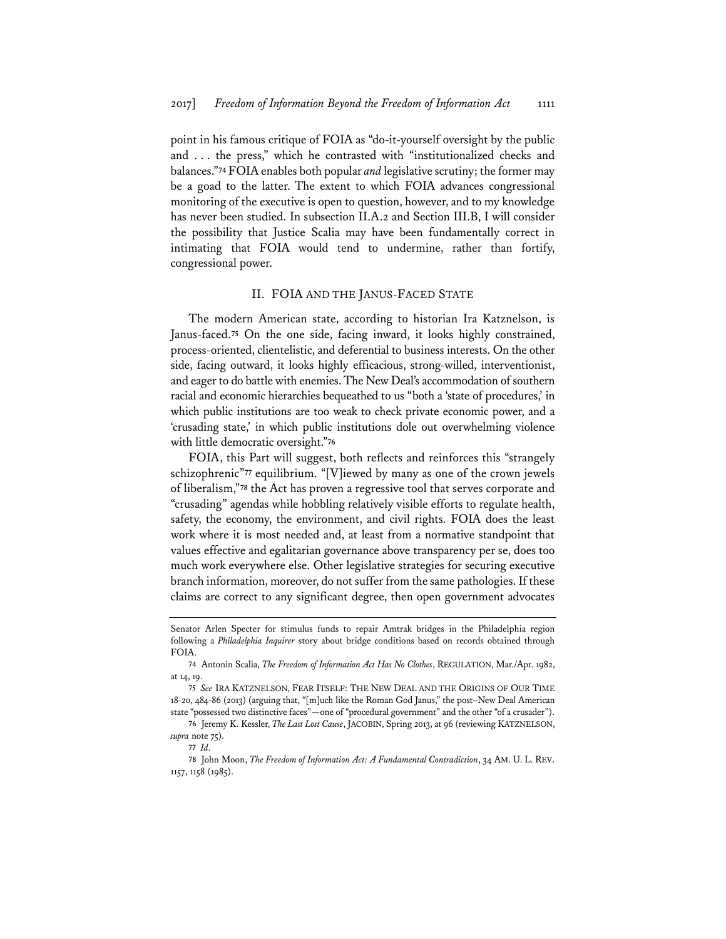point in his famous critique of FOIA as "do-it-yourself oversight by the public and . . . the press," which he contrasted with "institutionalized checks and balances."**<sup>74</sup>** FOIA enables both popular *and* legislative scrutiny; the former may be a goad to the latter. The extent to which FOIA advances congressional monitoring of the executive is open to question, however, and to my knowledge has never been studied. In subsection II.A.2 and Section III.B, I will consider the possibility that Justice Scalia may have been fundamentally correct in intimating that FOIA would tend to undermine, rather than fortify, congressional power.

#### II. FOIA AND THE JANUS-FACED STATE

The modern American state, according to historian Ira Katznelson, is Janus-faced.**<sup>75</sup>** On the one side, facing inward, it looks highly constrained, process-oriented, clientelistic, and deferential to business interests. On the other side, facing outward, it looks highly efficacious, strong-willed, interventionist, and eager to do battle with enemies. The New Deal's accommodation of southern racial and economic hierarchies bequeathed to us "both a 'state of procedures,' in which public institutions are too weak to check private economic power, and a 'crusading state,' in which public institutions dole out overwhelming violence with little democratic oversight."**<sup>76</sup>**

FOIA, this Part will suggest, both reflects and reinforces this "strangely schizophrenic"**<sup>77</sup>** equilibrium. "[V]iewed by many as one of the crown jewels of liberalism,"**<sup>78</sup>** the Act has proven a regressive tool that serves corporate and "crusading" agendas while hobbling relatively visible efforts to regulate health, safety, the economy, the environment, and civil rights. FOIA does the least work where it is most needed and, at least from a normative standpoint that values effective and egalitarian governance above transparency per se, does too much work everywhere else. Other legislative strategies for securing executive branch information, moreover, do not suffer from the same pathologies. If these claims are correct to any significant degree, then open government advocates

Senator Arlen Specter for stimulus funds to repair Amtrak bridges in the Philadelphia region following a *Philadelphia Inquirer* story about bridge conditions based on records obtained through FOIA.

**<sup>74</sup>** Antonin Scalia, *The Freedom of Information Act Has No Clothes*, REGULATION, Mar./Apr. 1982, at 14, 19.

**<sup>75</sup>** *See* IRA KATZNELSON, FEAR ITSELF: THE NEW DEAL AND THE ORIGINS OF OUR TIME 18-20, 484-86 (2013) (arguing that, "[m]uch like the Roman God Janus," the post–New Deal American state "possessed two distinctive faces"—one of "procedural government" and the other "of a crusader").

**<sup>76</sup>** Jeremy K. Kessler, *The Last Lost Cause*, JACOBIN, Spring 2013, at 96 (reviewing KATZNELSON, supra note 75).

**<sup>77</sup>** *Id.*

**<sup>78</sup>** John Moon, *The Freedom of Information Act: A Fundamental Contradiction*, 34 AM. U. L. REV. 1157, 1158 (1985).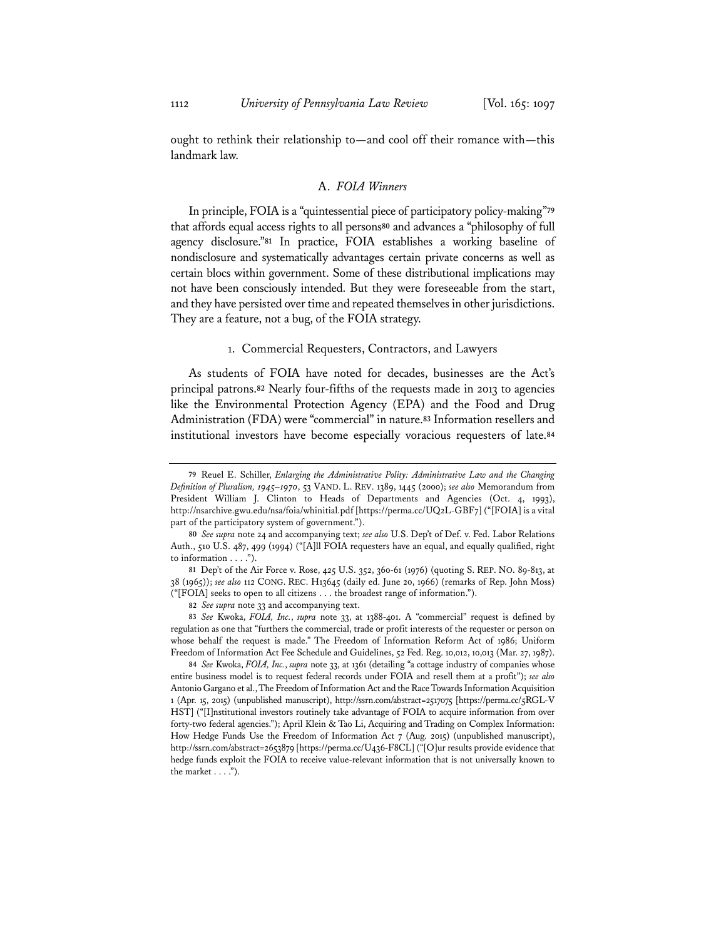ought to rethink their relationship to—and cool off their romance with—this landmark law.

# A. *FOIA Winners*

In principle, FOIA is a "quintessential piece of participatory policy-making"**<sup>79</sup>** that affords equal access rights to all persons**<sup>80</sup>** and advances a "philosophy of full agency disclosure."**<sup>81</sup>** In practice, FOIA establishes a working baseline of nondisclosure and systematically advantages certain private concerns as well as certain blocs within government. Some of these distributional implications may not have been consciously intended. But they were foreseeable from the start, and they have persisted over time and repeated themselves in other jurisdictions. They are a feature, not a bug, of the FOIA strategy.

#### 1. Commercial Requesters, Contractors, and Lawyers

As students of FOIA have noted for decades, businesses are the Act's principal patrons.**<sup>82</sup>** Nearly four-fifths of the requests made in 2013 to agencies like the Environmental Protection Agency (EPA) and the Food and Drug Administration (FDA) were "commercial" in nature.**<sup>83</sup>** Information resellers and institutional investors have become especially voracious requesters of late.**<sup>84</sup>**

**81** Dep't of the Air Force v. Rose, 425 U.S. 352, 360-61 (1976) (quoting S. REP. NO. 89-813, at 38 (1965)); *see also* 112 CONG. REC. H13645 (daily ed. June 20, 1966) (remarks of Rep. John Moss) ("[FOIA] seeks to open to all citizens . . . the broadest range of information.").

**82** *See supra* note 33 and accompanying text.

**83** *See* Kwoka, *FOIA, Inc.*, *supra* note 33, at 1388-401. A "commercial" request is defined by regulation as one that "furthers the commercial, trade or profit interests of the requester or person on whose behalf the request is made." The Freedom of Information Reform Act of 1986; Uniform Freedom of Information Act Fee Schedule and Guidelines, 52 Fed. Reg. 10,012, 10,013 (Mar. 27, 1987).

**84** *See* Kwoka, *FOIA, Inc.*, *supra* note 33, at 1361 (detailing "a cottage industry of companies whose entire business model is to request federal records under FOIA and resell them at a profit"); *see also* Antonio Gargano et al., The Freedom of Information Act and the Race Towards Information Acquisition 1 (Apr. 15, 2015) (unpublished manuscript), http://ssrn.com/abstract=2517075 [https://perma.cc/5RGL-V HST] ("[I]nstitutional investors routinely take advantage of FOIA to acquire information from over forty-two federal agencies."); April Klein & Tao Li, Acquiring and Trading on Complex Information: How Hedge Funds Use the Freedom of Information Act 7 (Aug. 2015) (unpublished manuscript), http://ssrn.com/abstract=2653879 [https://perma.cc/U436-F8CL] ("[O]ur results provide evidence that hedge funds exploit the FOIA to receive value-relevant information that is not universally known to the market  $\dots$ .").

**<sup>79</sup>** Reuel E. Schiller, *Enlarging the Administrative Polity: Administrative Law and the Changing Definition of Pluralism, 1945–1970*, 53 VAND. L. REV. 1389, 1445 (2000); *see also* Memorandum from President William J. Clinton to Heads of Departments and Agencies (Oct. 4, 1993), http://nsarchive.gwu.edu/nsa/foia/whinitial.pdf [https://perma.cc/UQ2L-GBF7] ("[FOIA] is a vital part of the participatory system of government.").

**<sup>80</sup>** *See supra* note 24 and accompanying text; *see also* U.S. Dep't of Def. v. Fed. Labor Relations Auth., 510 U.S. 487, 499 (1994) ("[A]ll FOIA requesters have an equal, and equally qualified, right to information . . . .").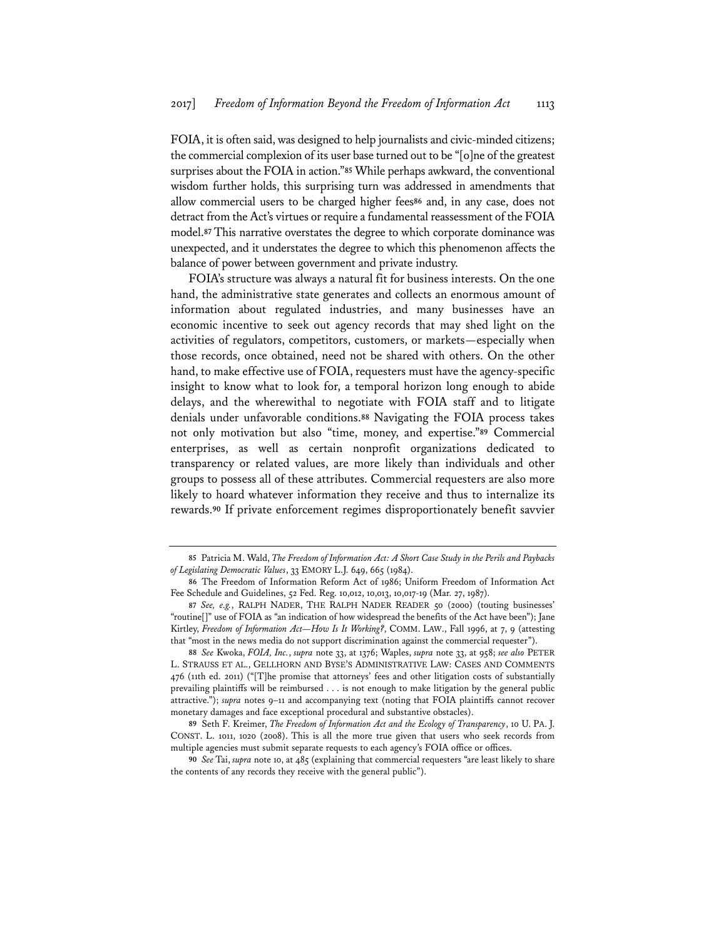FOIA, it is often said, was designed to help journalists and civic-minded citizens; the commercial complexion of its user base turned out to be "[o]ne of the greatest surprises about the FOIA in action."**<sup>85</sup>** While perhaps awkward, the conventional wisdom further holds, this surprising turn was addressed in amendments that allow commercial users to be charged higher fees**<sup>86</sup>** and, in any case, does not detract from the Act's virtues or require a fundamental reassessment of the FOIA model.**<sup>87</sup>** This narrative overstates the degree to which corporate dominance was unexpected, and it understates the degree to which this phenomenon affects the balance of power between government and private industry.

FOIA's structure was always a natural fit for business interests. On the one hand, the administrative state generates and collects an enormous amount of information about regulated industries, and many businesses have an economic incentive to seek out agency records that may shed light on the activities of regulators, competitors, customers, or markets—especially when those records, once obtained, need not be shared with others. On the other hand, to make effective use of FOIA, requesters must have the agency-specific insight to know what to look for, a temporal horizon long enough to abide delays, and the wherewithal to negotiate with FOIA staff and to litigate denials under unfavorable conditions.**<sup>88</sup>** Navigating the FOIA process takes not only motivation but also "time, money, and expertise."**<sup>89</sup>** Commercial enterprises, as well as certain nonprofit organizations dedicated to transparency or related values, are more likely than individuals and other groups to possess all of these attributes. Commercial requesters are also more likely to hoard whatever information they receive and thus to internalize its rewards.**<sup>90</sup>** If private enforcement regimes disproportionately benefit savvier

**<sup>85</sup>** Patricia M. Wald, *The Freedom of Information Act: A Short Case Study in the Perils and Paybacks of Legislating Democratic Values*, 33 EMORY L.J. 649, 665 (1984).

**<sup>86</sup>** The Freedom of Information Reform Act of 1986; Uniform Freedom of Information Act Fee Schedule and Guidelines, 52 Fed. Reg. 10,012, 10,013, 10,017-19 (Mar. 27, 1987).

**<sup>87</sup>** *See, e.g.*, RALPH NADER, THE RALPH NADER READER 50 (2000) (touting businesses' "routine[]" use of FOIA as "an indication of how widespread the benefits of the Act have been"); Jane Kirtley, *Freedom of Information Act—How Is It Working?*, COMM. LAW., Fall 1996, at 7, 9 (attesting that "most in the news media do not support discrimination against the commercial requester").

**<sup>88</sup>** *See* Kwoka, *FOIA, Inc.*, *supra* note 33, at 1376; Waples, *supra* note 33, at 958; *see also* PETER L. STRAUSS ET AL., GELLHORN AND BYSE'S ADMINISTRATIVE LAW: CASES AND COMMENTS 476 (11th ed. 2011) ("[T]he promise that attorneys' fees and other litigation costs of substantially prevailing plaintiffs will be reimbursed . . . is not enough to make litigation by the general public attractive."); *supra* notes 9–11 and accompanying text (noting that FOIA plaintiffs cannot recover monetary damages and face exceptional procedural and substantive obstacles).

**<sup>89</sup>** Seth F. Kreimer, *The Freedom of Information Act and the Ecology of Transparency*, 10 U. PA. J. CONST. L. 1011, 1020 (2008). This is all the more true given that users who seek records from multiple agencies must submit separate requests to each agency's FOIA office or offices.

**<sup>90</sup>** *See* Tai, *supra* note 10, at 485 (explaining that commercial requesters "are least likely to share the contents of any records they receive with the general public").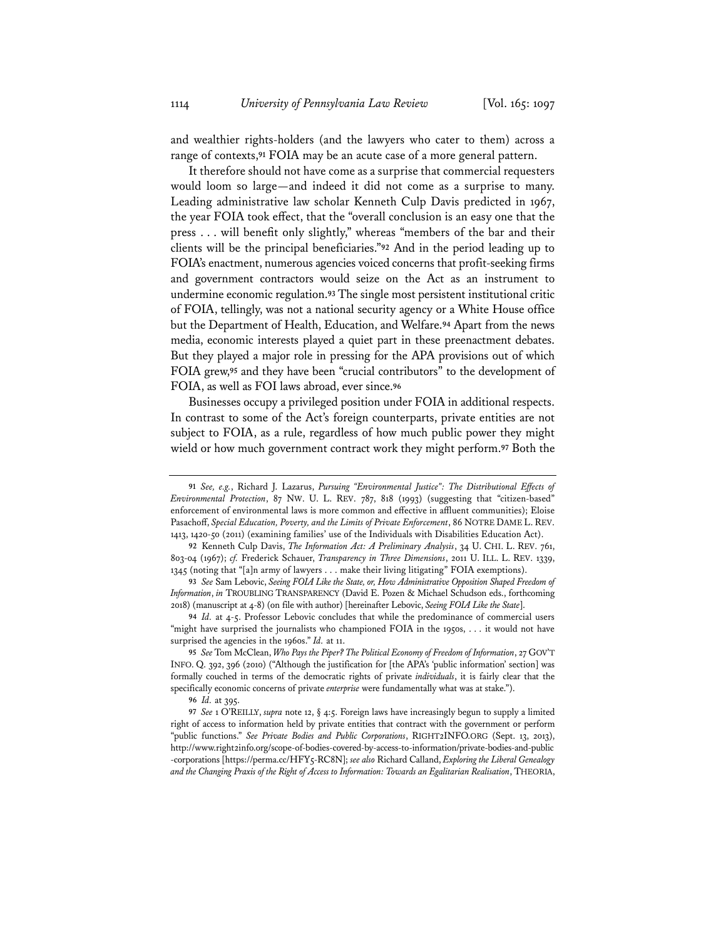and wealthier rights-holders (and the lawyers who cater to them) across a range of contexts,**<sup>91</sup>** FOIA may be an acute case of a more general pattern.

It therefore should not have come as a surprise that commercial requesters would loom so large—and indeed it did not come as a surprise to many. Leading administrative law scholar Kenneth Culp Davis predicted in 1967, the year FOIA took effect, that the "overall conclusion is an easy one that the press . . . will benefit only slightly," whereas "members of the bar and their clients will be the principal beneficiaries."**<sup>92</sup>** And in the period leading up to FOIA's enactment, numerous agencies voiced concerns that profit-seeking firms and government contractors would seize on the Act as an instrument to undermine economic regulation.**<sup>93</sup>** The single most persistent institutional critic of FOIA, tellingly, was not a national security agency or a White House office but the Department of Health, Education, and Welfare.**<sup>94</sup>** Apart from the news media, economic interests played a quiet part in these preenactment debates. But they played a major role in pressing for the APA provisions out of which FOIA grew,**<sup>95</sup>** and they have been "crucial contributors" to the development of FOIA, as well as FOI laws abroad, ever since.**<sup>96</sup>**

Businesses occupy a privileged position under FOIA in additional respects. In contrast to some of the Act's foreign counterparts, private entities are not subject to FOIA, as a rule, regardless of how much public power they might wield or how much government contract work they might perform.**<sup>97</sup>** Both the

**<sup>91</sup>** *See, e.g.*, Richard J. Lazarus, *Pursuing "Environmental Justice": The Distributional Effects of Environmental Protection*, 87 NW. U. L. REV. 787, 818 (1993) (suggesting that "citizen-based" enforcement of environmental laws is more common and effective in affluent communities); Eloise Pasachoff, *Special Education, Poverty, and the Limits of Private Enforcement*, 86 NOTRE DAME L. REV. 1413, 1420-50 (2011) (examining families' use of the Individuals with Disabilities Education Act).

**<sup>92</sup>** Kenneth Culp Davis, *The Information Act: A Preliminary Analysis*, 34 U. CHI. L. REV. 761, 803-04 (1967); *cf.* Frederick Schauer, *Transparency in Three Dimensions*, 2011 U. ILL. L. REV. 1339, 1345 (noting that "[a]n army of lawyers . . . make their living litigating" FOIA exemptions).

**<sup>93</sup>** *See* Sam Lebovic, *Seeing FOIA Like the State, or, How Administrative Opposition Shaped Freedom of Information*, *in* TROUBLING TRANSPARENCY (David E. Pozen & Michael Schudson eds., forthcoming 2018) (manuscript at 4-8) (on file with author) [hereinafter Lebovic, *Seeing FOIA Like the State*].

**<sup>94</sup>** *Id.* at 4-5. Professor Lebovic concludes that while the predominance of commercial users "might have surprised the journalists who championed FOIA in the 1950s, . . . it would not have surprised the agencies in the 1960s." *Id.* at 11.

**<sup>95</sup>** *See* Tom McClean, *Who Pays the Piper? The Political Economy of Freedom of Information*, 27 GOV'T INFO. Q. 392, 396 (2010) ("Although the justification for [the APA's 'public information' section] was formally couched in terms of the democratic rights of private *individuals*, it is fairly clear that the specifically economic concerns of private *enterprise* were fundamentally what was at stake.").

**<sup>96</sup>** *Id.* at 395.

**<sup>97</sup>** *See* 1 O'REILLY, *supra* note 12, § 4:5. Foreign laws have increasingly begun to supply a limited right of access to information held by private entities that contract with the government or perform "public functions." *See Private Bodies and Public Corporations*, RIGHT2INFO.ORG (Sept. 13, 2013), http://www.right2info.org/scope-of-bodies-covered-by-access-to-information/private-bodies-and-public -corporations [https://perma.cc/HFY5-RC8N]; *see also* Richard Calland, *Exploring the Liberal Genealogy and the Changing Praxis of the Right of Access to Information: Towards an Egalitarian Realisation*, THEORIA,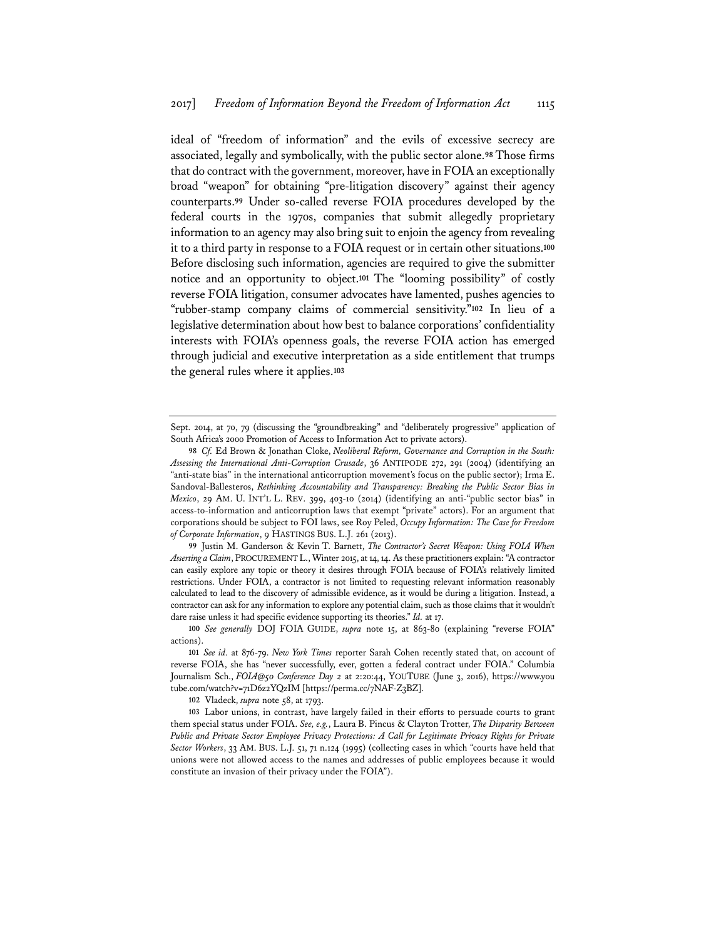ideal of "freedom of information" and the evils of excessive secrecy are associated, legally and symbolically, with the public sector alone.**<sup>98</sup>** Those firms that do contract with the government, moreover, have in FOIA an exceptionally broad "weapon" for obtaining "pre-litigation discovery" against their agency counterparts.**<sup>99</sup>** Under so-called reverse FOIA procedures developed by the federal courts in the 1970s, companies that submit allegedly proprietary information to an agency may also bring suit to enjoin the agency from revealing it to a third party in response to a FOIA request or in certain other situations.**<sup>100</sup>** Before disclosing such information, agencies are required to give the submitter notice and an opportunity to object.**<sup>101</sup>** The "looming possibility" of costly reverse FOIA litigation, consumer advocates have lamented, pushes agencies to "rubber-stamp company claims of commercial sensitivity."**<sup>102</sup>** In lieu of a legislative determination about how best to balance corporations' confidentiality interests with FOIA's openness goals, the reverse FOIA action has emerged through judicial and executive interpretation as a side entitlement that trumps the general rules where it applies.**<sup>103</sup>**

**99** Justin M. Ganderson & Kevin T. Barnett, *The Contractor's Secret Weapon: Using FOIA When Asserting a Claim*, PROCUREMENT L., Winter 2015, at 14, 14. As these practitioners explain: "A contractor can easily explore any topic or theory it desires through FOIA because of FOIA's relatively limited restrictions. Under FOIA, a contractor is not limited to requesting relevant information reasonably calculated to lead to the discovery of admissible evidence, as it would be during a litigation. Instead, a contractor can ask for any information to explore any potential claim, such as those claims that it wouldn't dare raise unless it had specific evidence supporting its theories." *Id.* at 17.

**102** Vladeck, *supra* note 58, at 1793.

**103** Labor unions, in contrast, have largely failed in their efforts to persuade courts to grant them special status under FOIA. *See, e.g.*, Laura B. Pincus & Clayton Trotter, *The Disparity Between Public and Private Sector Employee Privacy Protections: A Call for Legitimate Privacy Rights for Private Sector Workers*, 33 AM. BUS. L.J. 51, 71 n.124 (1995) (collecting cases in which "courts have held that unions were not allowed access to the names and addresses of public employees because it would constitute an invasion of their privacy under the FOIA").

Sept. 2014, at 70, 79 (discussing the "groundbreaking" and "deliberately progressive" application of South Africa's 2000 Promotion of Access to Information Act to private actors).

**<sup>98</sup>** *Cf.* Ed Brown & Jonathan Cloke, *Neoliberal Reform, Governance and Corruption in the South: Assessing the International Anti-Corruption Crusade*, 36 ANTIPODE 272, 291 (2004) (identifying an "anti-state bias" in the international anticorruption movement's focus on the public sector); Irma E. Sandoval-Ballesteros, *Rethinking Accountability and Transparency: Breaking the Public Sector Bias in Mexico*, 29 AM. U. INT'L L. REV. 399, 403-10 (2014) (identifying an anti-"public sector bias" in access-to-information and anticorruption laws that exempt "private" actors). For an argument that corporations should be subject to FOI laws, see Roy Peled, *Occupy Information: The Case for Freedom of Corporate Information*, 9 HASTINGS BUS. L.J. 261 (2013).

**<sup>100</sup>** *See generally* DOJ FOIA GUIDE, *supra* note 15, at 863-80 (explaining "reverse FOIA" actions).

**<sup>101</sup>** *See id.* at 876-79. *New York Times* reporter Sarah Cohen recently stated that, on account of reverse FOIA, she has "never successfully, ever, gotten a federal contract under FOIA." Columbia Journalism Sch., *FOIA@50 Conference Day 2* at 2:20:44, YOUTUBE (June 3, 2016), https://www.you tube.com/watch?v=71D6z2YQzIM [https://perma.cc/7NAF-Z3BZ].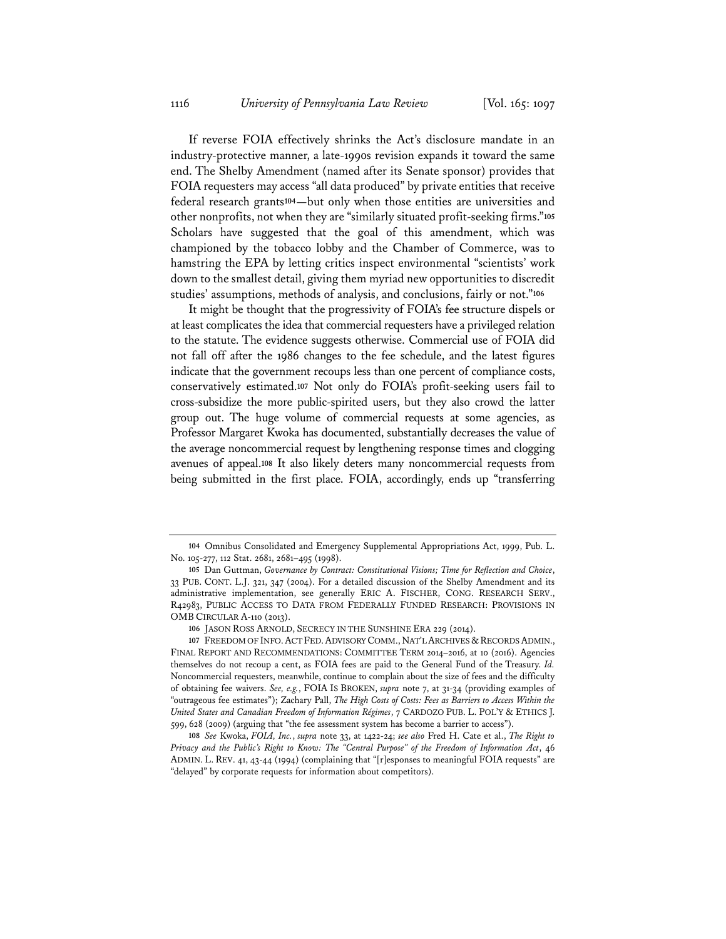If reverse FOIA effectively shrinks the Act's disclosure mandate in an industry-protective manner, a late-1990s revision expands it toward the same end. The Shelby Amendment (named after its Senate sponsor) provides that FOIA requesters may access "all data produced" by private entities that receive federal research grants**<sup>104</sup>**—but only when those entities are universities and other nonprofits, not when they are "similarly situated profit-seeking firms."**<sup>105</sup>** Scholars have suggested that the goal of this amendment, which was championed by the tobacco lobby and the Chamber of Commerce, was to hamstring the EPA by letting critics inspect environmental "scientists' work down to the smallest detail, giving them myriad new opportunities to discredit studies' assumptions, methods of analysis, and conclusions, fairly or not."**<sup>106</sup>**

It might be thought that the progressivity of FOIA's fee structure dispels or at least complicates the idea that commercial requesters have a privileged relation to the statute. The evidence suggests otherwise. Commercial use of FOIA did not fall off after the 1986 changes to the fee schedule, and the latest figures indicate that the government recoups less than one percent of compliance costs, conservatively estimated.**<sup>107</sup>** Not only do FOIA's profit-seeking users fail to cross-subsidize the more public-spirited users, but they also crowd the latter group out. The huge volume of commercial requests at some agencies, as Professor Margaret Kwoka has documented, substantially decreases the value of the average noncommercial request by lengthening response times and clogging avenues of appeal.**<sup>108</sup>** It also likely deters many noncommercial requests from being submitted in the first place. FOIA, accordingly, ends up "transferring

**<sup>104</sup>** Omnibus Consolidated and Emergency Supplemental Appropriations Act, 1999, Pub. L. No. 105-277, 112 Stat. 2681, 2681–495 (1998).

**<sup>105</sup>** Dan Guttman, *Governance by Contract: Constitutional Visions; Time for Reflection and Choice*, 33 PUB. CONT. L.J. 321, 347 (2004). For a detailed discussion of the Shelby Amendment and its administrative implementation, see generally ERIC A. FISCHER, CONG. RESEARCH SERV., R42983, PUBLIC ACCESS TO DATA FROM FEDERALLY FUNDED RESEARCH: PROVISIONS IN OMB CIRCULAR A-110 (2013).

**<sup>106</sup>** JASON ROSS ARNOLD, SECRECY IN THE SUNSHINE ERA 229 (2014).

<sup>107</sup> FREEDOM OF INFO. ACT FED. ADVISORY COMM., NAT'L ARCHIVES & RECORDS ADMIN., FINAL REPORT AND RECOMMENDATIONS: COMMITTEE TERM 2014–2016, at 10 (2016). Agencies themselves do not recoup a cent, as FOIA fees are paid to the General Fund of the Treasury. *Id.* Noncommercial requesters, meanwhile, continue to complain about the size of fees and the difficulty of obtaining fee waivers. *See, e.g.*, FOIA IS BROKEN, *supra* note 7, at 31-34 (providing examples of "outrageous fee estimates"); Zachary Pall, *The High Costs of Costs: Fees as Barriers to Access Within the United States and Canadian Freedom of Information Régimes*, 7 CARDOZO PUB. L. POL'Y & ETHICS J. 599, 628 (2009) (arguing that "the fee assessment system has become a barrier to access").

**<sup>108</sup>** *See* Kwoka, *FOIA, Inc.*, *supra* note 33, at 1422-24; *see also* Fred H. Cate et al., *The Right to Privacy and the Public's Right to Know: The "Central Purpose" of the Freedom of Information Act*, 46 ADMIN. L. REV. 41, 43-44 (1994) (complaining that "[r]esponses to meaningful FOIA requests" are "delayed" by corporate requests for information about competitors).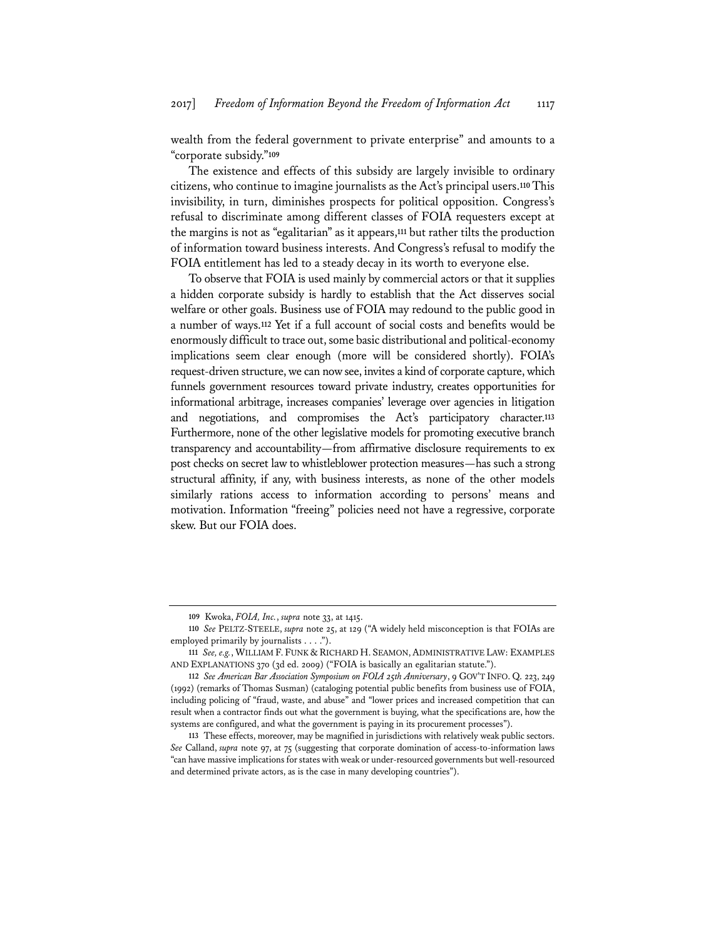wealth from the federal government to private enterprise" and amounts to a "corporate subsidy."**<sup>109</sup>**

The existence and effects of this subsidy are largely invisible to ordinary citizens, who continue to imagine journalists as the Act's principal users.**<sup>110</sup>** This invisibility, in turn, diminishes prospects for political opposition. Congress's refusal to discriminate among different classes of FOIA requesters except at the margins is not as "egalitarian" as it appears,**<sup>111</sup>** but rather tilts the production of information toward business interests. And Congress's refusal to modify the FOIA entitlement has led to a steady decay in its worth to everyone else.

To observe that FOIA is used mainly by commercial actors or that it supplies a hidden corporate subsidy is hardly to establish that the Act disserves social welfare or other goals. Business use of FOIA may redound to the public good in a number of ways.**<sup>112</sup>** Yet if a full account of social costs and benefits would be enormously difficult to trace out, some basic distributional and political-economy implications seem clear enough (more will be considered shortly). FOIA's request-driven structure, we can now see, invites a kind of corporate capture, which funnels government resources toward private industry, creates opportunities for informational arbitrage, increases companies' leverage over agencies in litigation and negotiations, and compromises the Act's participatory character.**<sup>113</sup>** Furthermore, none of the other legislative models for promoting executive branch transparency and accountability—from affirmative disclosure requirements to ex post checks on secret law to whistleblower protection measures—has such a strong structural affinity, if any, with business interests, as none of the other models similarly rations access to information according to persons' means and motivation. Information "freeing" policies need not have a regressive, corporate skew. But our FOIA does.

**<sup>109</sup>** Kwoka, *FOIA, Inc.*, *supra* note 33, at 1415.

**<sup>110</sup>** *See* PELTZ-STEELE, *supra* note 25, at 129 ("A widely held misconception is that FOIAs are employed primarily by journalists . . . .").

**<sup>111</sup>** *See, e.g.*, WILLIAM F. FUNK & RICHARD H. SEAMON, ADMINISTRATIVE LAW: EXAMPLES AND EXPLANATIONS 370 (3d ed. 2009) ("FOIA is basically an egalitarian statute.").

**<sup>112</sup>** *See American Bar Association Symposium on FOIA 25th Anniversary*, 9 GOV'T INFO. Q. 223, 249 (1992) (remarks of Thomas Susman) (cataloging potential public benefits from business use of FOIA, including policing of "fraud, waste, and abuse" and "lower prices and increased competition that can result when a contractor finds out what the government is buying, what the specifications are, how the systems are configured, and what the government is paying in its procurement processes").

**<sup>113</sup>** These effects, moreover, may be magnified in jurisdictions with relatively weak public sectors. *See* Calland, *supra* note 97, at 75 (suggesting that corporate domination of access-to-information laws "can have massive implications for states with weak or under-resourced governments but well-resourced and determined private actors, as is the case in many developing countries").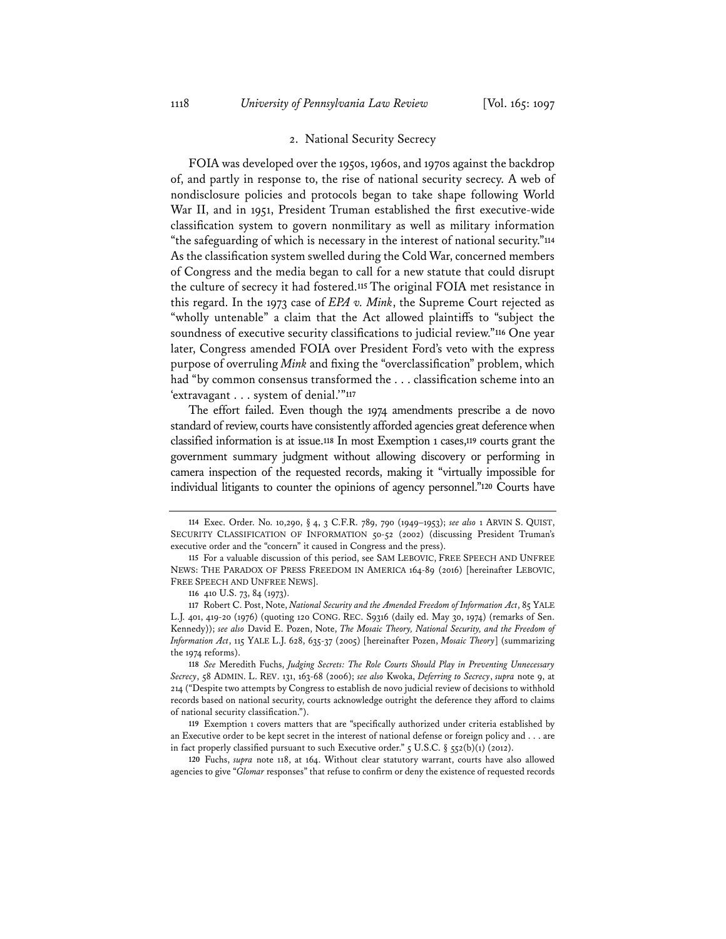#### 2. National Security Secrecy

FOIA was developed over the 1950s, 1960s, and 1970s against the backdrop of, and partly in response to, the rise of national security secrecy. A web of nondisclosure policies and protocols began to take shape following World War II, and in 1951, President Truman established the first executive-wide classification system to govern nonmilitary as well as military information "the safeguarding of which is necessary in the interest of national security."**<sup>114</sup>** As the classification system swelled during the Cold War, concerned members of Congress and the media began to call for a new statute that could disrupt the culture of secrecy it had fostered.**<sup>115</sup>** The original FOIA met resistance in this regard. In the 1973 case of *EPA v. Mink*, the Supreme Court rejected as "wholly untenable" a claim that the Act allowed plaintiffs to "subject the soundness of executive security classifications to judicial review."**<sup>116</sup>** One year later, Congress amended FOIA over President Ford's veto with the express purpose of overruling *Mink* and fixing the "overclassification" problem, which had "by common consensus transformed the . . . classification scheme into an 'extravagant . . . system of denial.'"**<sup>117</sup>**

The effort failed. Even though the 1974 amendments prescribe a de novo standard of review, courts have consistently afforded agencies great deference when classified information is at issue.**<sup>118</sup>** In most Exemption 1 cases,**<sup>119</sup>** courts grant the government summary judgment without allowing discovery or performing in camera inspection of the requested records, making it "virtually impossible for individual litigants to counter the opinions of agency personnel."**<sup>120</sup>** Courts have

**118** *See* Meredith Fuchs, *Judging Secrets: The Role Courts Should Play in Preventing Unnecessary Secrecy*, 58 ADMIN. L. REV. 131, 163-68 (2006); *see also* Kwoka, *Deferring to Secrecy*, *supra* note 9, at 214 ("Despite two attempts by Congress to establish de novo judicial review of decisions to withhold records based on national security, courts acknowledge outright the deference they afford to claims of national security classification.").

**119** Exemption 1 covers matters that are "specifically authorized under criteria established by an Executive order to be kept secret in the interest of national defense or foreign policy and . . . are in fact properly classified pursuant to such Executive order."  $\zeta$  U.S.C.  $\S$   $\zeta$ 552(b)(1) (2012).

**120** Fuchs, *supra* note 118, at 164. Without clear statutory warrant, courts have also allowed agencies to give "*Glomar* responses" that refuse to confirm or deny the existence of requested records

**<sup>114</sup>** Exec. Order. No. 10,290, § 4, 3 C.F.R. 789, 790 (1949–1953); *see also* 1 ARVIN S. QUIST, SECURITY CLASSIFICATION OF INFORMATION 50-52 (2002) (discussing President Truman's executive order and the "concern" it caused in Congress and the press).

**<sup>115</sup>** For a valuable discussion of this period, see SAM LEBOVIC, FREE SPEECH AND UNFREE NEWS: THE PARADOX OF PRESS FREEDOM IN AMERICA 164-89 (2016) [hereinafter LEBOVIC, FREE SPEECH AND UNFREE NEWS].

**<sup>116</sup>** 410 U.S. 73, 84 (1973).

**<sup>117</sup>** Robert C. Post, Note, *National Security and the Amended Freedom of Information Act*, 85 YALE L.J. 401, 419-20 (1976) (quoting 120 CONG. REC. S9316 (daily ed. May 30, 1974) (remarks of Sen. Kennedy)); *see also* David E. Pozen, Note, *The Mosaic Theory, National Security, and the Freedom of Information Act*, 115 YALE L.J. 628, 635-37 (2005) [hereinafter Pozen, *Mosaic Theory*] (summarizing the 1974 reforms).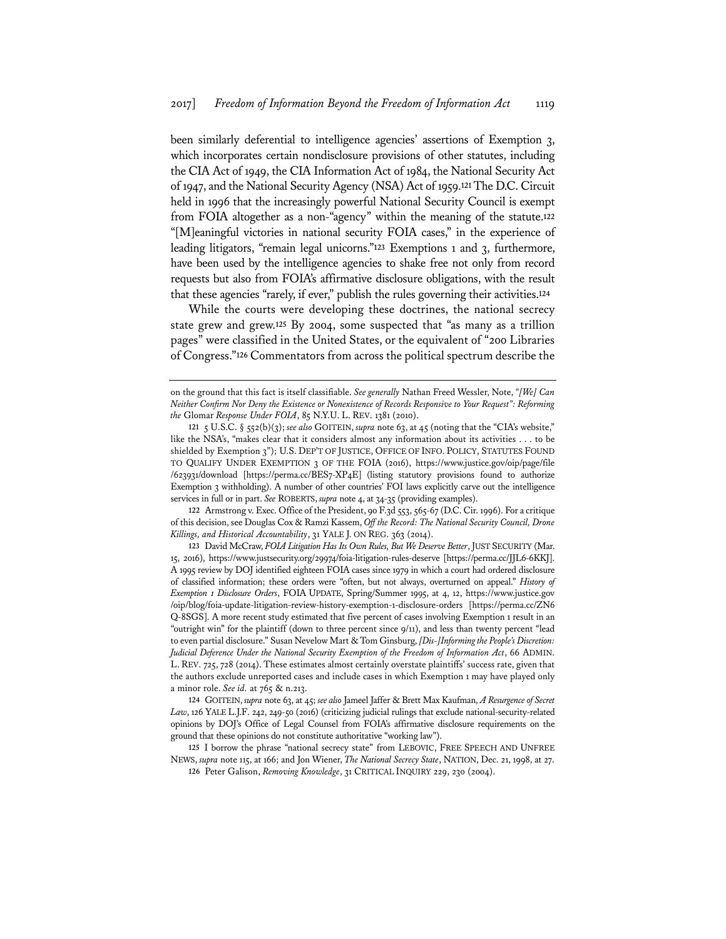been similarly deferential to intelligence agencies' assertions of Exemption 3, which incorporates certain nondisclosure provisions of other statutes, including the CIA Act of 1949, the CIA Information Act of 1984, the National Security Act of 1947, and the National Security Agency (NSA) Act of 1959.**<sup>121</sup>** The D.C. Circuit held in 1996 that the increasingly powerful National Security Council is exempt from FOIA altogether as a non-"agency" within the meaning of the statute.**<sup>122</sup>** "[M]eaningful victories in national security FOIA cases," in the experience of leading litigators, "remain legal unicorns."**<sup>123</sup>** Exemptions 1 and 3, furthermore, have been used by the intelligence agencies to shake free not only from record requests but also from FOIA's affirmative disclosure obligations, with the result that these agencies "rarely, if ever," publish the rules governing their activities.**<sup>124</sup>**

While the courts were developing these doctrines, the national secrecy state grew and grew.**<sup>125</sup>** By 2004, some suspected that "as many as a trillion pages" were classified in the United States, or the equivalent of "200 Libraries of Congress."**<sup>126</sup>** Commentators from across the political spectrum describe the

**122** Armstrong v. Exec. Office of the President, 90 F.3d 553, 565-67 (D.C. Cir. 1996). For a critique of this decision, see Douglas Cox & Ramzi Kassem, *Off the Record: The National Security Council, Drone Killings, and Historical Accountability*, 31 YALE J. ON REG. 363 (2014).

**123** David McCraw, *FOIA Litigation Has Its Own Rules, But We Deserve Better*, JUST SECURITY (Mar. 15, 2016), https://www.justsecurity.org/29974/foia-litigation-rules-deserve [https://perma.cc/JJL6-6KKJ]. A 1995 review by DOJ identified eighteen FOIA cases since 1979 in which a court had ordered disclosure of classified information; these orders were "often, but not always, overturned on appeal." *History of Exemption 1 Disclosure Orders*, FOIA UPDATE, Spring/Summer 1995, at 4, 12, https://www.justice.gov /oip/blog/foia-update-litigation-review-history-exemption-1-disclosure-orders [https://perma.cc/ZN6 Q-8SGS]. A more recent study estimated that five percent of cases involving Exemption 1 result in an "outright win" for the plaintiff (down to three percent since 9/11), and less than twenty percent "lead to even partial disclosure." Susan Nevelow Mart & Tom Ginsburg, *[Dis-]Informing the People's Discretion: Judicial Deference Under the National Security Exemption of the Freedom of Information Act*, 66 ADMIN. L. REV. 725, 728 (2014). These estimates almost certainly overstate plaintiffs' success rate, given that the authors exclude unreported cases and include cases in which Exemption 1 may have played only a minor role. *See id.* at 765 & n.213.

**124** GOITEIN, *supra* note 63, at 45; *see also* Jameel Jaffer & Brett Max Kaufman, *A Resurgence of Secret Law*, 126 YALE L.J.F. 242, 249-50 (2016) (criticizing judicial rulings that exclude national-security-related opinions by DOJ's Office of Legal Counsel from FOIA's affirmative disclosure requirements on the ground that these opinions do not constitute authoritative "working law").

**125** I borrow the phrase "national secrecy state" from LEBOVIC, FREE SPEECH AND UNFREE NEWS, *supra* note 115, at 166; and Jon Wiener, *The National Secrecy State*, NATION, Dec. 21, 1998, at 27.

on the ground that this fact is itself classifiable. *See generally* Nathan Freed Wessler, Note, *"[We] Can Neither Confirm Nor Deny the Existence or Nonexistence of Records Responsive to Your Request": Reforming the* Glomar *Response Under FOIA*, 85 N.Y.U. L. REV. 1381 (2010).

**<sup>121</sup>** 5 U.S.C. § 552(b)(3); *see also* GOITEIN, *supra* note 63, at 45 (noting that the "CIA's website," like the NSA's, "makes clear that it considers almost any information about its activities . . . to be shielded by Exemption 3"); U.S. DEP'T OF JUSTICE, OFFICE OF INFO. POLICY, STATUTES FOUND TO QUALIFY UNDER EXEMPTION 3 OF THE FOIA (2016), https://www.justice.gov/oip/page/file /623931/download [https://perma.cc/BES7-XP4E] (listing statutory provisions found to authorize Exemption 3 withholding). A number of other countries' FOI laws explicitly carve out the intelligence services in full or in part. *See* ROBERTS, *supra* note 4, at 34-35 (providing examples).

**<sup>126</sup>** Peter Galison, *Removing Knowledge*, 31 CRITICAL INQUIRY 229, 230 (2004).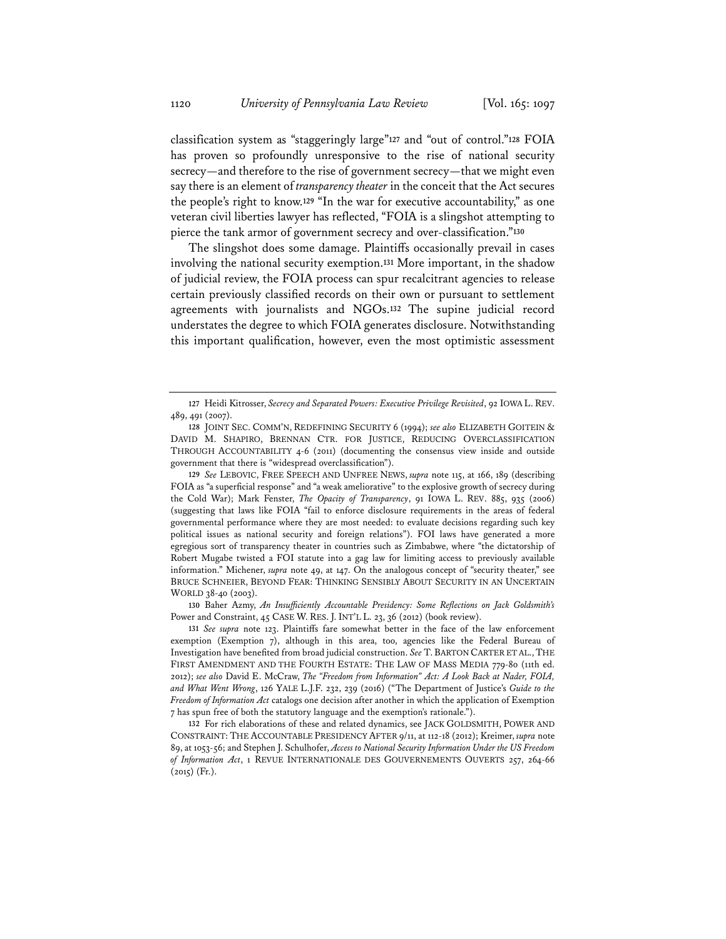classification system as "staggeringly large"**<sup>127</sup>** and "out of control."**<sup>128</sup>** FOIA has proven so profoundly unresponsive to the rise of national security secrecy—and therefore to the rise of government secrecy—that we might even say there is an element of *transparency theater* in the conceit that the Act secures the people's right to know.**<sup>129</sup>** "In the war for executive accountability," as one veteran civil liberties lawyer has reflected, "FOIA is a slingshot attempting to pierce the tank armor of government secrecy and over-classification."**<sup>130</sup>**

The slingshot does some damage. Plaintiffs occasionally prevail in cases involving the national security exemption.**<sup>131</sup>** More important, in the shadow of judicial review, the FOIA process can spur recalcitrant agencies to release certain previously classified records on their own or pursuant to settlement agreements with journalists and NGOs.**<sup>132</sup>** The supine judicial record understates the degree to which FOIA generates disclosure. Notwithstanding this important qualification, however, even the most optimistic assessment

**129** *See* LEBOVIC, FREE SPEECH AND UNFREE NEWS, *supra* note 115, at 166, 189 (describing FOIA as "a superficial response" and "a weak ameliorative" to the explosive growth of secrecy during the Cold War); Mark Fenster, *The Opacity of Transparency*, 91 IOWA L. REV. 885, 935 (2006) (suggesting that laws like FOIA "fail to enforce disclosure requirements in the areas of federal governmental performance where they are most needed: to evaluate decisions regarding such key political issues as national security and foreign relations"). FOI laws have generated a more egregious sort of transparency theater in countries such as Zimbabwe, where "the dictatorship of Robert Mugabe twisted a FOI statute into a gag law for limiting access to previously available information." Michener, *supra* note 49, at 147. On the analogous concept of "security theater," see BRUCE SCHNEIER, BEYOND FEAR: THINKING SENSIBLY ABOUT SECURITY IN AN UNCERTAIN WORLD 38-40 (2003).

**130** Baher Azmy, *An Insufficiently Accountable Presidency: Some Reflections on Jack Goldsmith's* Power and Constraint, 45 CASE W. RES. J. INT'L L. 23, 36 (2012) (book review).

**131** *See supra* note 123. Plaintiffs fare somewhat better in the face of the law enforcement exemption (Exemption 7), although in this area, too, agencies like the Federal Bureau of Investigation have benefited from broad judicial construction. *See* T. BARTON CARTER ET AL., THE FIRST AMENDMENT AND THE FOURTH ESTATE: THE LAW OF MASS MEDIA 779-80 (11th ed. 2012); *see also* David E. McCraw, *The "Freedom from Information" Act: A Look Back at Nader, FOIA, and What Went Wrong*, 126 YALE L.J.F. 232, 239 (2016) ("The Department of Justice's *Guide to the Freedom of Information Act* catalogs one decision after another in which the application of Exemption 7 has spun free of both the statutory language and the exemption's rationale.").

**132** For rich elaborations of these and related dynamics, see JACK GOLDSMITH, POWER AND CONSTRAINT: THE ACCOUNTABLE PRESIDENCY AFTER 9/11, at 112-18 (2012); Kreimer, *supra* note 89, at 1053-56; and Stephen J. Schulhofer, *Access to National Security Information Under the US Freedom of Information Act*, 1 REVUE INTERNATIONALE DES GOUVERNEMENTS OUVERTS 257, 264-66  $(2015)$  (Fr.).

**<sup>127</sup>** Heidi Kitrosser, *Secrecy and Separated Powers: Executive Privilege Revisited*, 92 IOWA L. REV. 489, 491 (2007).

**<sup>128</sup>** JOINT SEC. COMM'N, REDEFINING SECURITY 6 (1994); *see also* ELIZABETH GOITEIN & DAVID M. SHAPIRO, BRENNAN CTR. FOR JUSTICE, REDUCING OVERCLASSIFICATION THROUGH ACCOUNTABILITY 4-6 (2011) (documenting the consensus view inside and outside government that there is "widespread overclassification").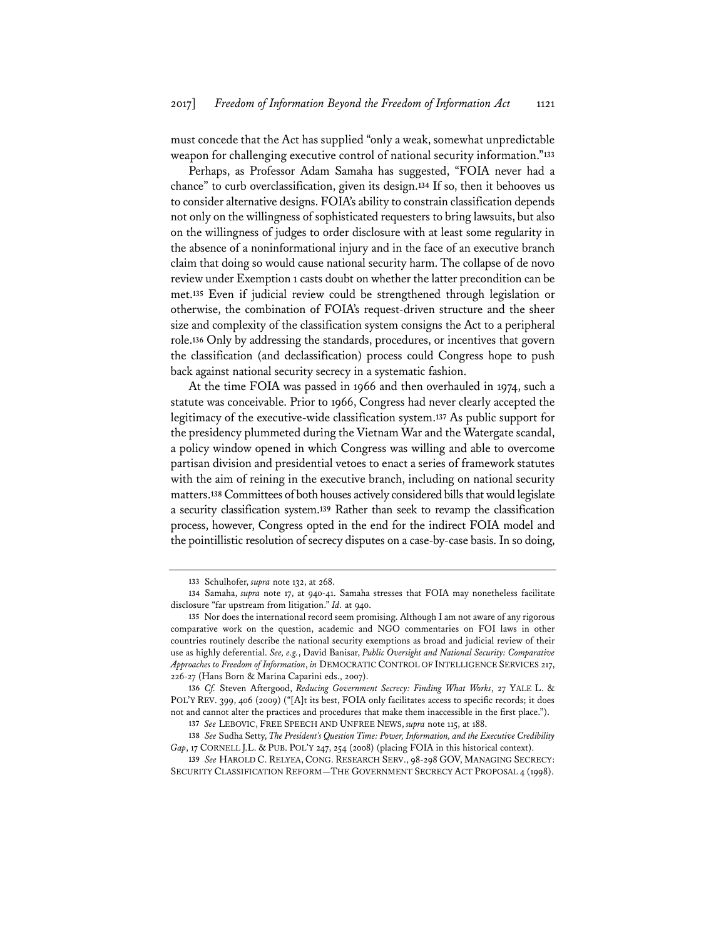must concede that the Act has supplied "only a weak, somewhat unpredictable weapon for challenging executive control of national security information."**<sup>133</sup>**

Perhaps, as Professor Adam Samaha has suggested, "FOIA never had a chance" to curb overclassification, given its design.**<sup>134</sup>** If so, then it behooves us to consider alternative designs. FOIA's ability to constrain classification depends not only on the willingness of sophisticated requesters to bring lawsuits, but also on the willingness of judges to order disclosure with at least some regularity in the absence of a noninformational injury and in the face of an executive branch claim that doing so would cause national security harm. The collapse of de novo review under Exemption 1 casts doubt on whether the latter precondition can be met.**<sup>135</sup>** Even if judicial review could be strengthened through legislation or otherwise, the combination of FOIA's request-driven structure and the sheer size and complexity of the classification system consigns the Act to a peripheral role.**<sup>136</sup>** Only by addressing the standards, procedures, or incentives that govern the classification (and declassification) process could Congress hope to push back against national security secrecy in a systematic fashion.

At the time FOIA was passed in 1966 and then overhauled in 1974, such a statute was conceivable. Prior to 1966, Congress had never clearly accepted the legitimacy of the executive-wide classification system.**<sup>137</sup>** As public support for the presidency plummeted during the Vietnam War and the Watergate scandal, a policy window opened in which Congress was willing and able to overcome partisan division and presidential vetoes to enact a series of framework statutes with the aim of reining in the executive branch, including on national security matters.**<sup>138</sup>** Committees of both houses actively considered bills that would legislate a security classification system.**<sup>139</sup>** Rather than seek to revamp the classification process, however, Congress opted in the end for the indirect FOIA model and the pointillistic resolution of secrecy disputes on a case-by-case basis. In so doing,

**<sup>133</sup>** Schulhofer, *supra* note 132, at 268.

**<sup>134</sup>** Samaha, *supra* note 17, at 940-41. Samaha stresses that FOIA may nonetheless facilitate disclosure "far upstream from litigation." *Id.* at 940.

**<sup>135</sup>** Nor does the international record seem promising. Although I am not aware of any rigorous comparative work on the question, academic and NGO commentaries on FOI laws in other countries routinely describe the national security exemptions as broad and judicial review of their use as highly deferential. *See, e.g.*, David Banisar, *Public Oversight and National Security: Comparative Approaches to Freedom of Information*, *in* DEMOCRATIC CONTROL OF INTELLIGENCE SERVICES 217, 226-27 (Hans Born & Marina Caparini eds., 2007).

**<sup>136</sup>** *Cf.* Steven Aftergood, *Reducing Government Secrecy: Finding What Works*, 27 YALE L. & POL'Y REV. 399, 406 (2009) ("[A]t its best, FOIA only facilitates access to specific records; it does not and cannot alter the practices and procedures that make them inaccessible in the first place.").

**<sup>137</sup>** *See* LEBOVIC, FREE SPEECH AND UNFREE NEWS, *supra* note 115, at 188.

**<sup>138</sup>** *See* Sudha Setty, *The President's Question Time: Power, Information, and the Executive Credibility Gap*, 17 CORNELL J.L. & PUB. POL'Y 247, 254 (2008) (placing FOIA in this historical context).

**<sup>139</sup>** *See* HAROLD C. RELYEA, CONG. RESEARCH SERV., 98-298 GOV, MANAGING SECRECY: SECURITY CLASSIFICATION REFORM—THE GOVERNMENT SECRECY ACT PROPOSAL 4 (1998).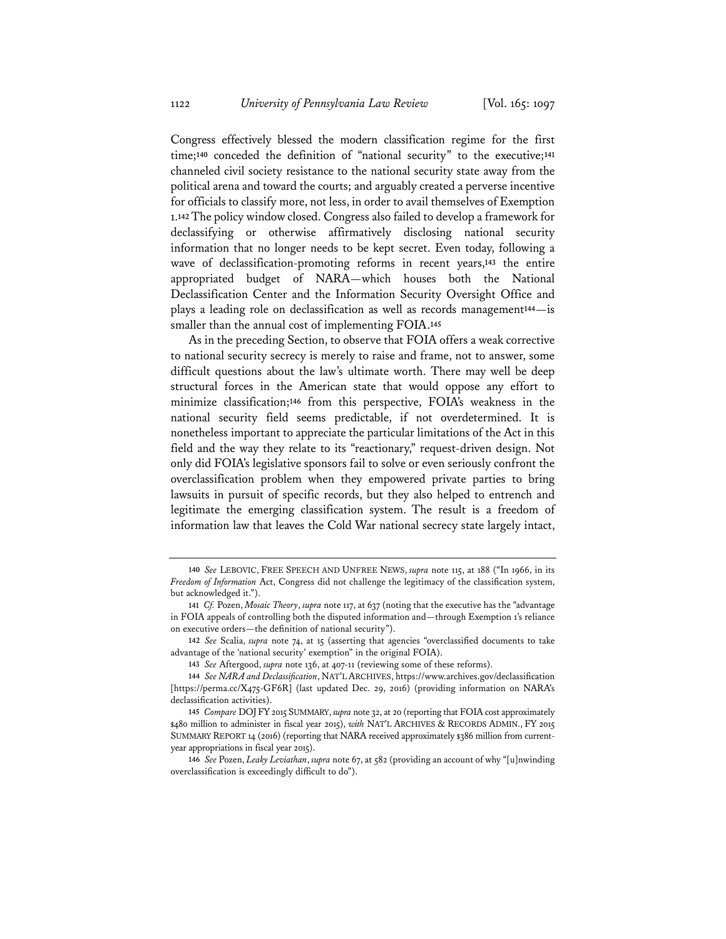Congress effectively blessed the modern classification regime for the first time;**<sup>140</sup>** conceded the definition of "national security" to the executive;**<sup>141</sup>** channeled civil society resistance to the national security state away from the political arena and toward the courts; and arguably created a perverse incentive for officials to classify more, not less, in order to avail themselves of Exemption 1.**<sup>142</sup>** The policy window closed. Congress also failed to develop a framework for declassifying or otherwise affirmatively disclosing national security information that no longer needs to be kept secret. Even today, following a wave of declassification-promoting reforms in recent years,**<sup>143</sup>** the entire appropriated budget of NARA—which houses both the National Declassification Center and the Information Security Oversight Office and plays a leading role on declassification as well as records management**<sup>144</sup>**—is smaller than the annual cost of implementing FOIA.**<sup>145</sup>**

As in the preceding Section, to observe that FOIA offers a weak corrective to national security secrecy is merely to raise and frame, not to answer, some difficult questions about the law's ultimate worth. There may well be deep structural forces in the American state that would oppose any effort to minimize classification;**<sup>146</sup>** from this perspective, FOIA's weakness in the national security field seems predictable, if not overdetermined. It is nonetheless important to appreciate the particular limitations of the Act in this field and the way they relate to its "reactionary," request-driven design. Not only did FOIA's legislative sponsors fail to solve or even seriously confront the overclassification problem when they empowered private parties to bring lawsuits in pursuit of specific records, but they also helped to entrench and legitimate the emerging classification system. The result is a freedom of information law that leaves the Cold War national secrecy state largely intact,

**<sup>140</sup>** *See* LEBOVIC, FREE SPEECH AND UNFREE NEWS, *supra* note 115, at 188 ("In 1966, in its *Freedom of Information* Act, Congress did not challenge the legitimacy of the classification system, but acknowledged it.").

**<sup>141</sup>** *Cf.* Pozen, *Mosaic Theory*, *supra* note 117, at 637 (noting that the executive has the "advantage in FOIA appeals of controlling both the disputed information and—through Exemption 1's reliance on executive orders—the definition of national security").

**<sup>142</sup>** *See* Scalia, *supra* note 74, at 15 (asserting that agencies "overclassified documents to take advantage of the 'national security' exemption" in the original FOIA).

**<sup>143</sup>** *See* Aftergood, *supra* note 136, at 407-11 (reviewing some of these reforms).

**<sup>144</sup>** *See NARA and Declassification*, NAT'L ARCHIVES, https://www.archives.gov/declassification [https://perma.cc/X475-GF6R] (last updated Dec. 29, 2016) (providing information on NARA's declassification activities).

**<sup>145</sup>** *Compare* DOJFY2015 SUMMARY, *supra* note 32, at 20 (reporting that FOIA cost approximately \$480 million to administer in fiscal year 2015), *with* NAT'L ARCHIVES & RECORDS ADMIN., FY 2015 SUMMARY REPORT 14 (2016) (reporting that NARA received approximately \$386 million from currentyear appropriations in fiscal year 2015).

**<sup>146</sup>** *See* Pozen, *Leaky Leviathan*, *supra* note 67, at 582 (providing an account of why "[u]nwinding overclassification is exceedingly difficult to do").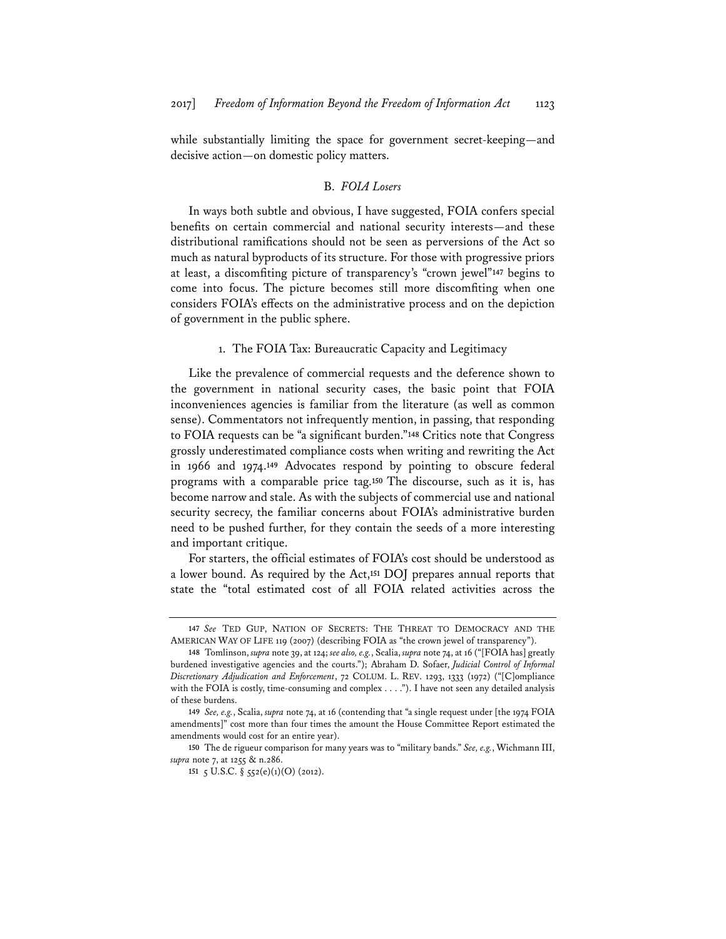while substantially limiting the space for government secret-keeping—and decisive action—on domestic policy matters.

# B. *FOIA Losers*

In ways both subtle and obvious, I have suggested, FOIA confers special benefits on certain commercial and national security interests—and these distributional ramifications should not be seen as perversions of the Act so much as natural byproducts of its structure. For those with progressive priors at least, a discomfiting picture of transparency's "crown jewel"**<sup>147</sup>** begins to come into focus. The picture becomes still more discomfiting when one considers FOIA's effects on the administrative process and on the depiction of government in the public sphere.

#### 1. The FOIA Tax: Bureaucratic Capacity and Legitimacy

Like the prevalence of commercial requests and the deference shown to the government in national security cases, the basic point that FOIA inconveniences agencies is familiar from the literature (as well as common sense). Commentators not infrequently mention, in passing, that responding to FOIA requests can be "a significant burden."**<sup>148</sup>** Critics note that Congress grossly underestimated compliance costs when writing and rewriting the Act in 1966 and 1974.**<sup>149</sup>** Advocates respond by pointing to obscure federal programs with a comparable price tag.**<sup>150</sup>** The discourse, such as it is, has become narrow and stale. As with the subjects of commercial use and national security secrecy, the familiar concerns about FOIA's administrative burden need to be pushed further, for they contain the seeds of a more interesting and important critique.

For starters, the official estimates of FOIA's cost should be understood as a lower bound. As required by the Act,**<sup>151</sup>** DOJ prepares annual reports that state the "total estimated cost of all FOIA related activities across the

**150** The de rigueur comparison for many years was to "military bands." *See, e.g.*, Wichmann III, *supra* note 7, at 1255 & n.286.

**151** 5 U.S.C. §  $552(e)(1)(O)$  (2012).

**<sup>147</sup>** *See* TED GUP, NATION OF SECRETS: THE THREAT TO DEMOCRACY AND THE AMERICAN WAY OF LIFE 119 (2007) (describing FOIA as "the crown jewel of transparency").

**<sup>148</sup>** Tomlinson, *supra* note 39, at 124; *see also, e.g.*, Scalia, *supra* note 74, at 16 ("[FOIA has] greatly burdened investigative agencies and the courts."); Abraham D. Sofaer, *Judicial Control of Informal Discretionary Adjudication and Enforcement*, 72 COLUM. L. REV. 1293, 1333 (1972) ("[C]ompliance with the FOIA is costly, time-consuming and complex . . . ."). I have not seen any detailed analysis of these burdens.

**<sup>149</sup>** *See, e.g.*, Scalia, *supra* note 74, at 16 (contending that "a single request under [the 1974 FOIA amendments]" cost more than four times the amount the House Committee Report estimated the amendments would cost for an entire year).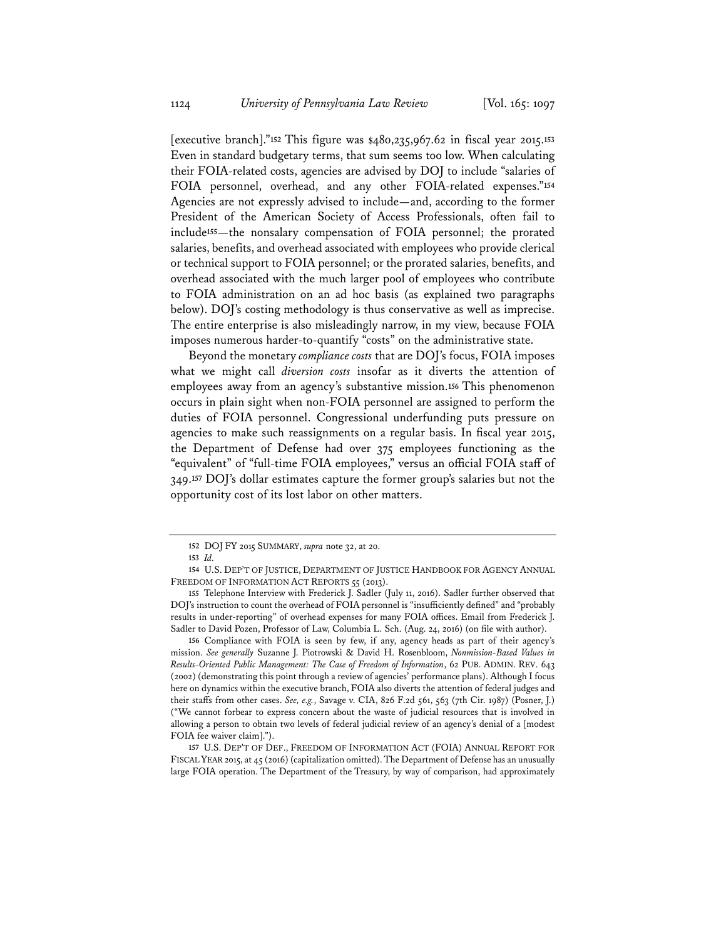[executive branch]."**<sup>152</sup>** This figure was \$480,235,967.62 in fiscal year 2015.**<sup>153</sup>** Even in standard budgetary terms, that sum seems too low. When calculating their FOIA-related costs, agencies are advised by DOJ to include "salaries of FOIA personnel, overhead, and any other FOIA-related expenses."**<sup>154</sup>** Agencies are not expressly advised to include—and, according to the former President of the American Society of Access Professionals, often fail to include**<sup>155</sup>**—the nonsalary compensation of FOIA personnel; the prorated salaries, benefits, and overhead associated with employees who provide clerical or technical support to FOIA personnel; or the prorated salaries, benefits, and overhead associated with the much larger pool of employees who contribute to FOIA administration on an ad hoc basis (as explained two paragraphs below). DOJ's costing methodology is thus conservative as well as imprecise. The entire enterprise is also misleadingly narrow, in my view, because FOIA imposes numerous harder-to-quantify "costs" on the administrative state.

Beyond the monetary *compliance costs* that are DOJ's focus, FOIA imposes what we might call *diversion costs* insofar as it diverts the attention of employees away from an agency's substantive mission.**<sup>156</sup>** This phenomenon occurs in plain sight when non-FOIA personnel are assigned to perform the duties of FOIA personnel. Congressional underfunding puts pressure on agencies to make such reassignments on a regular basis. In fiscal year 2015, the Department of Defense had over 375 employees functioning as the "equivalent" of "full-time FOIA employees," versus an official FOIA staff of 349.**<sup>157</sup>** DOJ's dollar estimates capture the former group's salaries but not the opportunity cost of its lost labor on other matters.

**156** Compliance with FOIA is seen by few, if any, agency heads as part of their agency's mission. *See generally* Suzanne J. Piotrowski & David H. Rosenbloom, *Nonmission-Based Values in Results-Oriented Public Management: The Case of Freedom of Information*, 62 PUB. ADMIN. REV. 643 (2002) (demonstrating this point through a review of agencies' performance plans). Although I focus here on dynamics within the executive branch, FOIA also diverts the attention of federal judges and their staffs from other cases. *See, e.g.*, Savage v. CIA, 826 F.2d 561, 563 (7th Cir. 1987) (Posner, J.) ("We cannot forbear to express concern about the waste of judicial resources that is involved in allowing a person to obtain two levels of federal judicial review of an agency's denial of a [modest FOIA fee waiver claim].").

**157** U.S. DEP'T OF DEF., FREEDOM OF INFORMATION ACT (FOIA) ANNUAL REPORT FOR FISCAL YEAR 2015, at 45 (2016) (capitalization omitted). The Department of Defense has an unusually large FOIA operation. The Department of the Treasury, by way of comparison, had approximately

**<sup>152</sup>** DOJ FY 2015 SUMMARY, *supra* note 32, at 20.

**<sup>153</sup>** *Id.*

**<sup>154</sup>** U.S. DEP'T OF JUSTICE, DEPARTMENT OF JUSTICE HANDBOOK FOR AGENCY ANNUAL FREEDOM OF INFORMATION ACT REPORTS 55 (2013).

**<sup>155</sup>** Telephone Interview with Frederick J. Sadler (July 11, 2016). Sadler further observed that DOJ's instruction to count the overhead of FOIA personnel is "insufficiently defined" and "probably results in under-reporting" of overhead expenses for many FOIA offices. Email from Frederick J. Sadler to David Pozen, Professor of Law, Columbia L. Sch. (Aug. 24, 2016) (on file with author).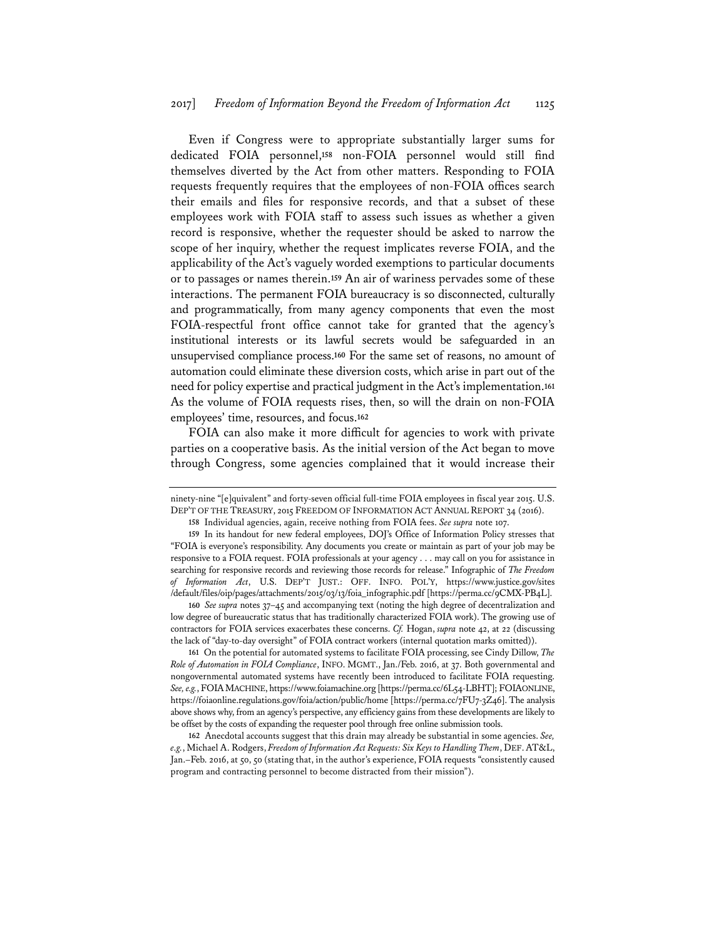Even if Congress were to appropriate substantially larger sums for dedicated FOIA personnel,**<sup>158</sup>** non-FOIA personnel would still find themselves diverted by the Act from other matters. Responding to FOIA requests frequently requires that the employees of non-FOIA offices search their emails and files for responsive records, and that a subset of these employees work with FOIA staff to assess such issues as whether a given record is responsive, whether the requester should be asked to narrow the scope of her inquiry, whether the request implicates reverse FOIA, and the applicability of the Act's vaguely worded exemptions to particular documents or to passages or names therein.**<sup>159</sup>** An air of wariness pervades some of these interactions. The permanent FOIA bureaucracy is so disconnected, culturally and programmatically, from many agency components that even the most FOIA-respectful front office cannot take for granted that the agency's institutional interests or its lawful secrets would be safeguarded in an unsupervised compliance process.**<sup>160</sup>** For the same set of reasons, no amount of automation could eliminate these diversion costs, which arise in part out of the need for policy expertise and practical judgment in the Act's implementation.**<sup>161</sup>** As the volume of FOIA requests rises, then, so will the drain on non-FOIA employees' time, resources, and focus.**<sup>162</sup>**

FOIA can also make it more difficult for agencies to work with private parties on a cooperative basis. As the initial version of the Act began to move through Congress, some agencies complained that it would increase their

**158** Individual agencies, again, receive nothing from FOIA fees. *See supra* note 107.

**160** *See supra* notes 37–45 and accompanying text (noting the high degree of decentralization and low degree of bureaucratic status that has traditionally characterized FOIA work). The growing use of contractors for FOIA services exacerbates these concerns. *Cf.* Hogan, *supra* note 42, at 22 (discussing the lack of "day-to-day oversight" of FOIA contract workers (internal quotation marks omitted)).

**161** On the potential for automated systems to facilitate FOIA processing, see Cindy Dillow, *The Role of Automation in FOIA Compliance*, INFO. MGMT., Jan./Feb. 2016, at 37. Both governmental and nongovernmental automated systems have recently been introduced to facilitate FOIA requesting. *See, e.g.*, FOIAMACHINE, https://www.foiamachine.org [https://perma.cc/6L54-LBHT]; FOIAONLINE, https://foiaonline.regulations.gov/foia/action/public/home [https://perma.cc/7FU7-3Z46]. The analysis above shows why, from an agency's perspective, any efficiency gains from these developments are likely to be offset by the costs of expanding the requester pool through free online submission tools.

**162** Anecdotal accounts suggest that this drain may already be substantial in some agencies. *See, e.g.*, Michael A. Rodgers, *Freedom of Information Act Requests: Six Keys to Handling Them*, DEF.AT&L, Jan.–Feb. 2016, at 50, 50 (stating that, in the author's experience, FOIA requests "consistently caused program and contracting personnel to become distracted from their mission").

ninety-nine "[e]quivalent" and forty-seven official full-time FOIA employees in fiscal year 2015. U.S. DEP'T OF THE TREASURY, 2015 FREEDOM OF INFORMATION ACT ANNUAL REPORT 34 (2016).

**<sup>159</sup>** In its handout for new federal employees, DOJ's Office of Information Policy stresses that "FOIA is everyone's responsibility. Any documents you create or maintain as part of your job may be responsive to a FOIA request. FOIA professionals at your agency . . . may call on you for assistance in searching for responsive records and reviewing those records for release." Infographic of *The Freedom of Information Act*, U.S. DEP'T JUST.: OFF. INFO. POL'Y, https://www.justice.gov/sites /default/files/oip/pages/attachments/2015/03/13/foia\_infographic.pdf [https://perma.cc/9CMX-PB4L].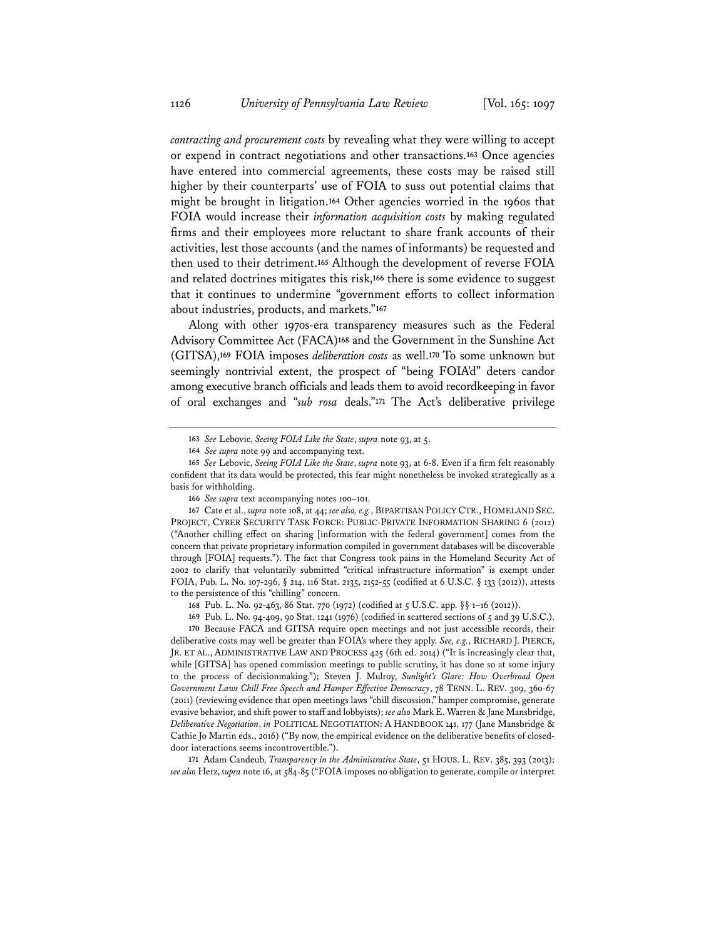*contracting and procurement costs* by revealing what they were willing to accept or expend in contract negotiations and other transactions.**<sup>163</sup>** Once agencies have entered into commercial agreements, these costs may be raised still higher by their counterparts' use of FOIA to suss out potential claims that might be brought in litigation.**<sup>164</sup>** Other agencies worried in the 1960s that FOIA would increase their *information acquisition costs* by making regulated firms and their employees more reluctant to share frank accounts of their activities, lest those accounts (and the names of informants) be requested and then used to their detriment.**<sup>165</sup>** Although the development of reverse FOIA and related doctrines mitigates this risk,**<sup>166</sup>** there is some evidence to suggest that it continues to undermine "government efforts to collect information about industries, products, and markets."**<sup>167</sup>**

Along with other 1970s-era transparency measures such as the Federal Advisory Committee Act (FACA)**<sup>168</sup>** and the Government in the Sunshine Act (GITSA),**<sup>169</sup>** FOIA imposes *deliberation costs* as well.**<sup>170</sup>** To some unknown but seemingly nontrivial extent, the prospect of "being FOIA'd" deters candor among executive branch officials and leads them to avoid recordkeeping in favor of oral exchanges and "*sub rosa* deals."**<sup>171</sup>** The Act's deliberative privilege

**171** Adam Candeub, *Transparency in the Administrative State*, 51 HOUS. L. REV. 385, 393 (2013); *see also* Herz, *supra* note 16, at 584-85 ("FOIA imposes no obligation to generate, compile or interpret

**<sup>163</sup>** *See* Lebovic, *Seeing FOIA Like the State*, *supra* note 93, at 5.

**<sup>164</sup>** *See supra* note 99 and accompanying text.

**<sup>165</sup>** *See* Lebovic, *Seeing FOIA Like the State*, *supra* note 93, at 6-8. Even if a firm felt reasonably confident that its data would be protected, this fear might nonetheless be invoked strategically as a basis for withholding.

**<sup>166</sup>** *See supra* text accompanying notes 100–101.

**<sup>167</sup>** Cate et al., *supra* note 108, at 44; *see also, e.g.*, BIPARTISAN POLICY CTR., HOMELAND SEC. PROJECT, CYBER SECURITY TASK FORCE: PUBLIC-PRIVATE INFORMATION SHARING 6 (2012) ("Another chilling effect on sharing [information with the federal government] comes from the concern that private proprietary information compiled in government databases will be discoverable through [FOIA] requests."). The fact that Congress took pains in the Homeland Security Act of 2002 to clarify that voluntarily submitted "critical infrastructure information" is exempt under FOIA, Pub. L. No. 107-296, § 214, 116 Stat. 2135, 2152-55 (codified at 6 U.S.C. § 133 (2012)), attests to the persistence of this "chilling" concern.

**<sup>168</sup>** Pub. L. No. 92-463, 86 Stat. 770 (1972) (codified at 5 U.S.C. app. §§ 1–16 (2012)).

**<sup>169</sup>** Pub. L. No. 94-409, 90 Stat. 1241 (1976) (codified in scattered sections of 5 and 39 U.S.C.).

**<sup>170</sup>** Because FACA and GITSA require open meetings and not just accessible records, their deliberative costs may well be greater than FOIA's where they apply. *See, e.g.*, RICHARD J. PIERCE, JR. ET AL., ADMINISTRATIVE LAW AND PROCESS 425 (6th ed. 2014) ("It is increasingly clear that, while [GITSA] has opened commission meetings to public scrutiny, it has done so at some injury to the process of decisionmaking."); Steven J. Mulroy, *Sunlight's Glare: How Overbroad Open Government Laws Chill Free Speech and Hamper Effective Democracy*, 78 TENN. L. REV. 309, 360-67 (2011) (reviewing evidence that open meetings laws "chill discussion," hamper compromise, generate evasive behavior, and shift power to staff and lobbyists); *see also* Mark E. Warren & Jane Mansbridge, *Deliberative Negotiation*, *in* POLITICAL NEGOTIATION: A HANDBOOK 141, 177 (Jane Mansbridge & Cathie Jo Martin eds., 2016) ("By now, the empirical evidence on the deliberative benefits of closeddoor interactions seems incontrovertible.").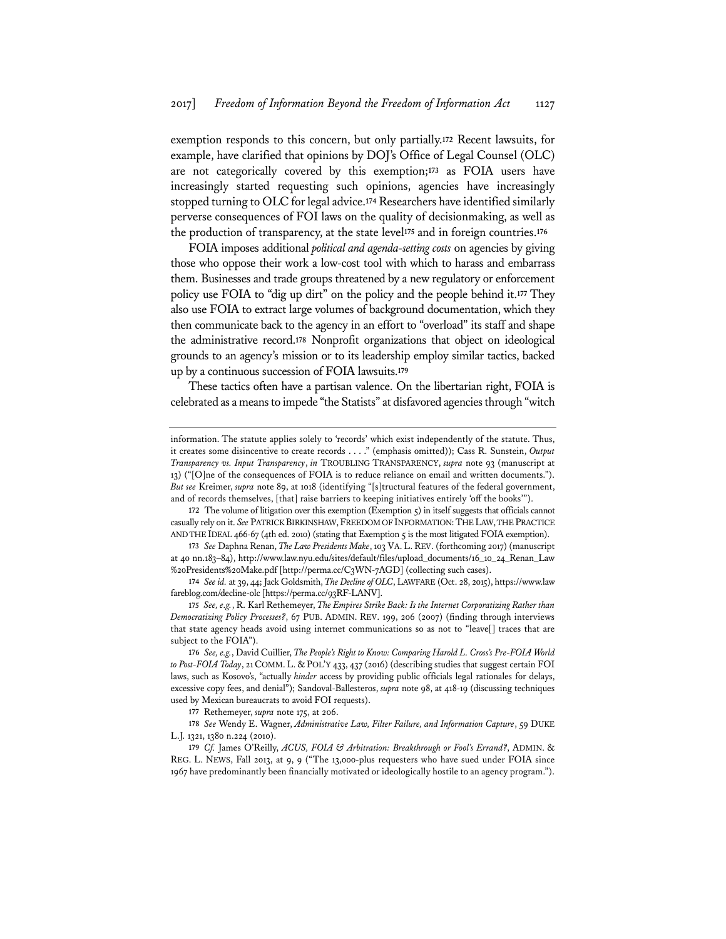exemption responds to this concern, but only partially.**<sup>172</sup>** Recent lawsuits, for example, have clarified that opinions by DOJ's Office of Legal Counsel (OLC) are not categorically covered by this exemption;**<sup>173</sup>** as FOIA users have increasingly started requesting such opinions, agencies have increasingly stopped turning to OLC for legal advice.**<sup>174</sup>** Researchers have identified similarly perverse consequences of FOI laws on the quality of decisionmaking, as well as the production of transparency, at the state level**<sup>175</sup>** and in foreign countries.**<sup>176</sup>**

FOIA imposes additional *political and agenda-setting costs* on agencies by giving those who oppose their work a low-cost tool with which to harass and embarrass them. Businesses and trade groups threatened by a new regulatory or enforcement policy use FOIA to "dig up dirt" on the policy and the people behind it.**<sup>177</sup>** They also use FOIA to extract large volumes of background documentation, which they then communicate back to the agency in an effort to "overload" its staff and shape the administrative record.**<sup>178</sup>** Nonprofit organizations that object on ideological grounds to an agency's mission or to its leadership employ similar tactics, backed up by a continuous succession of FOIA lawsuits.**<sup>179</sup>**

These tactics often have a partisan valence. On the libertarian right, FOIA is celebrated as a means to impede "the Statists" at disfavored agencies through "witch

**172** The volume of litigation over this exemption (Exemption 5) in itself suggests that officials cannot casually rely on it. *See* PATRICK BIRKINSHAW,FREEDOM OF INFORMATION:THE LAW, THE PRACTICE AND THE IDEAL 466-67 (4th ed. 2010) (stating that Exemption 5 is the most litigated FOIA exemption).

**173** *See* Daphna Renan, *The Law Presidents Make*, 103 VA. L.REV. (forthcoming 2017) (manuscript at 40 nn.183–84), http://www.law.nyu.edu/sites/default/files/upload\_documents/16\_10\_24\_Renan\_Law %20Presidents%20Make.pdf [http://perma.cc/C3WN-7AGD] (collecting such cases).

**174** *See id.* at 39, 44; Jack Goldsmith, *The Decline of OLC*, LAWFARE (Oct. 28, 2015), https://www.law fareblog.com/decline-olc [https://perma.cc/93RF-LANV].

**175** *See, e.g.*, R. Karl Rethemeyer, *The Empires Strike Back: Is the Internet Corporatizing Rather than Democratizing Policy Processes?*, 67 PUB. ADMIN. REV. 199, 206 (2007) (finding through interviews that state agency heads avoid using internet communications so as not to "leave[] traces that are subject to the FOIA").

**176** *See, e.g.*, David Cuillier, *The People's Right to Know: Comparing Harold L. Cross's Pre-FOIA World to Post-FOIA Today*, 21COMM. L. & POL'Y 433, 437 (2016) (describing studies that suggest certain FOI laws, such as Kosovo's, "actually *hinder* access by providing public officials legal rationales for delays, excessive copy fees, and denial"); Sandoval-Ballesteros, *supra* note 98, at 418-19 (discussing techniques used by Mexican bureaucrats to avoid FOI requests).

**177** Rethemeyer, *supra* note 175, at 206.

**178** *See* Wendy E. Wagner, *Administrative Law, Filter Failure, and Information Capture*, 59 DUKE L.J. 1321, 1380 n.224 (2010).

**179** *Cf.* James O'Reilly, *ACUS, FOIA & Arbitration: Breakthrough or Fool's Errand?*, ADMIN. & REG. L. NEWS, Fall 2013, at 9, 9 ("The 13,000-plus requesters who have sued under FOIA since 1967 have predominantly been financially motivated or ideologically hostile to an agency program.").

information. The statute applies solely to 'records' which exist independently of the statute. Thus, it creates some disincentive to create records . . . ." (emphasis omitted)); Cass R. Sunstein, *Output Transparency vs. Input Transparency*, *in* TROUBLING TRANSPARENCY, *supra* note 93 (manuscript at 13) ("[O]ne of the consequences of FOIA is to reduce reliance on email and written documents."). *But see* Kreimer, *supra* note 89, at 1018 (identifying "[s]tructural features of the federal government, and of records themselves, [that] raise barriers to keeping initiatives entirely 'off the books'").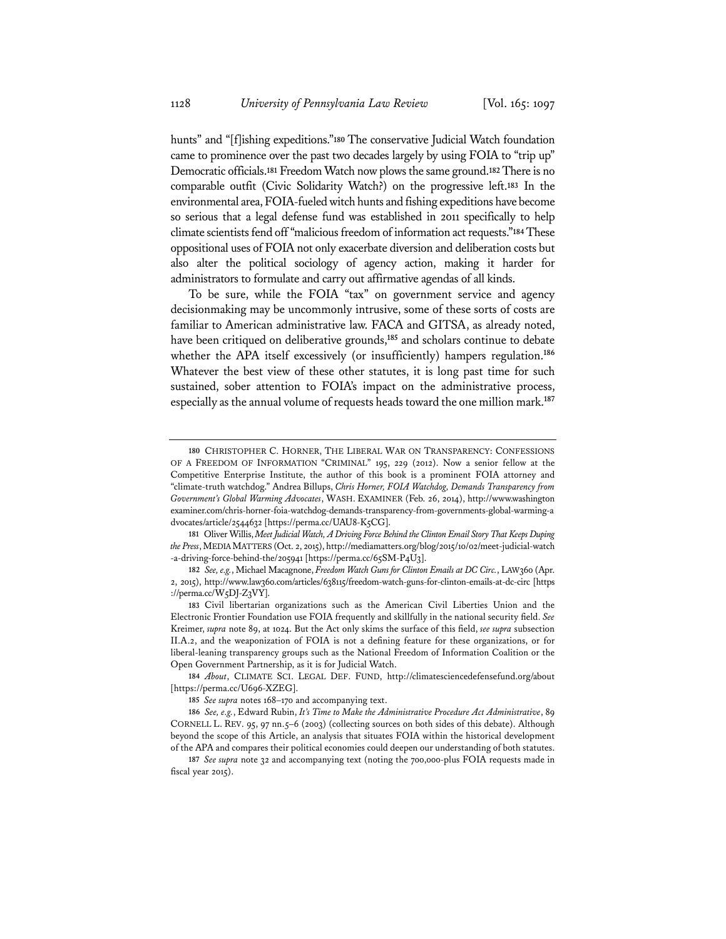hunts" and "[f]ishing expeditions."**<sup>180</sup>** The conservative Judicial Watch foundation came to prominence over the past two decades largely by using FOIA to "trip up" Democratic officials.**<sup>181</sup>** Freedom Watch now plows the same ground.**<sup>182</sup>** There is no comparable outfit (Civic Solidarity Watch?) on the progressive left.**<sup>183</sup>** In the environmental area, FOIA-fueled witch hunts and fishing expeditions have become so serious that a legal defense fund was established in 2011 specifically to help climate scientists fend off "malicious freedom of information act requests."**<sup>184</sup>** These oppositional uses of FOIA not only exacerbate diversion and deliberation costs but also alter the political sociology of agency action, making it harder for administrators to formulate and carry out affirmative agendas of all kinds.

To be sure, while the FOIA "tax" on government service and agency decisionmaking may be uncommonly intrusive, some of these sorts of costs are familiar to American administrative law. FACA and GITSA, as already noted, have been critiqued on deliberative grounds,**<sup>185</sup>** and scholars continue to debate whether the APA itself excessively (or insufficiently) hampers regulation.**<sup>186</sup>** Whatever the best view of these other statutes, it is long past time for such sustained, sober attention to FOIA's impact on the administrative process, especially as the annual volume of requests heads toward the one million mark.**<sup>187</sup>**

**<sup>180</sup>** CHRISTOPHER C. HORNER, THE LIBERAL WAR ON TRANSPARENCY: CONFESSIONS OF A FREEDOM OF INFORMATION "CRIMINAL" 195, 229 (2012). Now a senior fellow at the Competitive Enterprise Institute, the author of this book is a prominent FOIA attorney and "climate-truth watchdog." Andrea Billups, *Chris Horner, FOIA Watchdog, Demands Transparency from Government's Global Warming Advocates*, WASH. EXAMINER (Feb. 26, 2014), http://www.washington examiner.com/chris-horner-foia-watchdog-demands-transparency-from-governments-global-warming-a dvocates/article/2544632 [https://perma.cc/UAU8-K5CG].

**<sup>181</sup>** Oliver Willis, *Meet Judicial Watch, A Driving Force Behind the Clinton Email Story That Keeps Duping the Press*, MEDIA MATTERS (Oct. 2, 2015), http://mediamatters.org/blog/2015/10/02/meet-judicial-watch -a-driving-force-behind-the/205941 [https://perma.cc/65SM-P4U3].

**<sup>182</sup>** *See, e.g.*, Michael Macagnone, *Freedom Watch Guns for Clinton Emails at DC Circ.*, LAW360 (Apr. 2, 2015), http://www.law360.com/articles/638115/freedom-watch-guns-for-clinton-emails-at-dc-circ [https ://perma.cc/W5DJ-Z3VY].

**<sup>183</sup>** Civil libertarian organizations such as the American Civil Liberties Union and the Electronic Frontier Foundation use FOIA frequently and skillfully in the national security field. *See*  Kreimer, *supra* note 89, at 1024. But the Act only skims the surface of this field, *see supra* subsection II.A.2, and the weaponization of FOIA is not a defining feature for these organizations, or for liberal-leaning transparency groups such as the National Freedom of Information Coalition or the Open Government Partnership, as it is for Judicial Watch.

**<sup>184</sup>** *About*, CLIMATE SCI. LEGAL DEF. FUND, http://climatesciencedefensefund.org/about [https://perma.cc/U696-XZEG].

**<sup>185</sup>** *See supra* notes 168–170 and accompanying text.

**<sup>186</sup>** *See, e.g.*, Edward Rubin, *It's Time to Make the Administrative Procedure Act Administrative*, 89 CORNELL L. REV. 95, 97 nn.5–6 (2003) (collecting sources on both sides of this debate). Although beyond the scope of this Article, an analysis that situates FOIA within the historical development of the APA and compares their political economies could deepen our understanding of both statutes.

**<sup>187</sup>** *See supra* note 32 and accompanying text (noting the 700,000-plus FOIA requests made in fiscal year 2015).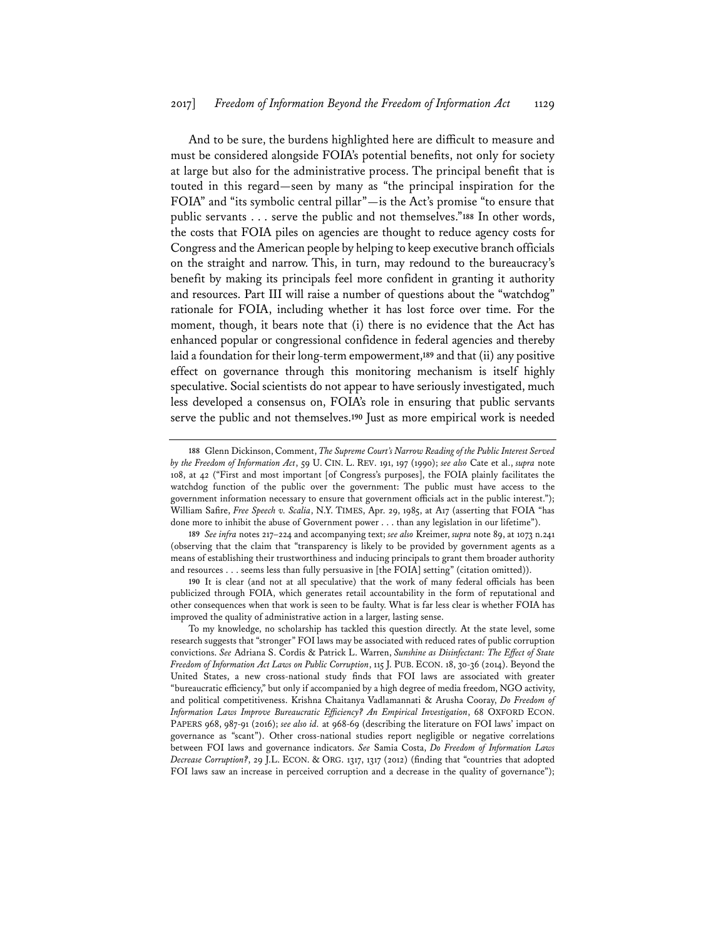And to be sure, the burdens highlighted here are difficult to measure and must be considered alongside FOIA's potential benefits, not only for society at large but also for the administrative process. The principal benefit that is touted in this regard—seen by many as "the principal inspiration for the FOIA" and "its symbolic central pillar"—is the Act's promise "to ensure that public servants . . . serve the public and not themselves."**<sup>188</sup>** In other words, the costs that FOIA piles on agencies are thought to reduce agency costs for Congress and the American people by helping to keep executive branch officials on the straight and narrow. This, in turn, may redound to the bureaucracy's benefit by making its principals feel more confident in granting it authority and resources. Part III will raise a number of questions about the "watchdog" rationale for FOIA, including whether it has lost force over time. For the moment, though, it bears note that (i) there is no evidence that the Act has enhanced popular or congressional confidence in federal agencies and thereby laid a foundation for their long-term empowerment,**<sup>189</sup>** and that (ii) any positive effect on governance through this monitoring mechanism is itself highly speculative. Social scientists do not appear to have seriously investigated, much less developed a consensus on, FOIA's role in ensuring that public servants serve the public and not themselves.**<sup>190</sup>** Just as more empirical work is needed

**190** It is clear (and not at all speculative) that the work of many federal officials has been publicized through FOIA, which generates retail accountability in the form of reputational and other consequences when that work is seen to be faulty. What is far less clear is whether FOIA has improved the quality of administrative action in a larger, lasting sense.

To my knowledge, no scholarship has tackled this question directly. At the state level, some research suggests that "stronger" FOI laws may be associated with reduced rates of public corruption convictions. *See* Adriana S. Cordis & Patrick L. Warren, *Sunshine as Disinfectant: The Effect of State Freedom of Information Act Laws on Public Corruption*, 115 J. PUB. ECON. 18, 30-36 (2014). Beyond the United States, a new cross-national study finds that FOI laws are associated with greater "bureaucratic efficiency," but only if accompanied by a high degree of media freedom, NGO activity, and political competitiveness. Krishna Chaitanya Vadlamannati & Arusha Cooray, *Do Freedom of Information Laws Improve Bureaucratic Efficiency? An Empirical Investigation*, 68 OXFORD ECON. PAPERS 968, 987-91 (2016); *see also id.* at 968-69 (describing the literature on FOI laws' impact on governance as "scant"). Other cross-national studies report negligible or negative correlations between FOI laws and governance indicators. *See* Samia Costa, *Do Freedom of Information Laws Decrease Corruption?*, 29 J.L. ECON. & ORG. 1317, 1317 (2012) (finding that "countries that adopted FOI laws saw an increase in perceived corruption and a decrease in the quality of governance");

**<sup>188</sup>** Glenn Dickinson, Comment, *The Supreme Court's Narrow Reading of the Public Interest Served by the Freedom of Information Act*, 59 U. CIN. L. REV. 191, 197 (1990); *see also* Cate et al., *supra* note 108, at 42 ("First and most important [of Congress's purposes], the FOIA plainly facilitates the watchdog function of the public over the government: The public must have access to the government information necessary to ensure that government officials act in the public interest."); William Safire, *Free Speech v. Scalia*, N.Y. TIMES, Apr. 29, 1985, at A17 (asserting that FOIA "has done more to inhibit the abuse of Government power . . . than any legislation in our lifetime").

**<sup>189</sup>** *See infra* notes 217–224 and accompanying text; *see also* Kreimer, *supra* note 89, at 1073 n.241 (observing that the claim that "transparency is likely to be provided by government agents as a means of establishing their trustworthiness and inducing principals to grant them broader authority and resources . . . seems less than fully persuasive in [the FOIA] setting" (citation omitted)).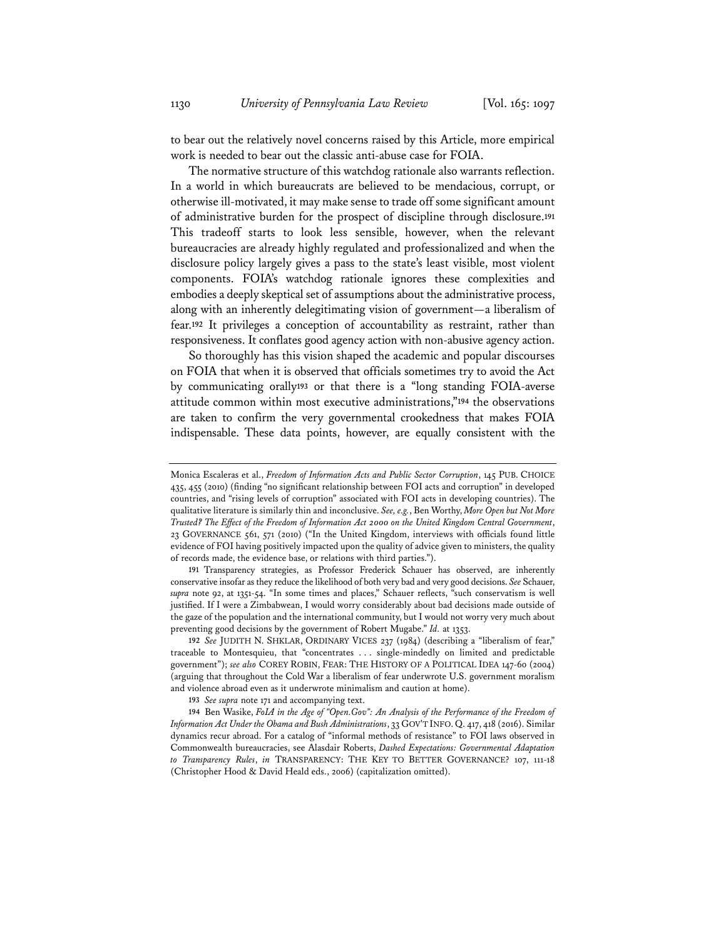to bear out the relatively novel concerns raised by this Article, more empirical work is needed to bear out the classic anti-abuse case for FOIA.

The normative structure of this watchdog rationale also warrants reflection. In a world in which bureaucrats are believed to be mendacious, corrupt, or otherwise ill-motivated, it may make sense to trade off some significant amount of administrative burden for the prospect of discipline through disclosure.**<sup>191</sup>** This tradeoff starts to look less sensible, however, when the relevant bureaucracies are already highly regulated and professionalized and when the disclosure policy largely gives a pass to the state's least visible, most violent components. FOIA's watchdog rationale ignores these complexities and embodies a deeply skeptical set of assumptions about the administrative process, along with an inherently delegitimating vision of government—a liberalism of fear.**<sup>192</sup>** It privileges a conception of accountability as restraint, rather than responsiveness. It conflates good agency action with non-abusive agency action.

So thoroughly has this vision shaped the academic and popular discourses on FOIA that when it is observed that officials sometimes try to avoid the Act by communicating orally**<sup>193</sup>** or that there is a "long standing FOIA-averse attitude common within most executive administrations,"**<sup>194</sup>** the observations are taken to confirm the very governmental crookedness that makes FOIA indispensable. These data points, however, are equally consistent with the

**191** Transparency strategies, as Professor Frederick Schauer has observed, are inherently conservative insofar as they reduce the likelihood of both very bad and very good decisions. *See* Schauer, *supra* note 92, at 1351-54. "In some times and places," Schauer reflects, "such conservatism is well justified. If I were a Zimbabwean, I would worry considerably about bad decisions made outside of the gaze of the population and the international community, but I would not worry very much about preventing good decisions by the government of Robert Mugabe." *Id.* at 1353.

**192** *See* JUDITH N. SHKLAR, ORDINARY VICES 237 (1984) (describing a "liberalism of fear," traceable to Montesquieu, that "concentrates . . . single-mindedly on limited and predictable government"); *see also* COREY ROBIN, FEAR: THE HISTORY OF A POLITICAL IDEA 147-60 (2004) (arguing that throughout the Cold War a liberalism of fear underwrote U.S. government moralism and violence abroad even as it underwrote minimalism and caution at home).

**193** *See supra* note 171 and accompanying text.

**194** Ben Wasike, *FoIA in the Age of "Open.Gov": An Analysis of the Performance of the Freedom of Information Act Under the Obama and Bush Administrations*, 33 GOV'T INFO. Q. 417, 418 (2016). Similar dynamics recur abroad. For a catalog of "informal methods of resistance" to FOI laws observed in Commonwealth bureaucracies, see Alasdair Roberts, *Dashed Expectations: Governmental Adaptation to Transparency Rules*, *in* TRANSPARENCY: THE KEY TO BETTER GOVERNANCE? 107, 111-18 (Christopher Hood & David Heald eds., 2006) (capitalization omitted).

Monica Escaleras et al., *Freedom of Information Acts and Public Sector Corruption*, 145 PUB. CHOICE 435, 455 (2010) (finding "no significant relationship between FOI acts and corruption" in developed countries, and "rising levels of corruption" associated with FOI acts in developing countries). The qualitative literature is similarly thin and inconclusive. *See, e.g.*, Ben Worthy, *More Open but Not More Trusted? The Effect of the Freedom of Information Act 2000 on the United Kingdom Central Government*, 23 GOVERNANCE 561, 571 (2010) ("In the United Kingdom, interviews with officials found little evidence of FOI having positively impacted upon the quality of advice given to ministers, the quality of records made, the evidence base, or relations with third parties.").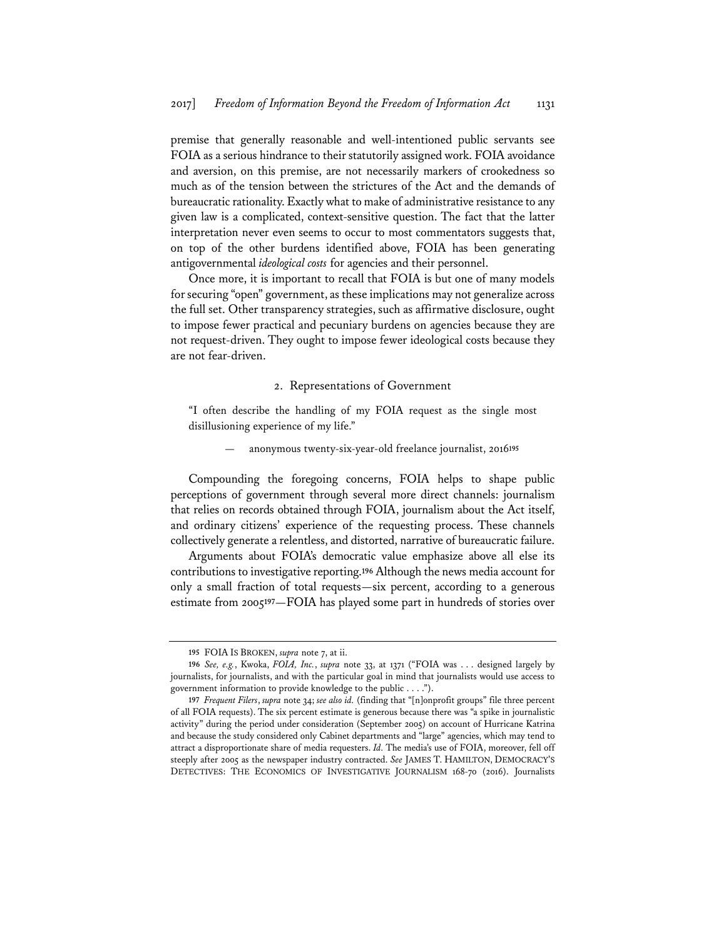premise that generally reasonable and well-intentioned public servants see FOIA as a serious hindrance to their statutorily assigned work. FOIA avoidance and aversion, on this premise, are not necessarily markers of crookedness so much as of the tension between the strictures of the Act and the demands of bureaucratic rationality. Exactly what to make of administrative resistance to any given law is a complicated, context-sensitive question. The fact that the latter interpretation never even seems to occur to most commentators suggests that, on top of the other burdens identified above, FOIA has been generating antigovernmental *ideological costs* for agencies and their personnel.

Once more, it is important to recall that FOIA is but one of many models for securing "open" government, as these implications may not generalize across the full set. Other transparency strategies, such as affirmative disclosure, ought to impose fewer practical and pecuniary burdens on agencies because they are not request-driven. They ought to impose fewer ideological costs because they are not fear-driven.

#### 2. Representations of Government

"I often describe the handling of my FOIA request as the single most disillusioning experience of my life."

— anonymous twenty-six-year-old freelance journalist, 2016**<sup>195</sup>**

Compounding the foregoing concerns, FOIA helps to shape public perceptions of government through several more direct channels: journalism that relies on records obtained through FOIA, journalism about the Act itself, and ordinary citizens' experience of the requesting process. These channels collectively generate a relentless, and distorted, narrative of bureaucratic failure.

Arguments about FOIA's democratic value emphasize above all else its contributions to investigative reporting.**<sup>196</sup>** Although the news media account for only a small fraction of total requests—six percent, according to a generous estimate from 2005**<sup>197</sup>**—FOIA has played some part in hundreds of stories over

**<sup>195</sup>** FOIA IS BROKEN, *supra* note 7, at ii.

**<sup>196</sup>** *See, e.g.*, Kwoka, *FOIA, Inc.*, *supra* note 33, at 1371 ("FOIA was . . . designed largely by journalists, for journalists, and with the particular goal in mind that journalists would use access to government information to provide knowledge to the public . . . .").

**<sup>197</sup>** *Frequent Filers*, *supra* note 34; *see also id.* (finding that "[n]onprofit groups" file three percent of all FOIA requests). The six percent estimate is generous because there was "a spike in journalistic activity" during the period under consideration (September 2005) on account of Hurricane Katrina and because the study considered only Cabinet departments and "large" agencies, which may tend to attract a disproportionate share of media requesters. *Id.* The media's use of FOIA, moreover, fell off steeply after 2005 as the newspaper industry contracted. *See* JAMES T. HAMILTON, DEMOCRACY'S DETECTIVES: THE ECONOMICS OF INVESTIGATIVE JOURNALISM 168-70 (2016). Journalists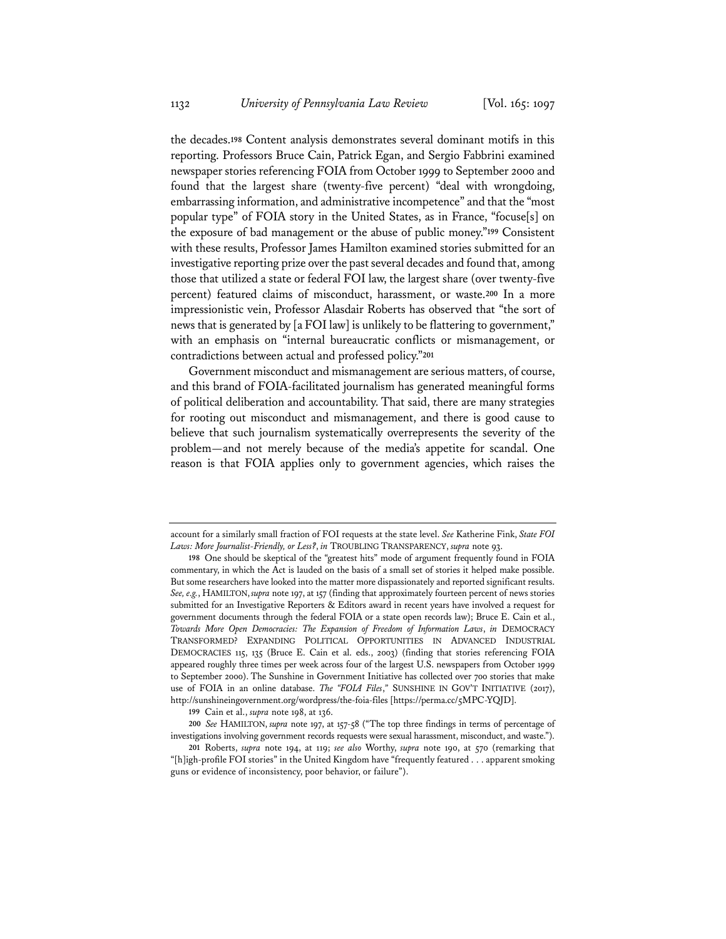the decades.**<sup>198</sup>** Content analysis demonstrates several dominant motifs in this reporting. Professors Bruce Cain, Patrick Egan, and Sergio Fabbrini examined newspaper stories referencing FOIA from October 1999 to September 2000 and found that the largest share (twenty-five percent) "deal with wrongdoing, embarrassing information, and administrative incompetence" and that the "most popular type" of FOIA story in the United States, as in France, "focuse[s] on the exposure of bad management or the abuse of public money."**<sup>199</sup>** Consistent with these results, Professor James Hamilton examined stories submitted for an investigative reporting prize over the past several decades and found that, among those that utilized a state or federal FOI law, the largest share (over twenty-five percent) featured claims of misconduct, harassment, or waste.**<sup>200</sup>** In a more impressionistic vein, Professor Alasdair Roberts has observed that "the sort of news that is generated by [a FOI law] is unlikely to be flattering to government," with an emphasis on "internal bureaucratic conflicts or mismanagement, or contradictions between actual and professed policy."**<sup>201</sup>**

Government misconduct and mismanagement are serious matters, of course, and this brand of FOIA-facilitated journalism has generated meaningful forms of political deliberation and accountability. That said, there are many strategies for rooting out misconduct and mismanagement, and there is good cause to believe that such journalism systematically overrepresents the severity of the problem—and not merely because of the media's appetite for scandal. One reason is that FOIA applies only to government agencies, which raises the

**199** Cain et al., *supra* note 198, at 136.

account for a similarly small fraction of FOI requests at the state level. *See* Katherine Fink, *State FOI Laws: More Journalist-Friendly, or Less?*, *in* TROUBLING TRANSPARENCY, *supra* note 93.

**<sup>198</sup>** One should be skeptical of the "greatest hits" mode of argument frequently found in FOIA commentary, in which the Act is lauded on the basis of a small set of stories it helped make possible. But some researchers have looked into the matter more dispassionately and reported significant results. *See, e.g.*, HAMILTON, *supra* note 197, at 157 (finding that approximately fourteen percent of news stories submitted for an Investigative Reporters & Editors award in recent years have involved a request for government documents through the federal FOIA or a state open records law); Bruce E. Cain et al., *Towards More Open Democracies: The Expansion of Freedom of Information Laws*, *in* DEMOCRACY TRANSFORMED? EXPANDING POLITICAL OPPORTUNITIES IN ADVANCED INDUSTRIAL DEMOCRACIES 115, 135 (Bruce E. Cain et al. eds., 2003) (finding that stories referencing FOIA appeared roughly three times per week across four of the largest U.S. newspapers from October 1999 to September 2000). The Sunshine in Government Initiative has collected over 700 stories that make use of FOIA in an online database. *The "FOIA Files*,*"* SUNSHINE IN GOV'T INITIATIVE (2017), http://sunshineingovernment.org/wordpress/the-foia-files [https://perma.cc/5MPC-YQJD].

**<sup>200</sup>** *See* HAMILTON, *supra* note 197, at 157-58 ("The top three findings in terms of percentage of investigations involving government records requests were sexual harassment, misconduct, and waste.").

**<sup>201</sup>** Roberts, *supra* note 194, at 119; *see also* Worthy, *supra* note 190, at 570 (remarking that "[h]igh-profile FOI stories" in the United Kingdom have "frequently featured . . . apparent smoking guns or evidence of inconsistency, poor behavior, or failure").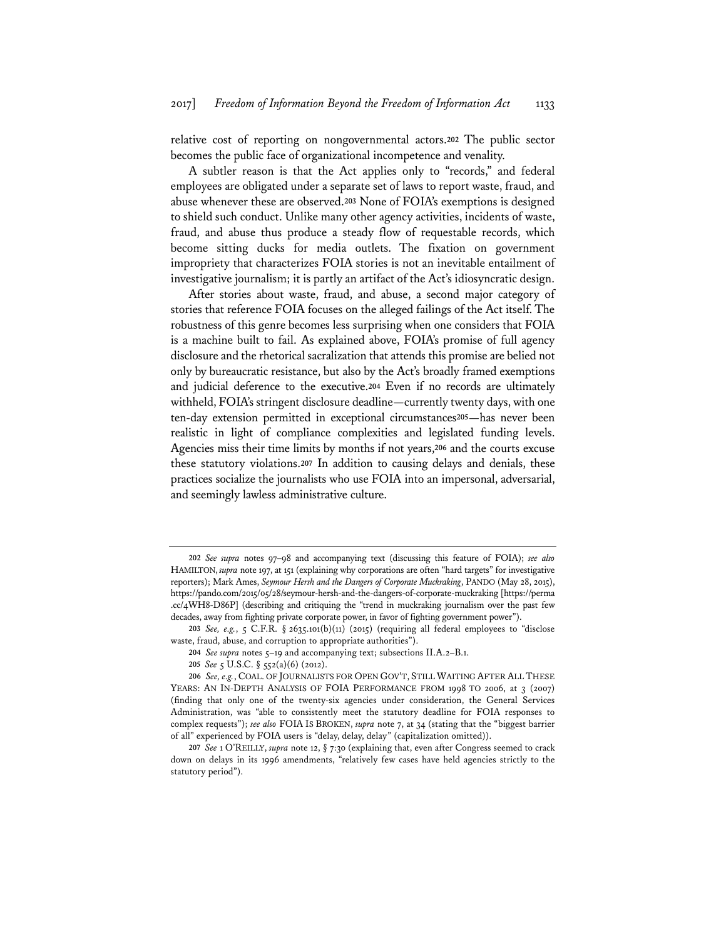relative cost of reporting on nongovernmental actors.**<sup>202</sup>** The public sector becomes the public face of organizational incompetence and venality.

A subtler reason is that the Act applies only to "records," and federal employees are obligated under a separate set of laws to report waste, fraud, and abuse whenever these are observed.**<sup>203</sup>** None of FOIA's exemptions is designed to shield such conduct. Unlike many other agency activities, incidents of waste, fraud, and abuse thus produce a steady flow of requestable records, which become sitting ducks for media outlets. The fixation on government impropriety that characterizes FOIA stories is not an inevitable entailment of investigative journalism; it is partly an artifact of the Act's idiosyncratic design.

After stories about waste, fraud, and abuse, a second major category of stories that reference FOIA focuses on the alleged failings of the Act itself. The robustness of this genre becomes less surprising when one considers that FOIA is a machine built to fail. As explained above, FOIA's promise of full agency disclosure and the rhetorical sacralization that attends this promise are belied not only by bureaucratic resistance, but also by the Act's broadly framed exemptions and judicial deference to the executive.**<sup>204</sup>** Even if no records are ultimately withheld, FOIA's stringent disclosure deadline—currently twenty days, with one ten-day extension permitted in exceptional circumstances**<sup>205</sup>**—has never been realistic in light of compliance complexities and legislated funding levels. Agencies miss their time limits by months if not years,**<sup>206</sup>** and the courts excuse these statutory violations.**<sup>207</sup>** In addition to causing delays and denials, these practices socialize the journalists who use FOIA into an impersonal, adversarial, and seemingly lawless administrative culture.

**<sup>202</sup>** *See supra* notes 97–98 and accompanying text (discussing this feature of FOIA); *see also* HAMILTON, *supra* note 197, at 151 (explaining why corporations are often "hard targets" for investigative reporters); Mark Ames, *Seymour Hersh and the Dangers of Corporate Muckraking*, PANDO (May 28, 2015), https://pando.com/2015/05/28/seymour-hersh-and-the-dangers-of-corporate-muckraking [https://perma .cc/4WH8-D86P] (describing and critiquing the "trend in muckraking journalism over the past few decades, away from fighting private corporate power, in favor of fighting government power").

**<sup>203</sup>** *See, e.g.*, 5 C.F.R. § 2635.101(b)(11) (2015) (requiring all federal employees to "disclose waste, fraud, abuse, and corruption to appropriate authorities").

**<sup>204</sup>** *See supra* notes 5–19 and accompanying text; subsections II.A.2–B.1.

**<sup>205</sup>** *See* 5 U.S.C. § 552(a)(6) (2012).

**<sup>206</sup>** *See, e.g.*, COAL. OF JOURNALISTS FOR OPEN GOV'T, STILL WAITING AFTER ALL THESE YEARS: AN IN-DEPTH ANALYSIS OF FOIA PERFORMANCE FROM 1998 TO 2006, at 3 (2007) (finding that only one of the twenty-six agencies under consideration, the General Services Administration, was "able to consistently meet the statutory deadline for FOIA responses to complex requests"); *see also* FOIA IS BROKEN, *supra* note 7, at 34 (stating that the "biggest barrier of all" experienced by FOIA users is "delay, delay, delay" (capitalization omitted)).

**<sup>207</sup>** *See* 1 O'REILLY, *supra* note 12, § 7:30 (explaining that, even after Congress seemed to crack down on delays in its 1996 amendments, "relatively few cases have held agencies strictly to the statutory period").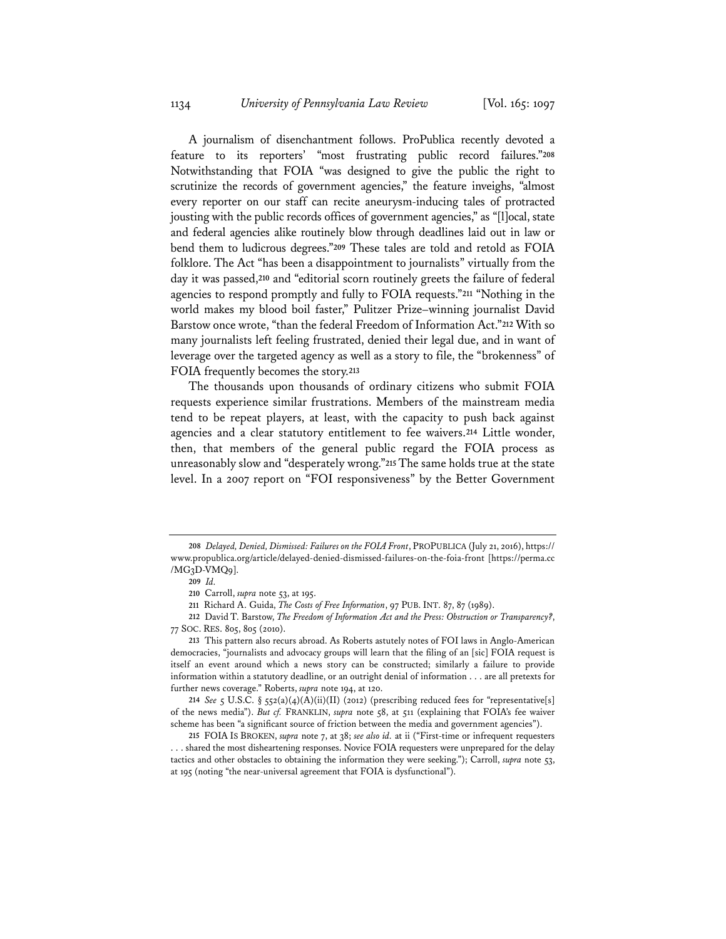A journalism of disenchantment follows. ProPublica recently devoted a feature to its reporters' "most frustrating public record failures."**<sup>208</sup>** Notwithstanding that FOIA "was designed to give the public the right to scrutinize the records of government agencies," the feature inveighs, "almost every reporter on our staff can recite aneurysm-inducing tales of protracted jousting with the public records offices of government agencies," as "[l]ocal, state and federal agencies alike routinely blow through deadlines laid out in law or bend them to ludicrous degrees."**<sup>209</sup>** These tales are told and retold as FOIA folklore. The Act "has been a disappointment to journalists" virtually from the day it was passed,**<sup>210</sup>** and "editorial scorn routinely greets the failure of federal agencies to respond promptly and fully to FOIA requests."**<sup>211</sup>** "Nothing in the world makes my blood boil faster," Pulitzer Prize–winning journalist David Barstow once wrote, "than the federal Freedom of Information Act."**<sup>212</sup>** With so many journalists left feeling frustrated, denied their legal due, and in want of leverage over the targeted agency as well as a story to file, the "brokenness" of FOIA frequently becomes the story.**<sup>213</sup>**

The thousands upon thousands of ordinary citizens who submit FOIA requests experience similar frustrations. Members of the mainstream media tend to be repeat players, at least, with the capacity to push back against agencies and a clear statutory entitlement to fee waivers.**<sup>214</sup>** Little wonder, then, that members of the general public regard the FOIA process as unreasonably slow and "desperately wrong."**<sup>215</sup>** The same holds true at the state level. In a 2007 report on "FOI responsiveness" by the Better Government

**<sup>208</sup>** *Delayed, Denied, Dismissed: Failures on the FOIA Front*, PROPUBLICA (July 21, 2016), https:// www.propublica.org/article/delayed-denied-dismissed-failures-on-the-foia-front [https://perma.cc /MG3D-VMQ9].

**<sup>209</sup>** *Id.*

**<sup>210</sup>** Carroll, *supra* note 53, at 195.

**<sup>211</sup>** Richard A. Guida, *The Costs of Free Information*, 97 PUB. INT. 87, 87 (1989).

**<sup>212</sup>** David T. Barstow, *The Freedom of Information Act and the Press: Obstruction or Transparency?*, 77 SOC. RES. 805, 805 (2010).

**<sup>213</sup>** This pattern also recurs abroad. As Roberts astutely notes of FOI laws in Anglo-American democracies, "journalists and advocacy groups will learn that the filing of an [sic] FOIA request is itself an event around which a news story can be constructed; similarly a failure to provide information within a statutory deadline, or an outright denial of information . . . are all pretexts for further news coverage." Roberts, *supra* note 194, at 120.

**<sup>214</sup>** *See* 5 U.S.C. § 552(a)(4)(A)(ii)(II) (2012) (prescribing reduced fees for "representative[s] of the news media"). *But cf.* FRANKLIN, *supra* note 58, at 511 (explaining that FOIA's fee waiver scheme has been "a significant source of friction between the media and government agencies").

**<sup>215</sup>** FOIA IS BROKEN, *supra* note 7, at 38; *see also id.* at ii ("First-time or infrequent requesters . . . shared the most disheartening responses. Novice FOIA requesters were unprepared for the delay tactics and other obstacles to obtaining the information they were seeking."); Carroll, *supra* note 53, at 195 (noting "the near-universal agreement that FOIA is dysfunctional").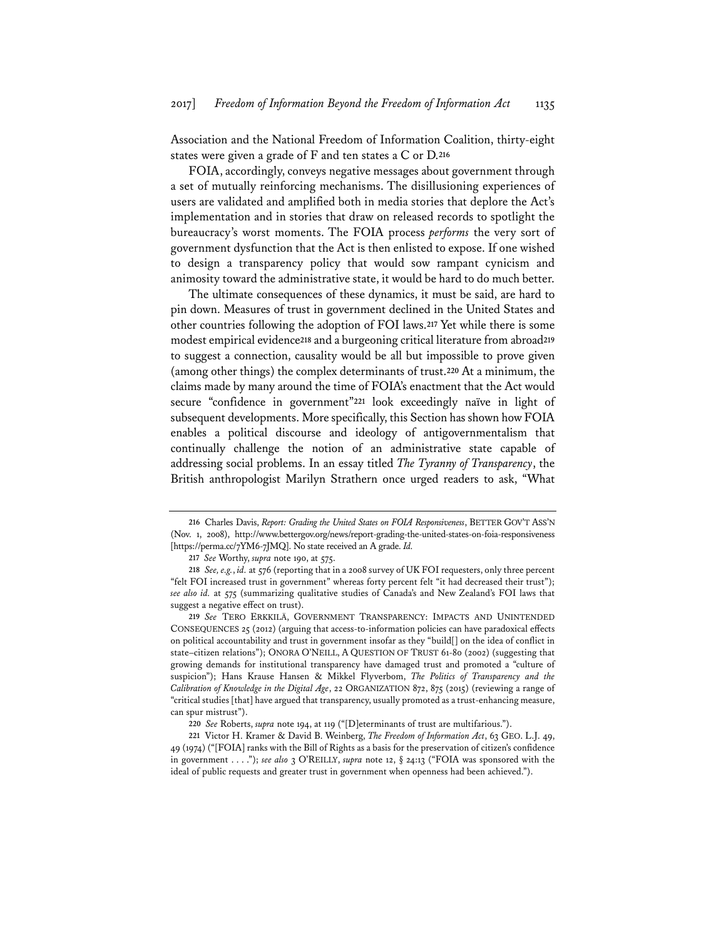Association and the National Freedom of Information Coalition, thirty-eight states were given a grade of F and ten states a C or D.**<sup>216</sup>**

FOIA, accordingly, conveys negative messages about government through a set of mutually reinforcing mechanisms. The disillusioning experiences of users are validated and amplified both in media stories that deplore the Act's implementation and in stories that draw on released records to spotlight the bureaucracy's worst moments. The FOIA process *performs* the very sort of government dysfunction that the Act is then enlisted to expose. If one wished to design a transparency policy that would sow rampant cynicism and animosity toward the administrative state, it would be hard to do much better.

The ultimate consequences of these dynamics, it must be said, are hard to pin down. Measures of trust in government declined in the United States and other countries following the adoption of FOI laws.**<sup>217</sup>** Yet while there is some modest empirical evidence**<sup>218</sup>** and a burgeoning critical literature from abroad**<sup>219</sup>** to suggest a connection, causality would be all but impossible to prove given (among other things) the complex determinants of trust.**<sup>220</sup>** At a minimum, the claims made by many around the time of FOIA's enactment that the Act would secure "confidence in government"**<sup>221</sup>** look exceedingly naïve in light of subsequent developments. More specifically, this Section has shown how FOIA enables a political discourse and ideology of antigovernmentalism that continually challenge the notion of an administrative state capable of addressing social problems. In an essay titled *The Tyranny of Transparency*, the British anthropologist Marilyn Strathern once urged readers to ask, "What

**<sup>216</sup>** Charles Davis, *Report: Grading the United States on FOIA Responsiveness*, BETTER GOV'T ASS'N (Nov. 1, 2008), http://www.bettergov.org/news/report-grading-the-united-states-on-foia-responsiveness [https://perma.cc/7YM6-7JMQ]. No state received an A grade. *Id.*

**<sup>217</sup>** *See* Worthy, *supra* note 190, at 575.

**<sup>218</sup>** *See, e.g.*, *id.* at 576 (reporting that in a 2008 survey of UK FOI requesters, only three percent "felt FOI increased trust in government" whereas forty percent felt "it had decreased their trust"); *see also id.* at 575 (summarizing qualitative studies of Canada's and New Zealand's FOI laws that suggest a negative effect on trust).

**<sup>219</sup>** *See* TERO ERKKILÄ, GOVERNMENT TRANSPARENCY: IMPACTS AND UNINTENDED CONSEQUENCES 25 (2012) (arguing that access-to-information policies can have paradoxical effects on political accountability and trust in government insofar as they "build[] on the idea of conflict in state–citizen relations"); ONORA O'NEILL, A QUESTION OF TRUST 61-80 (2002) (suggesting that growing demands for institutional transparency have damaged trust and promoted a "culture of suspicion"); Hans Krause Hansen & Mikkel Flyverbom, *The Politics of Transparency and the Calibration of Knowledge in the Digital Age*, 22 ORGANIZATION 872, 875 (2015) (reviewing a range of "critical studies [that] have argued that transparency, usually promoted as a trust-enhancing measure, can spur mistrust").

**<sup>220</sup>** *See* Roberts, *supra* note 194, at 119 ("[D]eterminants of trust are multifarious.").

**<sup>221</sup>** Victor H. Kramer & David B. Weinberg, *The Freedom of Information Act*, 63 GEO. L.J. 49, 49 (1974) ("[FOIA] ranks with the Bill of Rights as a basis for the preservation of citizen's confidence in government . . . ."); *see also* 3 O'REILLY, *supra* note 12, § 24:13 ("FOIA was sponsored with the ideal of public requests and greater trust in government when openness had been achieved.").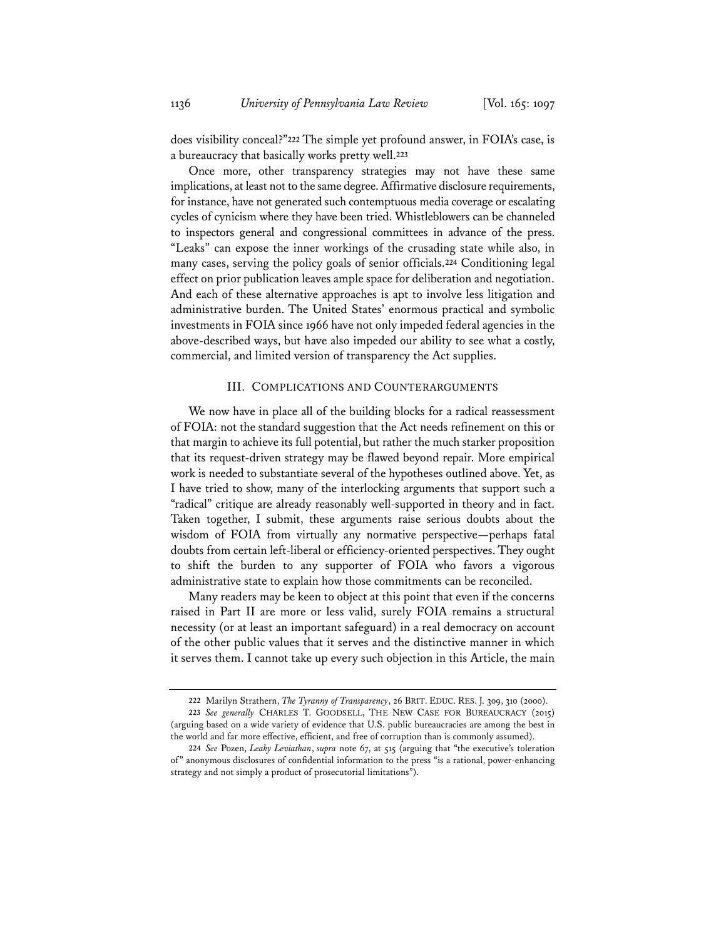does visibility conceal?"**<sup>222</sup>** The simple yet profound answer, in FOIA's case, is a bureaucracy that basically works pretty well.**<sup>223</sup>**

Once more, other transparency strategies may not have these same implications, at least not to the same degree. Affirmative disclosure requirements, for instance, have not generated such contemptuous media coverage or escalating cycles of cynicism where they have been tried. Whistleblowers can be channeled to inspectors general and congressional committees in advance of the press. "Leaks" can expose the inner workings of the crusading state while also, in many cases, serving the policy goals of senior officials.**<sup>224</sup>** Conditioning legal effect on prior publication leaves ample space for deliberation and negotiation. And each of these alternative approaches is apt to involve less litigation and administrative burden. The United States' enormous practical and symbolic investments in FOIA since 1966 have not only impeded federal agencies in the above-described ways, but have also impeded our ability to see what a costly, commercial, and limited version of transparency the Act supplies.

# III. COMPLICATIONS AND COUNTERARGUMENTS

We now have in place all of the building blocks for a radical reassessment of FOIA: not the standard suggestion that the Act needs refinement on this or that margin to achieve its full potential, but rather the much starker proposition that its request-driven strategy may be flawed beyond repair. More empirical work is needed to substantiate several of the hypotheses outlined above. Yet, as I have tried to show, many of the interlocking arguments that support such a "radical" critique are already reasonably well-supported in theory and in fact. Taken together, I submit, these arguments raise serious doubts about the wisdom of FOIA from virtually any normative perspective—perhaps fatal doubts from certain left-liberal or efficiency-oriented perspectives. They ought to shift the burden to any supporter of FOIA who favors a vigorous administrative state to explain how those commitments can be reconciled.

Many readers may be keen to object at this point that even if the concerns raised in Part II are more or less valid, surely FOIA remains a structural necessity (or at least an important safeguard) in a real democracy on account of the other public values that it serves and the distinctive manner in which it serves them. I cannot take up every such objection in this Article, the main

**<sup>222</sup>** Marilyn Strathern, *The Tyranny of Transparency*, 26 BRIT. EDUC. RES. J. 309, 310 (2000). **223** *See generally* CHARLES T. GOODSELL, THE NEW CASE FOR BUREAUCRACY (2015) (arguing based on a wide variety of evidence that U.S. public bureaucracies are among the best in the world and far more effective, efficient, and free of corruption than is commonly assumed).

**<sup>224</sup>** *See* Pozen, *Leaky Leviathan*, *supra* note 67, at 515 (arguing that "the executive's toleration of" anonymous disclosures of confidential information to the press "is a rational, power-enhancing strategy and not simply a product of prosecutorial limitations").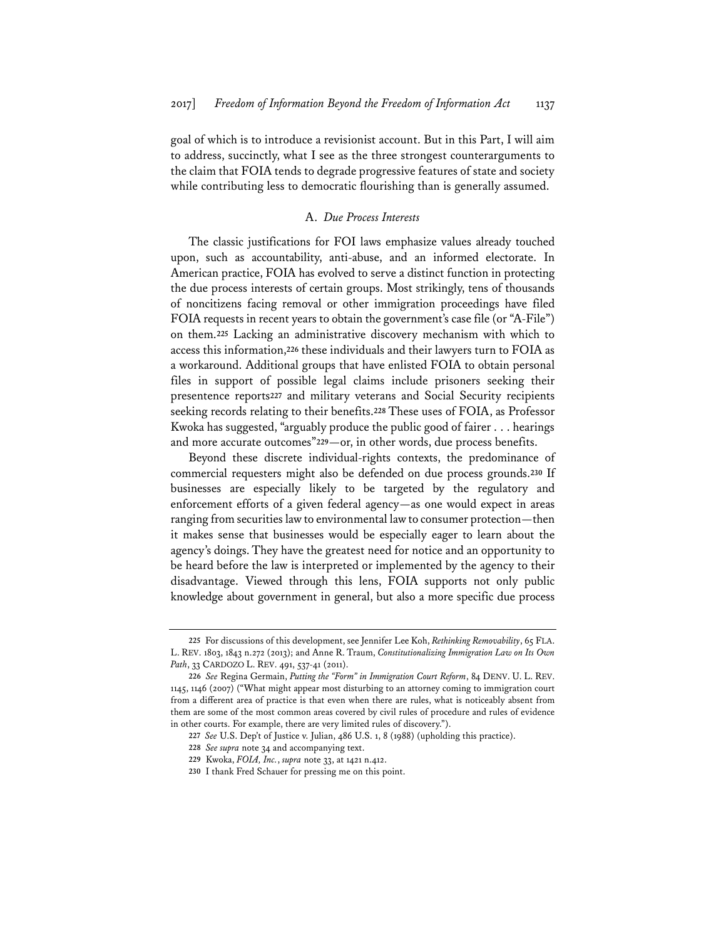goal of which is to introduce a revisionist account. But in this Part, I will aim to address, succinctly, what I see as the three strongest counterarguments to the claim that FOIA tends to degrade progressive features of state and society while contributing less to democratic flourishing than is generally assumed.

# A. *Due Process Interests*

The classic justifications for FOI laws emphasize values already touched upon, such as accountability, anti-abuse, and an informed electorate. In American practice, FOIA has evolved to serve a distinct function in protecting the due process interests of certain groups. Most strikingly, tens of thousands of noncitizens facing removal or other immigration proceedings have filed FOIA requests in recent years to obtain the government's case file (or "A-File") on them.**<sup>225</sup>** Lacking an administrative discovery mechanism with which to access this information,**<sup>226</sup>** these individuals and their lawyers turn to FOIA as a workaround. Additional groups that have enlisted FOIA to obtain personal files in support of possible legal claims include prisoners seeking their presentence reports**<sup>227</sup>** and military veterans and Social Security recipients seeking records relating to their benefits.**<sup>228</sup>** These uses of FOIA, as Professor Kwoka has suggested, "arguably produce the public good of fairer . . . hearings and more accurate outcomes"**<sup>229</sup>**—or, in other words, due process benefits.

Beyond these discrete individual-rights contexts, the predominance of commercial requesters might also be defended on due process grounds.**<sup>230</sup>** If businesses are especially likely to be targeted by the regulatory and enforcement efforts of a given federal agency—as one would expect in areas ranging from securities law to environmental law to consumer protection—then it makes sense that businesses would be especially eager to learn about the agency's doings. They have the greatest need for notice and an opportunity to be heard before the law is interpreted or implemented by the agency to their disadvantage. Viewed through this lens, FOIA supports not only public knowledge about government in general, but also a more specific due process

**<sup>225</sup>** For discussions of this development, see Jennifer Lee Koh, *Rethinking Removability*, 65 FLA. L. REV. 1803, 1843 n.272 (2013); and Anne R. Traum, *Constitutionalizing Immigration Law on Its Own*  Path, 33 CARDOZO L. REV. 491, 537-41 (2011).

**<sup>226</sup>** *See* Regina Germain, *Putting the "Form" in Immigration Court Reform*, 84 DENV. U. L. REV. 1145, 1146 (2007) ("What might appear most disturbing to an attorney coming to immigration court from a different area of practice is that even when there are rules, what is noticeably absent from them are some of the most common areas covered by civil rules of procedure and rules of evidence in other courts. For example, there are very limited rules of discovery.").

**<sup>227</sup>** *See* U.S. Dep't of Justice v. Julian, 486 U.S. 1, 8 (1988) (upholding this practice).

**<sup>228</sup>** *See supra* note 34 and accompanying text.

**<sup>229</sup>** Kwoka, *FOIA, Inc.*, *supra* note 33, at 1421 n.412.

**<sup>230</sup>** I thank Fred Schauer for pressing me on this point.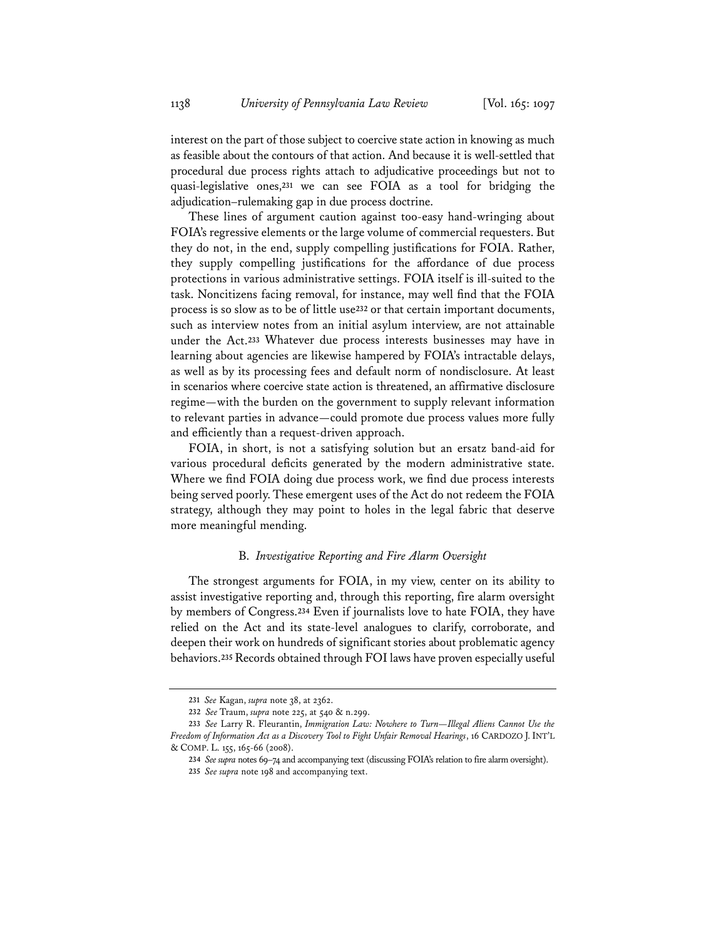interest on the part of those subject to coercive state action in knowing as much as feasible about the contours of that action. And because it is well-settled that procedural due process rights attach to adjudicative proceedings but not to quasi-legislative ones,**<sup>231</sup>** we can see FOIA as a tool for bridging the adjudication–rulemaking gap in due process doctrine.

These lines of argument caution against too-easy hand-wringing about FOIA's regressive elements or the large volume of commercial requesters. But they do not, in the end, supply compelling justifications for FOIA. Rather, they supply compelling justifications for the affordance of due process protections in various administrative settings. FOIA itself is ill-suited to the task. Noncitizens facing removal, for instance, may well find that the FOIA process is so slow as to be of little use**<sup>232</sup>** or that certain important documents, such as interview notes from an initial asylum interview, are not attainable under the Act.**<sup>233</sup>** Whatever due process interests businesses may have in learning about agencies are likewise hampered by FOIA's intractable delays, as well as by its processing fees and default norm of nondisclosure. At least in scenarios where coercive state action is threatened, an affirmative disclosure regime—with the burden on the government to supply relevant information to relevant parties in advance—could promote due process values more fully and efficiently than a request-driven approach.

FOIA, in short, is not a satisfying solution but an ersatz band-aid for various procedural deficits generated by the modern administrative state. Where we find FOIA doing due process work, we find due process interests being served poorly. These emergent uses of the Act do not redeem the FOIA strategy, although they may point to holes in the legal fabric that deserve more meaningful mending.

# B. *Investigative Reporting and Fire Alarm Oversight*

The strongest arguments for FOIA, in my view, center on its ability to assist investigative reporting and, through this reporting, fire alarm oversight by members of Congress.**<sup>234</sup>** Even if journalists love to hate FOIA, they have relied on the Act and its state-level analogues to clarify, corroborate, and deepen their work on hundreds of significant stories about problematic agency behaviors.**<sup>235</sup>** Records obtained through FOI laws have proven especially useful

**<sup>231</sup>** *See* Kagan, *supra* note 38, at 2362.

**<sup>232</sup>** *See* Traum, *supra* note 225, at 540 & n.299.

**<sup>233</sup>** *See* Larry R. Fleurantin, *Immigration Law: Nowhere to Turn—Illegal Aliens Cannot Use the Freedom of Information Act as a Discovery Tool to Fight Unfair Removal Hearings*, 16 CARDOZO J. INT'L & COMP. L. 155, 165-66 (2008).

**<sup>234</sup>** *See supra* notes 69–74 and accompanying text (discussing FOIA's relation to fire alarm oversight).

**<sup>235</sup>** *See supra* note 198 and accompanying text.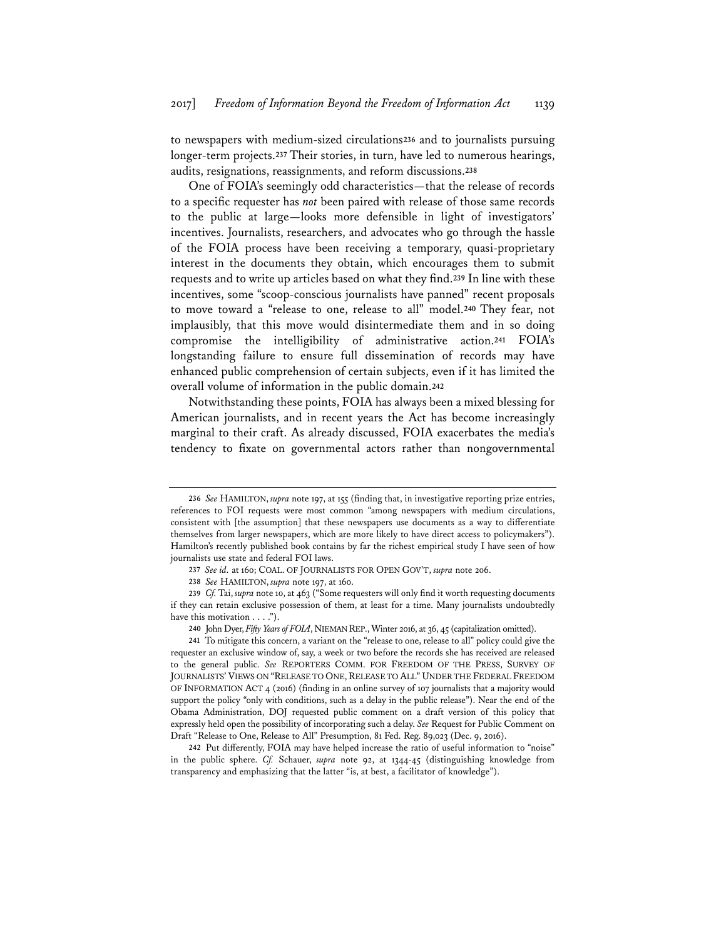to newspapers with medium-sized circulations**<sup>236</sup>** and to journalists pursuing longer-term projects.**<sup>237</sup>** Their stories, in turn, have led to numerous hearings, audits, resignations, reassignments, and reform discussions.**<sup>238</sup>**

One of FOIA's seemingly odd characteristics—that the release of records to a specific requester has *not* been paired with release of those same records to the public at large—looks more defensible in light of investigators' incentives. Journalists, researchers, and advocates who go through the hassle of the FOIA process have been receiving a temporary, quasi-proprietary interest in the documents they obtain, which encourages them to submit requests and to write up articles based on what they find.**<sup>239</sup>** In line with these incentives, some "scoop-conscious journalists have panned" recent proposals to move toward a "release to one, release to all" model.**<sup>240</sup>** They fear, not implausibly, that this move would disintermediate them and in so doing compromise the intelligibility of administrative action.**<sup>241</sup>** FOIA's longstanding failure to ensure full dissemination of records may have enhanced public comprehension of certain subjects, even if it has limited the overall volume of information in the public domain.**<sup>242</sup>**

Notwithstanding these points, FOIA has always been a mixed blessing for American journalists, and in recent years the Act has become increasingly marginal to their craft. As already discussed, FOIA exacerbates the media's tendency to fixate on governmental actors rather than nongovernmental

**<sup>236</sup>** *See* HAMILTON, *supra* note 197, at 155 (finding that, in investigative reporting prize entries, references to FOI requests were most common "among newspapers with medium circulations, consistent with [the assumption] that these newspapers use documents as a way to differentiate themselves from larger newspapers, which are more likely to have direct access to policymakers"). Hamilton's recently published book contains by far the richest empirical study I have seen of how journalists use state and federal FOI laws.

**<sup>237</sup>** *See id.* at 160; COAL. OF JOURNALISTS FOR OPEN GOV'T, *supra* note 206.

**<sup>238</sup>** *See* HAMILTON, *supra* note 197, at 160.

**<sup>239</sup>** *Cf.* Tai, *supra* note 10, at 463 ("Some requesters will only find it worth requesting documents if they can retain exclusive possession of them, at least for a time. Many journalists undoubtedly have this motivation . . . .").

**<sup>240</sup>** John Dyer, *Fifty Years of FOIA*, NIEMAN REP., Winter 2016, at 36, 45 (capitalization omitted).

**<sup>241</sup>** To mitigate this concern, a variant on the "release to one, release to all" policy could give the requester an exclusive window of, say, a week or two before the records she has received are released to the general public. *See* REPORTERS COMM. FOR FREEDOM OF THE PRESS, SURVEY OF JOURNALISTS' VIEWS ON "RELEASE TO ONE, RELEASE TO ALL" UNDER THE FEDERAL FREEDOM OF INFORMATION ACT 4 (2016) (finding in an online survey of 107 journalists that a majority would support the policy "only with conditions, such as a delay in the public release"). Near the end of the Obama Administration, DOJ requested public comment on a draft version of this policy that expressly held open the possibility of incorporating such a delay. *See* Request for Public Comment on Draft "Release to One, Release to All" Presumption, 81 Fed. Reg. 89,023 (Dec. 9, 2016).

**<sup>242</sup>** Put differently, FOIA may have helped increase the ratio of useful information to "noise" in the public sphere. *Cf.* Schauer, *supra* note 92, at 1344-45 (distinguishing knowledge from transparency and emphasizing that the latter "is, at best, a facilitator of knowledge").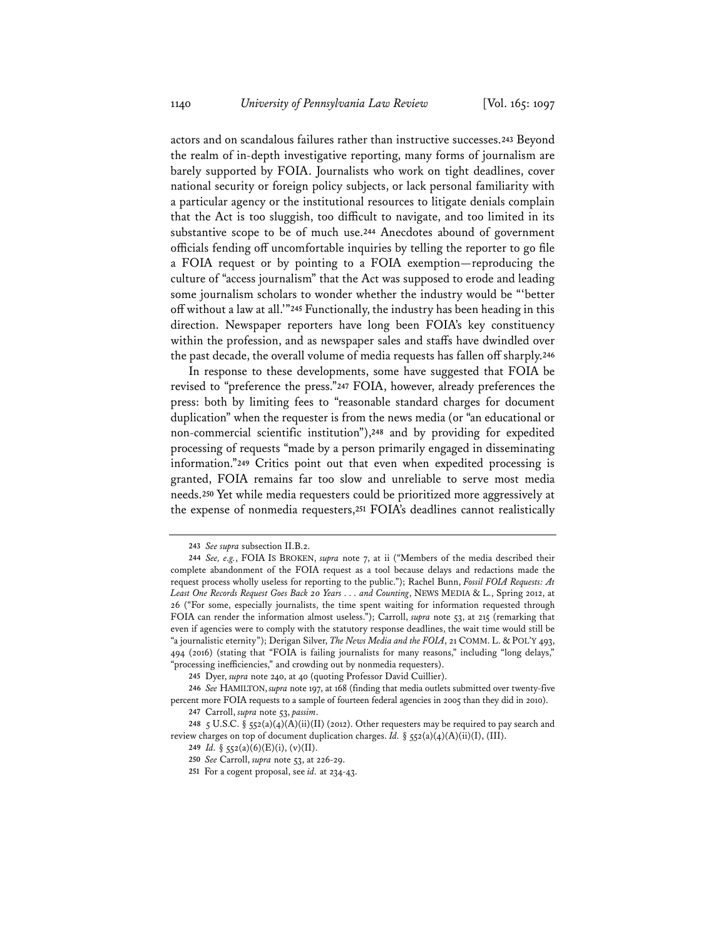actors and on scandalous failures rather than instructive successes.**<sup>243</sup>** Beyond the realm of in-depth investigative reporting, many forms of journalism are barely supported by FOIA. Journalists who work on tight deadlines, cover national security or foreign policy subjects, or lack personal familiarity with a particular agency or the institutional resources to litigate denials complain that the Act is too sluggish, too difficult to navigate, and too limited in its substantive scope to be of much use.**<sup>244</sup>** Anecdotes abound of government officials fending off uncomfortable inquiries by telling the reporter to go file a FOIA request or by pointing to a FOIA exemption—reproducing the culture of "access journalism" that the Act was supposed to erode and leading some journalism scholars to wonder whether the industry would be "'better off without a law at all.'"**<sup>245</sup>** Functionally, the industry has been heading in this direction. Newspaper reporters have long been FOIA's key constituency within the profession, and as newspaper sales and staffs have dwindled over the past decade, the overall volume of media requests has fallen off sharply.**<sup>246</sup>**

In response to these developments, some have suggested that FOIA be revised to "preference the press."**<sup>247</sup>** FOIA, however, already preferences the press: both by limiting fees to "reasonable standard charges for document duplication" when the requester is from the news media (or "an educational or non-commercial scientific institution"),**<sup>248</sup>** and by providing for expedited processing of requests "made by a person primarily engaged in disseminating information."**<sup>249</sup>** Critics point out that even when expedited processing is granted, FOIA remains far too slow and unreliable to serve most media needs.**<sup>250</sup>** Yet while media requesters could be prioritized more aggressively at the expense of nonmedia requesters,**<sup>251</sup>** FOIA's deadlines cannot realistically

**<sup>243</sup>** *See supra* subsection II.B.2.

**<sup>244</sup>** *See, e.g.*, FOIA IS BROKEN, *supra* note 7, at ii ("Members of the media described their complete abandonment of the FOIA request as a tool because delays and redactions made the request process wholly useless for reporting to the public."); Rachel Bunn, *Fossil FOIA Requests: At Least One Records Request Goes Back 20 Years . . . and Counting*, NEWS MEDIA & L., Spring 2012, at 26 ("For some, especially journalists, the time spent waiting for information requested through FOIA can render the information almost useless."); Carroll, *supra* note 53, at 215 (remarking that even if agencies were to comply with the statutory response deadlines, the wait time would still be "a journalistic eternity"); Derigan Silver, *The News Media and the FOIA*, 21 COMM. L. & POL'Y 493, 494 (2016) (stating that "FOIA is failing journalists for many reasons," including "long delays," "processing inefficiencies," and crowding out by nonmedia requesters).

**<sup>245</sup>** Dyer, *supra* note 240, at 40 (quoting Professor David Cuillier).

**<sup>246</sup>** *See* HAMILTON, *supra* note 197, at 168 (finding that media outlets submitted over twenty-five percent more FOIA requests to a sample of fourteen federal agencies in 2005 than they did in 2010).

**<sup>247</sup>** Carroll, *supra* note 53, *passim*.

**<sup>248</sup>** 5 U.S.C. § 552(a)(4)(A)(ii)(II) (2012). Other requesters may be required to pay search and review charges on top of document duplication charges. *Id.* § 552(a)(4)(A)(ii)(I), (III).

**<sup>249</sup>** *Id.* § 552(a)(6)(E)(i), (v)(II).

**<sup>250</sup>** *See* Carroll, *supra* note 53, at 226-29.

**<sup>251</sup>** For a cogent proposal, see *id.* at 234-43.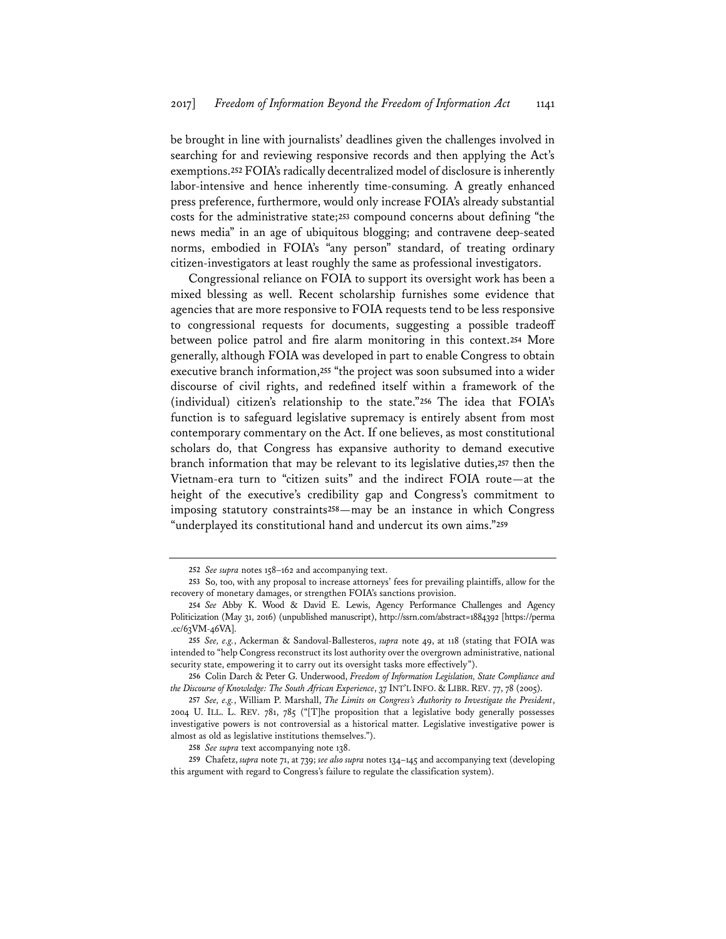be brought in line with journalists' deadlines given the challenges involved in searching for and reviewing responsive records and then applying the Act's exemptions.**<sup>252</sup>** FOIA's radically decentralized model of disclosure is inherently labor-intensive and hence inherently time-consuming. A greatly enhanced press preference, furthermore, would only increase FOIA's already substantial costs for the administrative state;**<sup>253</sup>** compound concerns about defining "the news media" in an age of ubiquitous blogging; and contravene deep-seated norms, embodied in FOIA's "any person" standard, of treating ordinary citizen-investigators at least roughly the same as professional investigators.

Congressional reliance on FOIA to support its oversight work has been a mixed blessing as well. Recent scholarship furnishes some evidence that agencies that are more responsive to FOIA requests tend to be less responsive to congressional requests for documents, suggesting a possible tradeoff between police patrol and fire alarm monitoring in this context.**<sup>254</sup>** More generally, although FOIA was developed in part to enable Congress to obtain executive branch information,**<sup>255</sup>** "the project was soon subsumed into a wider discourse of civil rights, and redefined itself within a framework of the (individual) citizen's relationship to the state."**<sup>256</sup>** The idea that FOIA's function is to safeguard legislative supremacy is entirely absent from most contemporary commentary on the Act. If one believes, as most constitutional scholars do, that Congress has expansive authority to demand executive branch information that may be relevant to its legislative duties,**<sup>257</sup>** then the Vietnam-era turn to "citizen suits" and the indirect FOIA route—at the height of the executive's credibility gap and Congress's commitment to imposing statutory constraints**<sup>258</sup>**—may be an instance in which Congress "underplayed its constitutional hand and undercut its own aims."**<sup>259</sup>**

**<sup>252</sup>** *See supra* notes 158–162 and accompanying text.

**<sup>253</sup>** So, too, with any proposal to increase attorneys' fees for prevailing plaintiffs, allow for the recovery of monetary damages, or strengthen FOIA's sanctions provision.

**<sup>254</sup>** *See* Abby K. Wood & David E. Lewis, Agency Performance Challenges and Agency Politicization (May 31, 2016) (unpublished manuscript), http://ssrn.com/abstract=1884392 [https://perma .cc/63VM-46VA].

**<sup>255</sup>** *See, e.g.*, Ackerman & Sandoval-Ballesteros, *supra* note 49, at 118 (stating that FOIA was intended to "help Congress reconstruct its lost authority over the overgrown administrative, national security state, empowering it to carry out its oversight tasks more effectively").

**<sup>256</sup>** Colin Darch & Peter G. Underwood, *Freedom of Information Legislation, State Compliance and the Discourse of Knowledge: The South African Experience*, 37 INT'L INFO. & LIBR. REV. 77, 78 (2005).

**<sup>257</sup>** *See, e.g.*, William P. Marshall, *The Limits on Congress's Authority to Investigate the President*, 2004 U. ILL. L. REV. 781, 785 ("[T]he proposition that a legislative body generally possesses investigative powers is not controversial as a historical matter. Legislative investigative power is almost as old as legislative institutions themselves.").

**<sup>258</sup>** *See supra* text accompanying note 138.

**<sup>259</sup>** Chafetz, *supra* note 71, at 739; *see also supra* notes 134–145 and accompanying text (developing this argument with regard to Congress's failure to regulate the classification system).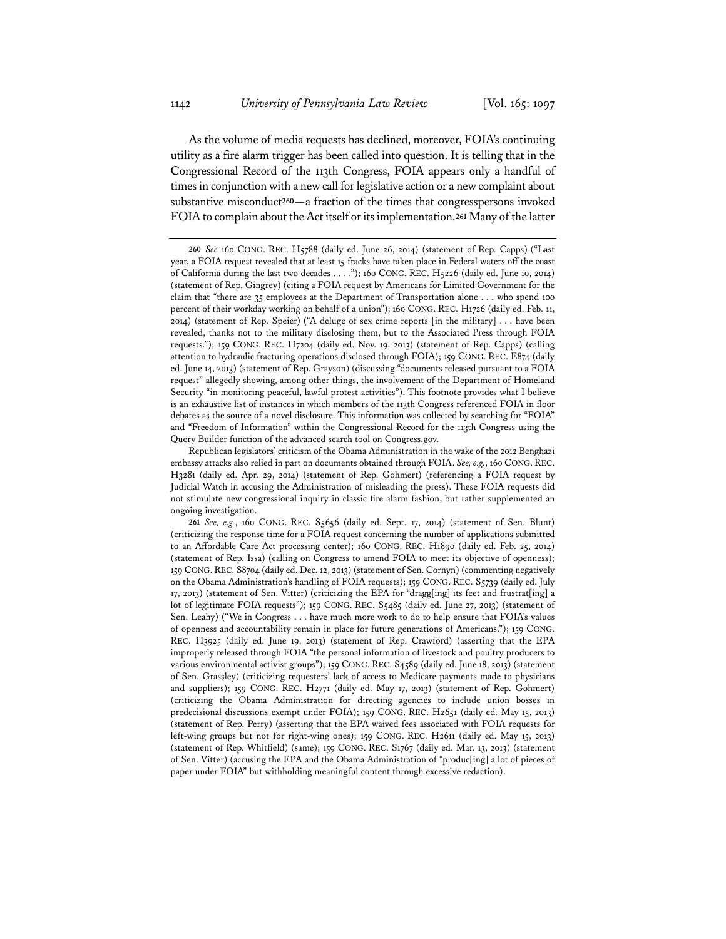As the volume of media requests has declined, moreover, FOIA's continuing utility as a fire alarm trigger has been called into question. It is telling that in the Congressional Record of the 113th Congress, FOIA appears only a handful of times in conjunction with a new call for legislative action or a new complaint about substantive misconduct**<sup>260</sup>**—a fraction of the times that congresspersons invoked FOIA to complain about the Act itself or its implementation.**<sup>261</sup>** Many of the latter

**<sup>260</sup>** *See* 160 CONG. REC. H5788 (daily ed. June 26, 2014) (statement of Rep. Capps) ("Last year, a FOIA request revealed that at least 15 fracks have taken place in Federal waters off the coast of California during the last two decades . . . ."); 160 CONG. REC. H5226 (daily ed. June 10, 2014) (statement of Rep. Gingrey) (citing a FOIA request by Americans for Limited Government for the claim that "there are 35 employees at the Department of Transportation alone . . . who spend 100 percent of their workday working on behalf of a union"); 160 CONG. REC. H1726 (daily ed. Feb. 11, 2014) (statement of Rep. Speier) ("A deluge of sex crime reports [in the military] . . . have been revealed, thanks not to the military disclosing them, but to the Associated Press through FOIA requests."); 159 CONG. REC. H7204 (daily ed. Nov. 19, 2013) (statement of Rep. Capps) (calling attention to hydraulic fracturing operations disclosed through FOIA); 159 CONG. REC. E874 (daily ed. June 14, 2013) (statement of Rep. Grayson) (discussing "documents released pursuant to a FOIA request" allegedly showing, among other things, the involvement of the Department of Homeland Security "in monitoring peaceful, lawful protest activities"). This footnote provides what I believe is an exhaustive list of instances in which members of the 113th Congress referenced FOIA in floor debates as the source of a novel disclosure. This information was collected by searching for "FOIA" and "Freedom of Information" within the Congressional Record for the 113th Congress using the Query Builder function of the advanced search tool on Congress.gov.

Republican legislators' criticism of the Obama Administration in the wake of the 2012 Benghazi embassy attacks also relied in part on documents obtained through FOIA. *See, e.g.*, 160 CONG. REC. H3281 (daily ed. Apr. 29, 2014) (statement of Rep. Gohmert) (referencing a FOIA request by Judicial Watch in accusing the Administration of misleading the press). These FOIA requests did not stimulate new congressional inquiry in classic fire alarm fashion, but rather supplemented an ongoing investigation.

**<sup>261</sup>** *See, e.g.*, 160 CONG. REC. S5656 (daily ed. Sept. 17, 2014) (statement of Sen. Blunt) (criticizing the response time for a FOIA request concerning the number of applications submitted to an Affordable Care Act processing center); 160 CONG. REC. H1890 (daily ed. Feb. 25, 2014) (statement of Rep. Issa) (calling on Congress to amend FOIA to meet its objective of openness); 159 CONG.REC. S8704 (daily ed. Dec. 12, 2013) (statement of Sen. Cornyn) (commenting negatively on the Obama Administration's handling of FOIA requests); 159 CONG. REC. S5739 (daily ed. July 17, 2013) (statement of Sen. Vitter) (criticizing the EPA for "dragg[ing] its feet and frustrat[ing] a lot of legitimate FOIA requests"); 159 CONG. REC. S5485 (daily ed. June 27, 2013) (statement of Sen. Leahy) ("We in Congress . . . have much more work to do to help ensure that FOIA's values of openness and accountability remain in place for future generations of Americans."); 159 CONG. REC. H3925 (daily ed. June 19, 2013) (statement of Rep. Crawford) (asserting that the EPA improperly released through FOIA "the personal information of livestock and poultry producers to various environmental activist groups"); 159 CONG. REC. S4589 (daily ed. June 18, 2013) (statement of Sen. Grassley) (criticizing requesters' lack of access to Medicare payments made to physicians and suppliers); 159 CONG. REC. H2771 (daily ed. May 17, 2013) (statement of Rep. Gohmert) (criticizing the Obama Administration for directing agencies to include union bosses in predecisional discussions exempt under FOIA); 159 CONG. REC. H2651 (daily ed. May 15, 2013) (statement of Rep. Perry) (asserting that the EPA waived fees associated with FOIA requests for left-wing groups but not for right-wing ones); 159 CONG. REC. H2611 (daily ed. May 15, 2013) (statement of Rep. Whitfield) (same); 159 CONG. REC. S1767 (daily ed. Mar. 13, 2013) (statement of Sen. Vitter) (accusing the EPA and the Obama Administration of "produc[ing] a lot of pieces of paper under FOIA" but withholding meaningful content through excessive redaction).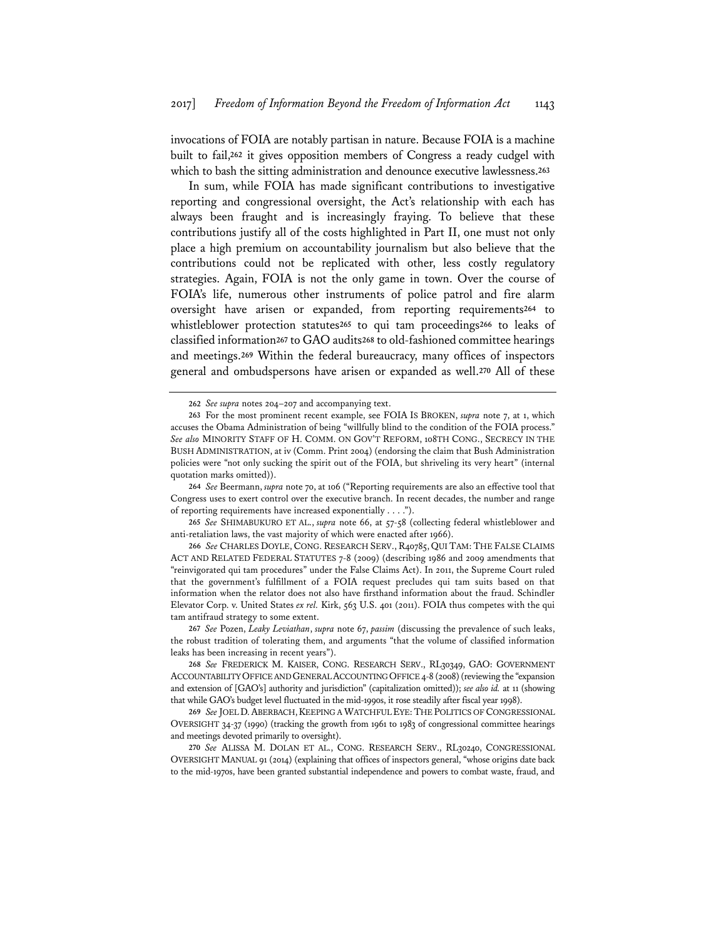invocations of FOIA are notably partisan in nature. Because FOIA is a machine built to fail,**<sup>262</sup>** it gives opposition members of Congress a ready cudgel with which to bash the sitting administration and denounce executive lawlessness.**<sup>263</sup>**

In sum, while FOIA has made significant contributions to investigative reporting and congressional oversight, the Act's relationship with each has always been fraught and is increasingly fraying. To believe that these contributions justify all of the costs highlighted in Part II, one must not only place a high premium on accountability journalism but also believe that the contributions could not be replicated with other, less costly regulatory strategies. Again, FOIA is not the only game in town. Over the course of FOIA's life, numerous other instruments of police patrol and fire alarm oversight have arisen or expanded, from reporting requirements**<sup>264</sup>** to whistleblower protection statutes**<sup>265</sup>** to qui tam proceedings**<sup>266</sup>** to leaks of classified information**<sup>267</sup>** to GAO audits**<sup>268</sup>** to old-fashioned committee hearings and meetings.**<sup>269</sup>** Within the federal bureaucracy, many offices of inspectors general and ombudspersons have arisen or expanded as well.**<sup>270</sup>** All of these

**265** *See* SHIMABUKURO ET AL., *supra* note 66, at 57-58 (collecting federal whistleblower and anti-retaliation laws, the vast majority of which were enacted after 1966).

**266** *See* CHARLES DOYLE, CONG. RESEARCH SERV., R40785, QUI TAM: THE FALSE CLAIMS ACT AND RELATED FEDERAL STATUTES 7-8 (2009) (describing 1986 and 2009 amendments that "reinvigorated qui tam procedures" under the False Claims Act). In 2011, the Supreme Court ruled that the government's fulfillment of a FOIA request precludes qui tam suits based on that information when the relator does not also have firsthand information about the fraud. Schindler Elevator Corp. v. United States *ex rel.* Kirk, 563 U.S. 401 (2011). FOIA thus competes with the qui tam antifraud strategy to some extent.

**267** *See* Pozen, *Leaky Leviathan*, *supra* note 67, *passim* (discussing the prevalence of such leaks, the robust tradition of tolerating them, and arguments "that the volume of classified information leaks has been increasing in recent years").

**269** *See* JOEL D.ABERBACH,KEEPING A WATCHFUL EYE:THE POLITICS OF CONGRESSIONAL OVERSIGHT 34-37 (1990) (tracking the growth from 1961 to 1983 of congressional committee hearings and meetings devoted primarily to oversight).

**270** *See* ALISSA M. DOLAN ET AL., CONG. RESEARCH SERV., RL30240, CONGRESSIONAL OVERSIGHT MANUAL 91 (2014) (explaining that offices of inspectors general, "whose origins date back to the mid-1970s, have been granted substantial independence and powers to combat waste, fraud, and

**<sup>262</sup>** *See supra* notes 204–207 and accompanying text.

**<sup>263</sup>** For the most prominent recent example, see FOIA IS BROKEN, *supra* note 7, at 1, which accuses the Obama Administration of being "willfully blind to the condition of the FOIA process." *See also* MINORITY STAFF OF H. COMM. ON GOV'T REFORM, 108TH CONG., SECRECY IN THE BUSH ADMINISTRATION, at iv (Comm. Print 2004) (endorsing the claim that Bush Administration policies were "not only sucking the spirit out of the FOIA, but shriveling its very heart" (internal quotation marks omitted)).

**<sup>264</sup>** *See* Beermann, *supra* note 70, at 106 ("Reporting requirements are also an effective tool that Congress uses to exert control over the executive branch. In recent decades, the number and range of reporting requirements have increased exponentially . . . .").

**<sup>268</sup>** *See* FREDERICK M. KAISER, CONG. RESEARCH SERV., RL30349, GAO: GOVERNMENT ACCOUNTABILITY OFFICE AND GENERAL ACCOUNTING OFFICE 4-8 (2008) (reviewing the "expansion and extension of [GAO's] authority and jurisdiction" (capitalization omitted)); *see also id.* at 11 (showing that while GAO's budget level fluctuated in the mid-1990s, it rose steadily after fiscal year 1998).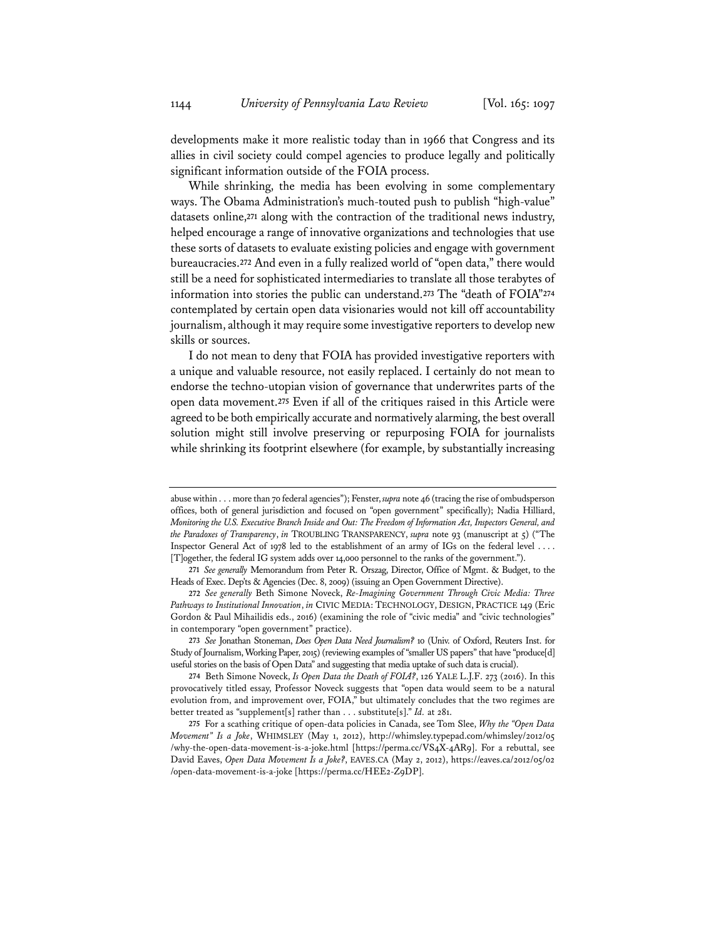developments make it more realistic today than in 1966 that Congress and its allies in civil society could compel agencies to produce legally and politically significant information outside of the FOIA process.

While shrinking, the media has been evolving in some complementary ways. The Obama Administration's much-touted push to publish "high-value" datasets online,**<sup>271</sup>** along with the contraction of the traditional news industry, helped encourage a range of innovative organizations and technologies that use these sorts of datasets to evaluate existing policies and engage with government bureaucracies.**<sup>272</sup>** And even in a fully realized world of "open data," there would still be a need for sophisticated intermediaries to translate all those terabytes of information into stories the public can understand.**<sup>273</sup>** The "death of FOIA"**<sup>274</sup>** contemplated by certain open data visionaries would not kill off accountability journalism, although it may require some investigative reporters to develop new skills or sources.

I do not mean to deny that FOIA has provided investigative reporters with a unique and valuable resource, not easily replaced. I certainly do not mean to endorse the techno-utopian vision of governance that underwrites parts of the open data movement.**<sup>275</sup>** Even if all of the critiques raised in this Article were agreed to be both empirically accurate and normatively alarming, the best overall solution might still involve preserving or repurposing FOIA for journalists while shrinking its footprint elsewhere (for example, by substantially increasing

**273** *See* Jonathan Stoneman, *Does Open Data Need Journalism?* 10 (Univ. of Oxford, Reuters Inst. for Study of Journalism, Working Paper, 2015) (reviewing examples of "smaller US papers" that have "produce[d] useful stories on the basis of Open Data" and suggesting that media uptake of such data is crucial).

abuse within . . . more than 70 federal agencies"); Fenster, *supra* note 46 (tracing the rise of ombudsperson offices, both of general jurisdiction and focused on "open government" specifically); Nadia Hilliard, *Monitoring the U.S. Executive Branch Inside and Out: The Freedom of Information Act, Inspectors General, and the Paradoxes of Transparency*, *in* TROUBLING TRANSPARENCY, *supra* note 93 (manuscript at 5) ("The Inspector General Act of 1978 led to the establishment of an army of IGs on the federal level . . . . [T]ogether, the federal IG system adds over 14,000 personnel to the ranks of the government.").

**<sup>271</sup>** *See generally* Memorandum from Peter R. Orszag, Director, Office of Mgmt. & Budget, to the Heads of Exec. Dep'ts & Agencies (Dec. 8, 2009) (issuing an Open Government Directive).

**<sup>272</sup>** *See generally* Beth Simone Noveck, *Re-Imagining Government Through Civic Media: Three Pathways to Institutional Innovation*, *in* CIVIC MEDIA: TECHNOLOGY, DESIGN, PRACTICE 149 (Eric Gordon & Paul Mihailidis eds., 2016) (examining the role of "civic media" and "civic technologies" in contemporary "open government" practice).

**<sup>274</sup>** Beth Simone Noveck, *Is Open Data the Death of FOIA?*, 126 YALE L.J.F. 273 (2016). In this provocatively titled essay, Professor Noveck suggests that "open data would seem to be a natural evolution from, and improvement over, FOIA," but ultimately concludes that the two regimes are better treated as "supplement[s] rather than . . . substitute[s]." *Id.* at 281.

**<sup>275</sup>** For a scathing critique of open-data policies in Canada, see Tom Slee, *Why the "Open Data Movement" Is a Joke*, WHIMSLEY (May 1, 2012), http://whimsley.typepad.com/whimsley/2012/05 /why-the-open-data-movement-is-a-joke.html [https://perma.cc/VS4X-4AR9]. For a rebuttal, see David Eaves, *Open Data Movement Is a Joke?*, EAVES.CA (May 2, 2012), https://eaves.ca/2012/05/02 /open-data-movement-is-a-joke [https://perma.cc/HEE2-Z9DP].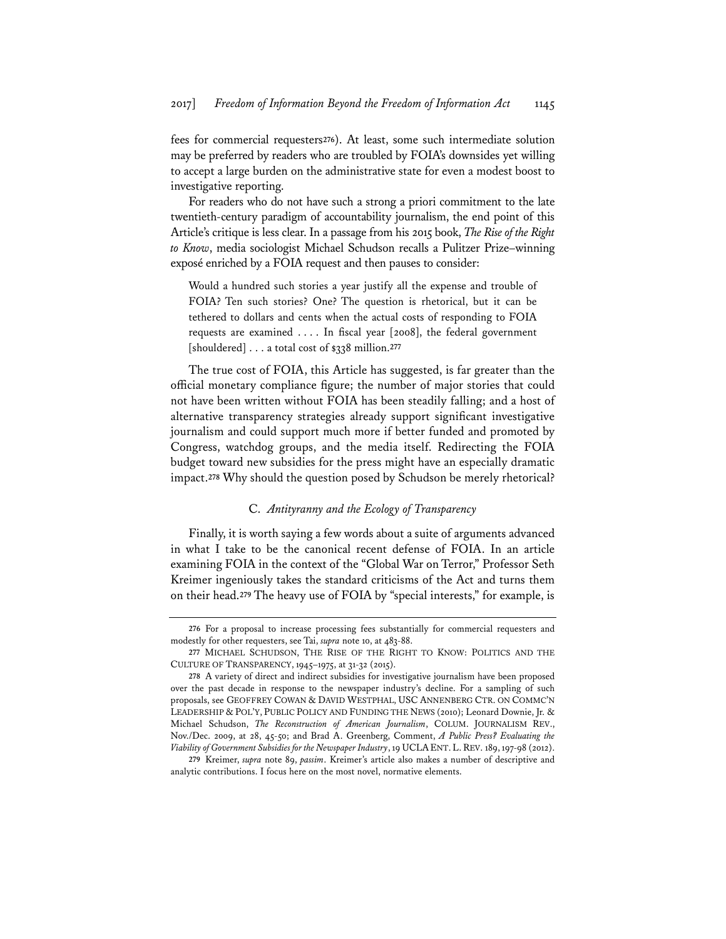fees for commercial requesters**<sup>276</sup>**). At least, some such intermediate solution may be preferred by readers who are troubled by FOIA's downsides yet willing to accept a large burden on the administrative state for even a modest boost to investigative reporting.

For readers who do not have such a strong a priori commitment to the late twentieth-century paradigm of accountability journalism, the end point of this Article's critique is less clear. In a passage from his 2015 book, *The Rise of the Right to Know*, media sociologist Michael Schudson recalls a Pulitzer Prize–winning exposé enriched by a FOIA request and then pauses to consider:

Would a hundred such stories a year justify all the expense and trouble of FOIA? Ten such stories? One? The question is rhetorical, but it can be tethered to dollars and cents when the actual costs of responding to FOIA requests are examined . . . . In fiscal year [2008], the federal government [shouldered] . . . a total cost of \$338 million.**<sup>277</sup>**

The true cost of FOIA, this Article has suggested, is far greater than the official monetary compliance figure; the number of major stories that could not have been written without FOIA has been steadily falling; and a host of alternative transparency strategies already support significant investigative journalism and could support much more if better funded and promoted by Congress, watchdog groups, and the media itself. Redirecting the FOIA budget toward new subsidies for the press might have an especially dramatic impact.**<sup>278</sup>** Why should the question posed by Schudson be merely rhetorical?

# C. *Antityranny and the Ecology of Transparency*

Finally, it is worth saying a few words about a suite of arguments advanced in what I take to be the canonical recent defense of FOIA. In an article examining FOIA in the context of the "Global War on Terror," Professor Seth Kreimer ingeniously takes the standard criticisms of the Act and turns them on their head.**<sup>279</sup>** The heavy use of FOIA by "special interests," for example, is

**<sup>276</sup>** For a proposal to increase processing fees substantially for commercial requesters and modestly for other requesters, see Tai, *supra* note 10, at 483-88.

**<sup>277</sup>** MICHAEL SCHUDSON, THE RISE OF THE RIGHT TO KNOW: POLITICS AND THE CULTURE OF TRANSPARENCY, 1945–1975, at 31-32 (2015).

**<sup>278</sup>** A variety of direct and indirect subsidies for investigative journalism have been proposed over the past decade in response to the newspaper industry's decline. For a sampling of such proposals, see GEOFFREY COWAN & DAVID WESTPHAL, USC ANNENBERG CTR. ON COMMC'N LEADERSHIP & POL'Y, PUBLIC POLICY AND FUNDING THE NEWS (2010); Leonard Downie, Jr. & Michael Schudson, *The Reconstruction of American Journalism*, COLUM. JOURNALISM REV., Nov./Dec. 2009, at 28, 45-50; and Brad A. Greenberg, Comment, *A Public Press? Evaluating the Viability of Government Subsidies for the Newspaper Industry*, 19 UCLAENT.L.REV. 189, 197-98 (2012).

**<sup>279</sup>** Kreimer, *supra* note 89, *passim*. Kreimer's article also makes a number of descriptive and analytic contributions. I focus here on the most novel, normative elements.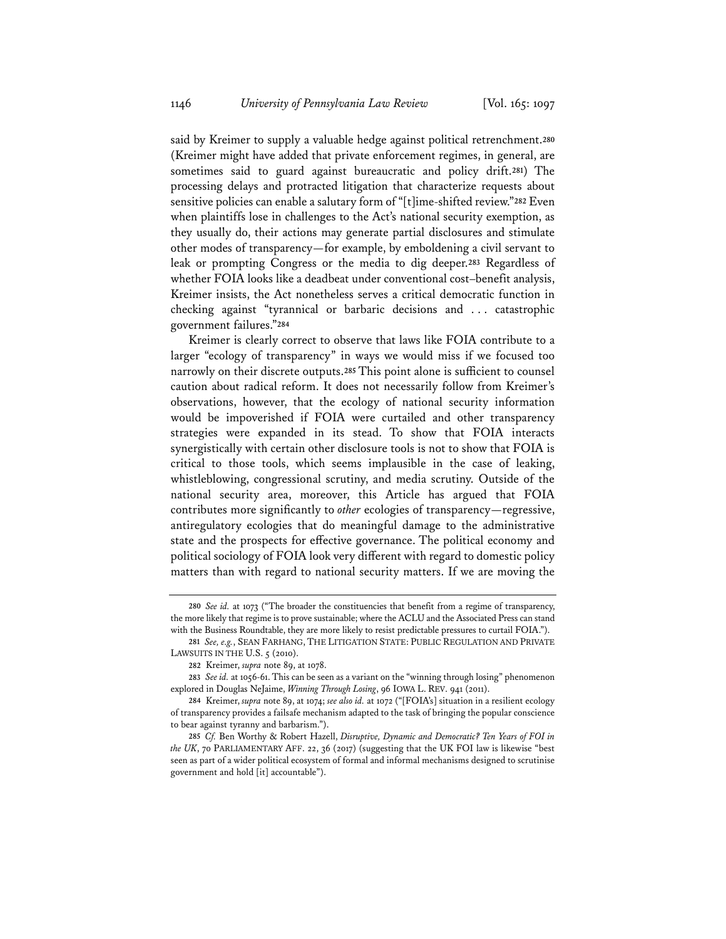said by Kreimer to supply a valuable hedge against political retrenchment.**<sup>280</sup>** (Kreimer might have added that private enforcement regimes, in general, are sometimes said to guard against bureaucratic and policy drift.**<sup>281</sup>**) The processing delays and protracted litigation that characterize requests about sensitive policies can enable a salutary form of "[t]ime-shifted review."**<sup>282</sup>** Even when plaintiffs lose in challenges to the Act's national security exemption, as they usually do, their actions may generate partial disclosures and stimulate other modes of transparency—for example, by emboldening a civil servant to leak or prompting Congress or the media to dig deeper.**<sup>283</sup>** Regardless of whether FOIA looks like a deadbeat under conventional cost–benefit analysis, Kreimer insists, the Act nonetheless serves a critical democratic function in checking against "tyrannical or barbaric decisions and . . . catastrophic government failures."**<sup>284</sup>**

Kreimer is clearly correct to observe that laws like FOIA contribute to a larger "ecology of transparency" in ways we would miss if we focused too narrowly on their discrete outputs.**<sup>285</sup>** This point alone is sufficient to counsel caution about radical reform. It does not necessarily follow from Kreimer's observations, however, that the ecology of national security information would be impoverished if FOIA were curtailed and other transparency strategies were expanded in its stead. To show that FOIA interacts synergistically with certain other disclosure tools is not to show that FOIA is critical to those tools, which seems implausible in the case of leaking, whistleblowing, congressional scrutiny, and media scrutiny. Outside of the national security area, moreover, this Article has argued that FOIA contributes more significantly to *other* ecologies of transparency—regressive, antiregulatory ecologies that do meaningful damage to the administrative state and the prospects for effective governance. The political economy and political sociology of FOIA look very different with regard to domestic policy matters than with regard to national security matters. If we are moving the

**<sup>280</sup>** *See id.* at 1073 ("The broader the constituencies that benefit from a regime of transparency, the more likely that regime is to prove sustainable; where the ACLU and the Associated Press can stand with the Business Roundtable, they are more likely to resist predictable pressures to curtail FOIA.").

**<sup>281</sup>** *See, e.g.*, SEAN FARHANG, THE LITIGATION STATE: PUBLIC REGULATION AND PRIVATE LAWSUITS IN THE U.S. 5 (2010).

**<sup>282</sup>** Kreimer, *supra* note 89, at 1078.

**<sup>283</sup>** *See id.* at 1056-61. This can be seen as a variant on the "winning through losing" phenomenon explored in Douglas NeJaime, *Winning Through Losing*, 96 IOWA L. REV. 941 (2011).

**<sup>284</sup>** Kreimer, *supra* note 89, at 1074; *see also id.* at 1072 ("[FOIA's] situation in a resilient ecology of transparency provides a failsafe mechanism adapted to the task of bringing the popular conscience to bear against tyranny and barbarism.").

**<sup>285</sup>** *Cf.* Ben Worthy & Robert Hazell, *Disruptive, Dynamic and Democratic? Ten Years of FOI in the UK*, 70 PARLIAMENTARY AFF. 22, 36 (2017) (suggesting that the UK FOI law is likewise "best seen as part of a wider political ecosystem of formal and informal mechanisms designed to scrutinise government and hold [it] accountable").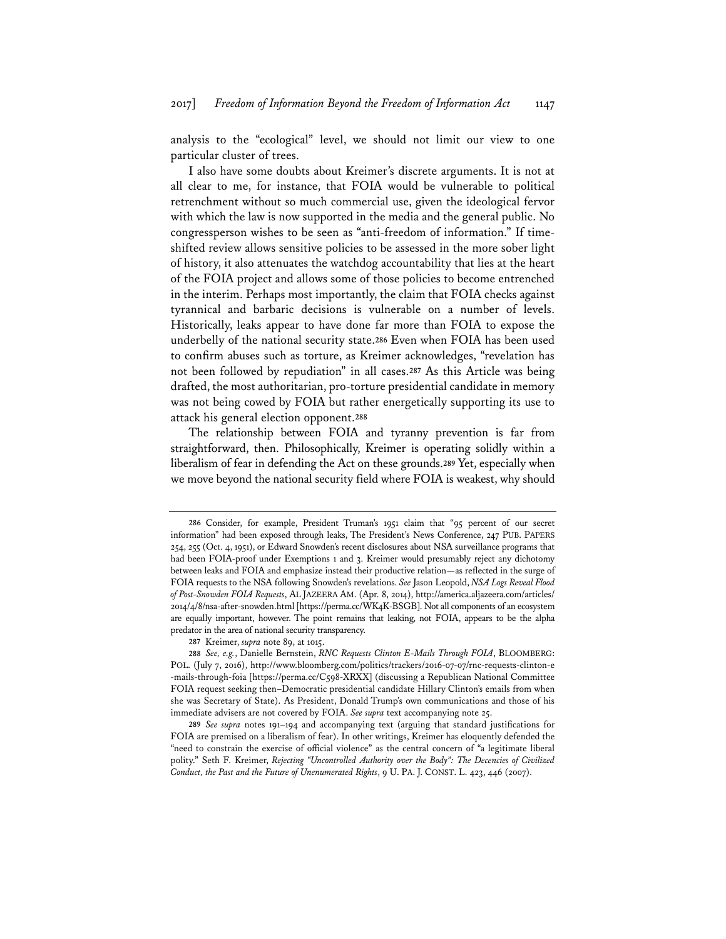analysis to the "ecological" level, we should not limit our view to one particular cluster of trees.

I also have some doubts about Kreimer's discrete arguments. It is not at all clear to me, for instance, that FOIA would be vulnerable to political retrenchment without so much commercial use, given the ideological fervor with which the law is now supported in the media and the general public. No congressperson wishes to be seen as "anti-freedom of information." If timeshifted review allows sensitive policies to be assessed in the more sober light of history, it also attenuates the watchdog accountability that lies at the heart of the FOIA project and allows some of those policies to become entrenched in the interim. Perhaps most importantly, the claim that FOIA checks against tyrannical and barbaric decisions is vulnerable on a number of levels. Historically, leaks appear to have done far more than FOIA to expose the underbelly of the national security state.**<sup>286</sup>** Even when FOIA has been used to confirm abuses such as torture, as Kreimer acknowledges, "revelation has not been followed by repudiation" in all cases.**<sup>287</sup>** As this Article was being drafted, the most authoritarian, pro-torture presidential candidate in memory was not being cowed by FOIA but rather energetically supporting its use to attack his general election opponent.**<sup>288</sup>**

The relationship between FOIA and tyranny prevention is far from straightforward, then. Philosophically, Kreimer is operating solidly within a liberalism of fear in defending the Act on these grounds.**<sup>289</sup>** Yet, especially when we move beyond the national security field where FOIA is weakest, why should

**<sup>286</sup>** Consider, for example, President Truman's 1951 claim that "95 percent of our secret information" had been exposed through leaks, The President's News Conference, 247 PUB. PAPERS 254, 255 (Oct. 4, 1951), or Edward Snowden's recent disclosures about NSA surveillance programs that had been FOIA-proof under Exemptions 1 and 3. Kreimer would presumably reject any dichotomy between leaks and FOIA and emphasize instead their productive relation—as reflected in the surge of FOIA requests to the NSA following Snowden's revelations. *See* Jason Leopold, *NSA Logs Reveal Flood of Post-Snowden FOIA Requests*, AL JAZEERA AM. (Apr. 8, 2014), http://america.aljazeera.com/articles/ 2014/4/8/nsa-after-snowden.html [https://perma.cc/WK4K-BSGB]. Not all components of an ecosystem are equally important, however. The point remains that leaking, not FOIA, appears to be the alpha predator in the area of national security transparency.

**<sup>287</sup>** Kreimer, *supra* note 89, at 1015.

**<sup>288</sup>** *See, e.g.*, Danielle Bernstein, *RNC Requests Clinton E-Mails Through FOIA*, BLOOMBERG: POL. (July 7, 2016), http://www.bloomberg.com/politics/trackers/2016-07-07/rnc-requests-clinton-e -mails-through-foia [https://perma.cc/C598-XRXX] (discussing a Republican National Committee FOIA request seeking then–Democratic presidential candidate Hillary Clinton's emails from when she was Secretary of State). As President, Donald Trump's own communications and those of his immediate advisers are not covered by FOIA. *See supra* text accompanying note 25.

**<sup>289</sup>** *See supra* notes 191–194 and accompanying text (arguing that standard justifications for FOIA are premised on a liberalism of fear). In other writings, Kreimer has eloquently defended the "need to constrain the exercise of official violence" as the central concern of "a legitimate liberal polity." Seth F. Kreimer, *Rejecting "Uncontrolled Authority over the Body": The Decencies of Civilized Conduct, the Past and the Future of Unenumerated Rights*, 9 U. PA. J. CONST. L. 423, 446 (2007).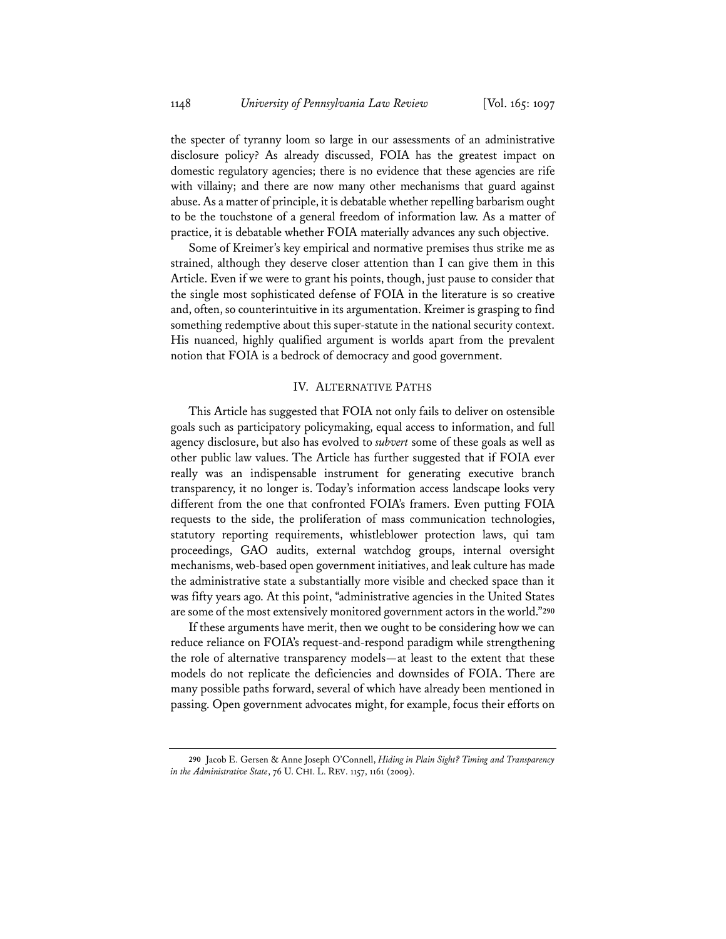the specter of tyranny loom so large in our assessments of an administrative disclosure policy? As already discussed, FOIA has the greatest impact on domestic regulatory agencies; there is no evidence that these agencies are rife with villainy; and there are now many other mechanisms that guard against abuse. As a matter of principle, it is debatable whether repelling barbarism ought to be the touchstone of a general freedom of information law. As a matter of practice, it is debatable whether FOIA materially advances any such objective.

Some of Kreimer's key empirical and normative premises thus strike me as strained, although they deserve closer attention than I can give them in this Article. Even if we were to grant his points, though, just pause to consider that the single most sophisticated defense of FOIA in the literature is so creative and, often, so counterintuitive in its argumentation. Kreimer is grasping to find something redemptive about this super-statute in the national security context. His nuanced, highly qualified argument is worlds apart from the prevalent notion that FOIA is a bedrock of democracy and good government.

# IV. ALTERNATIVE PATHS

This Article has suggested that FOIA not only fails to deliver on ostensible goals such as participatory policymaking, equal access to information, and full agency disclosure, but also has evolved to *subvert* some of these goals as well as other public law values. The Article has further suggested that if FOIA ever really was an indispensable instrument for generating executive branch transparency, it no longer is. Today's information access landscape looks very different from the one that confronted FOIA's framers. Even putting FOIA requests to the side, the proliferation of mass communication technologies, statutory reporting requirements, whistleblower protection laws, qui tam proceedings, GAO audits, external watchdog groups, internal oversight mechanisms, web-based open government initiatives, and leak culture has made the administrative state a substantially more visible and checked space than it was fifty years ago. At this point, "administrative agencies in the United States are some of the most extensively monitored government actors in the world."**<sup>290</sup>**

If these arguments have merit, then we ought to be considering how we can reduce reliance on FOIA's request-and-respond paradigm while strengthening the role of alternative transparency models—at least to the extent that these models do not replicate the deficiencies and downsides of FOIA. There are many possible paths forward, several of which have already been mentioned in passing. Open government advocates might, for example, focus their efforts on

**<sup>290</sup>** Jacob E. Gersen & Anne Joseph O'Connell, *Hiding in Plain Sight? Timing and Transparency in the Administrative State*, 76 U. CHI. L. REV. 1157, 1161 (2009).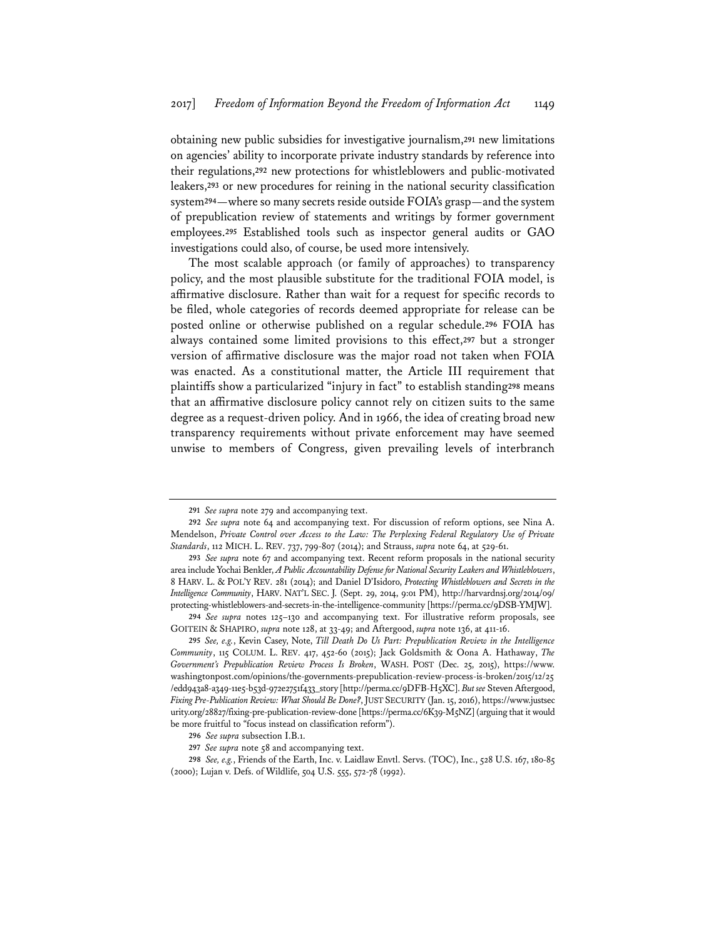obtaining new public subsidies for investigative journalism,**<sup>291</sup>** new limitations on agencies' ability to incorporate private industry standards by reference into their regulations,**<sup>292</sup>** new protections for whistleblowers and public-motivated leakers,**<sup>293</sup>** or new procedures for reining in the national security classification system**<sup>294</sup>**—where so many secrets reside outside FOIA's grasp—and the system of prepublication review of statements and writings by former government employees.**<sup>295</sup>** Established tools such as inspector general audits or GAO investigations could also, of course, be used more intensively.

The most scalable approach (or family of approaches) to transparency policy, and the most plausible substitute for the traditional FOIA model, is affirmative disclosure. Rather than wait for a request for specific records to be filed, whole categories of records deemed appropriate for release can be posted online or otherwise published on a regular schedule.**<sup>296</sup>** FOIA has always contained some limited provisions to this effect,**<sup>297</sup>** but a stronger version of affirmative disclosure was the major road not taken when FOIA was enacted. As a constitutional matter, the Article III requirement that plaintiffs show a particularized "injury in fact" to establish standing**<sup>298</sup>** means that an affirmative disclosure policy cannot rely on citizen suits to the same degree as a request-driven policy. And in 1966, the idea of creating broad new transparency requirements without private enforcement may have seemed unwise to members of Congress, given prevailing levels of interbranch

**<sup>291</sup>** *See supra* note 279 and accompanying text.

**<sup>292</sup>** *See supra* note 64 and accompanying text. For discussion of reform options, see Nina A. Mendelson, *Private Control over Access to the Law: The Perplexing Federal Regulatory Use of Private Standards*, 112 MICH. L. REV. 737, 799-807 (2014); and Strauss, *supra* note 64, at 529-61.

**<sup>293</sup>** *See supra* note 67 and accompanying text. Recent reform proposals in the national security area include Yochai Benkler, *A Public Accountability Defense for National Security Leakers and Whistleblowers*, 8 HARV. L. & POL'Y REV. 281 (2014); and Daniel D'Isidoro, *Protecting Whistleblowers and Secrets in the Intelligence Community*, HARV. NAT'L SEC. J. (Sept. 29, 2014, 9:01 PM), http://harvardnsj.org/2014/09/ protecting-whistleblowers-and-secrets-in-the-intelligence-community [https://perma.cc/9DSB-YMJW].

**<sup>294</sup>** *See supra* notes 125–130 and accompanying text. For illustrative reform proposals, see GOITEIN & SHAPIRO, *supra* note 128, at 33-49; and Aftergood, *supra* note 136, at 411-16.

**<sup>295</sup>** *See, e.g.*, Kevin Casey, Note, *Till Death Do Us Part: Prepublication Review in the Intelligence Community*, 115 COLUM. L. REV. 417, 452-60 (2015); Jack Goldsmith & Oona A. Hathaway, *The Government's Prepublication Review Process Is Broken*, WASH. POST (Dec. 25, 2015), https://www. washingtonpost.com/opinions/the-governments-prepublication-review-process-is-broken/2015/12/25 /edd943a8-a349-11e5-b53d-972e2751f433\_story [http://perma.cc/9DFB-H5XC]. *But see* Steven Aftergood, *Fixing Pre-Publication Review: What Should Be Done?*, JUST SECURITY (Jan. 15, 2016), https://www.justsec urity.org/28827/fixing-pre-publication-review-done [https://perma.cc/6K39-M5NZ] (arguing that it would be more fruitful to "focus instead on classification reform").

**<sup>296</sup>** *See supra* subsection I.B.1.

**<sup>297</sup>** *See supra* note 58 and accompanying text.

**<sup>298</sup>** *See, e.g.*, Friends of the Earth, Inc. v. Laidlaw Envtl. Servs. (TOC), Inc., 528 U.S. 167, 180-85 (2000); Lujan v. Defs. of Wildlife, 504 U.S. 555, 572-78 (1992).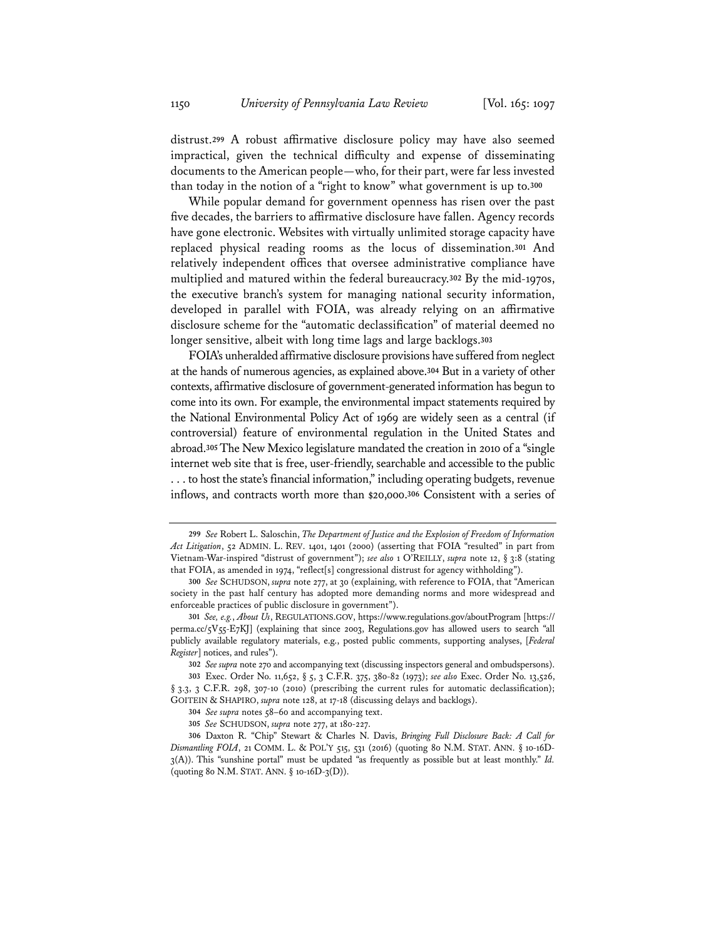distrust.**<sup>299</sup>** A robust affirmative disclosure policy may have also seemed impractical, given the technical difficulty and expense of disseminating documents to the American people—who, for their part, were far less invested than today in the notion of a "right to know" what government is up to.**<sup>300</sup>**

While popular demand for government openness has risen over the past five decades, the barriers to affirmative disclosure have fallen. Agency records have gone electronic. Websites with virtually unlimited storage capacity have replaced physical reading rooms as the locus of dissemination.**<sup>301</sup>** And relatively independent offices that oversee administrative compliance have multiplied and matured within the federal bureaucracy.**<sup>302</sup>** By the mid-1970s, the executive branch's system for managing national security information, developed in parallel with FOIA, was already relying on an affirmative disclosure scheme for the "automatic declassification" of material deemed no longer sensitive, albeit with long time lags and large backlogs.**<sup>303</sup>**

FOIA's unheralded affirmative disclosure provisions have suffered from neglect at the hands of numerous agencies, as explained above.**<sup>304</sup>** But in a variety of other contexts, affirmative disclosure of government-generated information has begun to come into its own. For example, the environmental impact statements required by the National Environmental Policy Act of 1969 are widely seen as a central (if controversial) feature of environmental regulation in the United States and abroad.**<sup>305</sup>** The New Mexico legislature mandated the creation in 2010 of a "single internet web site that is free, user-friendly, searchable and accessible to the public . . . to host the state's financial information," including operating budgets, revenue inflows, and contracts worth more than \$20,000.**<sup>306</sup>** Consistent with a series of

**<sup>299</sup>** *See* Robert L. Saloschin, *The Department of Justice and the Explosion of Freedom of Information Act Litigation*, 52 ADMIN. L. REV. 1401, 1401 (2000) (asserting that FOIA "resulted" in part from Vietnam-War-inspired "distrust of government"); *see also* 1 O'REILLY, *supra* note 12, § 3:8 (stating that FOIA, as amended in 1974, "reflect[s] congressional distrust for agency withholding").

**<sup>300</sup>** *See* SCHUDSON, *supra* note 277, at 30 (explaining, with reference to FOIA, that "American society in the past half century has adopted more demanding norms and more widespread and enforceable practices of public disclosure in government").

**<sup>301</sup>** *See, e.g.*, *About Us*, REGULATIONS.GOV, https://www.regulations.gov/aboutProgram [https:// perma.cc/5V55-E7KJ] (explaining that since 2003, Regulations.gov has allowed users to search "all publicly available regulatory materials, e.g., posted public comments, supporting analyses, [*Federal Register*] notices, and rules").

**<sup>302</sup>** *See supra* note 270 and accompanying text (discussing inspectors general and ombudspersons).

**<sup>303</sup>** Exec. Order No. 11,652, § 5, 3 C.F.R. 375, 380-82 (1973); *see also* Exec. Order No. 13,526, § 3.3, 3 C.F.R. 298, 307-10 (2010) (prescribing the current rules for automatic declassification); GOITEIN & SHAPIRO, *supra* note 128, at 17-18 (discussing delays and backlogs).

**<sup>304</sup>** *See supra* notes 58–60 and accompanying text.

**<sup>305</sup>** *See* SCHUDSON, *supra* note 277, at 180-227.

**<sup>306</sup>** Daxton R. "Chip" Stewart & Charles N. Davis, *Bringing Full Disclosure Back: A Call for Dismantling FOIA*, 21 COMM. L. & POL'Y 515, 531 (2016) (quoting 80 N.M. STAT. ANN. § 10-16D-3(A)). This "sunshine portal" must be updated "as frequently as possible but at least monthly." *Id.* (quoting 80 N.M. STAT. ANN. § 10-16D-3(D)).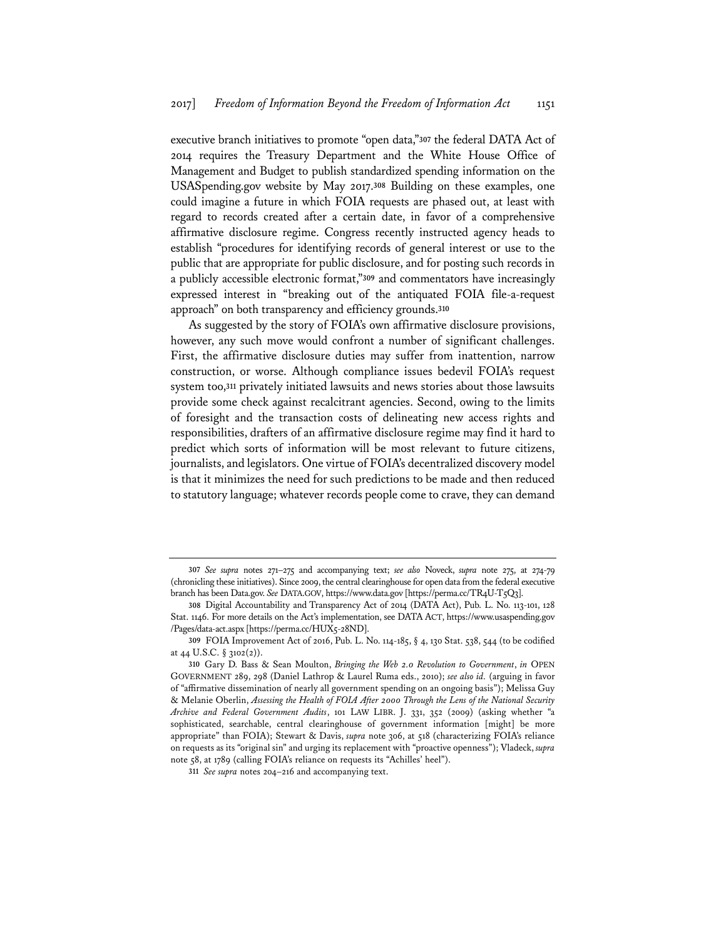executive branch initiatives to promote "open data,"**<sup>307</sup>** the federal DATA Act of 2014 requires the Treasury Department and the White House Office of Management and Budget to publish standardized spending information on the USASpending.gov website by May 2017.**<sup>308</sup>** Building on these examples, one could imagine a future in which FOIA requests are phased out, at least with regard to records created after a certain date, in favor of a comprehensive affirmative disclosure regime. Congress recently instructed agency heads to establish "procedures for identifying records of general interest or use to the public that are appropriate for public disclosure, and for posting such records in a publicly accessible electronic format,"**<sup>309</sup>** and commentators have increasingly expressed interest in "breaking out of the antiquated FOIA file-a-request approach" on both transparency and efficiency grounds.**<sup>310</sup>**

As suggested by the story of FOIA's own affirmative disclosure provisions, however, any such move would confront a number of significant challenges. First, the affirmative disclosure duties may suffer from inattention, narrow construction, or worse. Although compliance issues bedevil FOIA's request system too,**<sup>311</sup>** privately initiated lawsuits and news stories about those lawsuits provide some check against recalcitrant agencies. Second, owing to the limits of foresight and the transaction costs of delineating new access rights and responsibilities, drafters of an affirmative disclosure regime may find it hard to predict which sorts of information will be most relevant to future citizens, journalists, and legislators. One virtue of FOIA's decentralized discovery model is that it minimizes the need for such predictions to be made and then reduced to statutory language; whatever records people come to crave, they can demand

**<sup>307</sup>** *See supra* notes 271–275 and accompanying text; *see also* Noveck, *supra* note 275, at 274-79 (chronicling these initiatives). Since 2009, the central clearinghouse for open data from the federal executive branch has been Data.gov. *See* DATA.GOV, https://www.data.gov [https://perma.cc/TR4U-T5Q3].

**<sup>308</sup>** Digital Accountability and Transparency Act of 2014 (DATA Act), Pub. L. No. 113-101, 128 Stat. 1146. For more details on the Act's implementation, see DATA ACT, https://www.usaspending.gov /Pages/data-act.aspx [https://perma.cc/HUX5-28ND].

**<sup>309</sup>** FOIA Improvement Act of 2016, Pub. L. No. 114-185, § 4, 130 Stat. 538, 544 (to be codified at 44 U.S.C. § 3102(2)).

**<sup>310</sup>** Gary D. Bass & Sean Moulton, *Bringing the Web 2.0 Revolution to Government*, *in* OPEN GOVERNMENT 289, 298 (Daniel Lathrop & Laurel Ruma eds., 2010); *see also id.* (arguing in favor of "affirmative dissemination of nearly all government spending on an ongoing basis"); Melissa Guy & Melanie Oberlin, *Assessing the Health of FOIA After 2000 Through the Lens of the National Security Archive and Federal Government Audits*, 101 LAW LIBR. J. 331, 352 (2009) (asking whether "a sophisticated, searchable, central clearinghouse of government information [might] be more appropriate" than FOIA); Stewart & Davis, *supra* note 306, at 518 (characterizing FOIA's reliance on requests as its "original sin" and urging its replacement with "proactive openness"); Vladeck, *supra* note 58, at 1789 (calling FOIA's reliance on requests its "Achilles' heel").

**<sup>311</sup>** *See supra* notes 204–216 and accompanying text.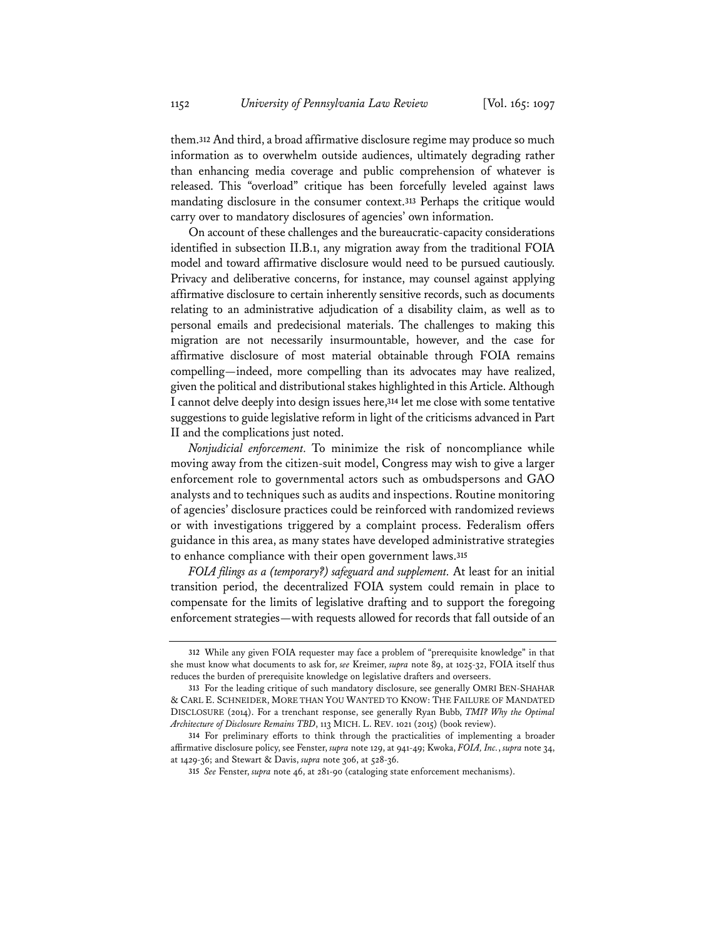them.**<sup>312</sup>** And third, a broad affirmative disclosure regime may produce so much information as to overwhelm outside audiences, ultimately degrading rather than enhancing media coverage and public comprehension of whatever is released. This "overload" critique has been forcefully leveled against laws mandating disclosure in the consumer context.**<sup>313</sup>** Perhaps the critique would carry over to mandatory disclosures of agencies' own information.

On account of these challenges and the bureaucratic-capacity considerations identified in subsection II.B.1, any migration away from the traditional FOIA model and toward affirmative disclosure would need to be pursued cautiously. Privacy and deliberative concerns, for instance, may counsel against applying affirmative disclosure to certain inherently sensitive records, such as documents relating to an administrative adjudication of a disability claim, as well as to personal emails and predecisional materials. The challenges to making this migration are not necessarily insurmountable, however, and the case for affirmative disclosure of most material obtainable through FOIA remains compelling—indeed, more compelling than its advocates may have realized, given the political and distributional stakes highlighted in this Article. Although I cannot delve deeply into design issues here,**<sup>314</sup>** let me close with some tentative suggestions to guide legislative reform in light of the criticisms advanced in Part II and the complications just noted.

*Nonjudicial enforcement.* To minimize the risk of noncompliance while moving away from the citizen-suit model, Congress may wish to give a larger enforcement role to governmental actors such as ombudspersons and GAO analysts and to techniques such as audits and inspections. Routine monitoring of agencies' disclosure practices could be reinforced with randomized reviews or with investigations triggered by a complaint process. Federalism offers guidance in this area, as many states have developed administrative strategies to enhance compliance with their open government laws.**<sup>315</sup>**

*FOIA filings as a (temporary?) safeguard and supplement.* At least for an initial transition period, the decentralized FOIA system could remain in place to compensate for the limits of legislative drafting and to support the foregoing enforcement strategies—with requests allowed for records that fall outside of an

**<sup>312</sup>** While any given FOIA requester may face a problem of "prerequisite knowledge" in that she must know what documents to ask for, *see* Kreimer, *supra* note 89, at 1025-32, FOIA itself thus reduces the burden of prerequisite knowledge on legislative drafters and overseers.

**<sup>313</sup>** For the leading critique of such mandatory disclosure, see generally OMRI BEN-SHAHAR & CARL E. SCHNEIDER, MORE THAN YOU WANTED TO KNOW: THE FAILURE OF MANDATED DISCLOSURE (2014). For a trenchant response, see generally Ryan Bubb, *TMI? Why the Optimal Architecture of Disclosure Remains TBD*, 113 MICH. L. REV. 1021 (2015) (book review).

**<sup>314</sup>** For preliminary efforts to think through the practicalities of implementing a broader affirmative disclosure policy, see Fenster, *supra* note 129, at 941-49; Kwoka, *FOIA, Inc.*, *supra* note 34, at 1429-36; and Stewart & Davis, *supra* note 306, at 528-36.

**<sup>315</sup>** *See* Fenster, *supra* note 46, at 281-90 (cataloging state enforcement mechanisms).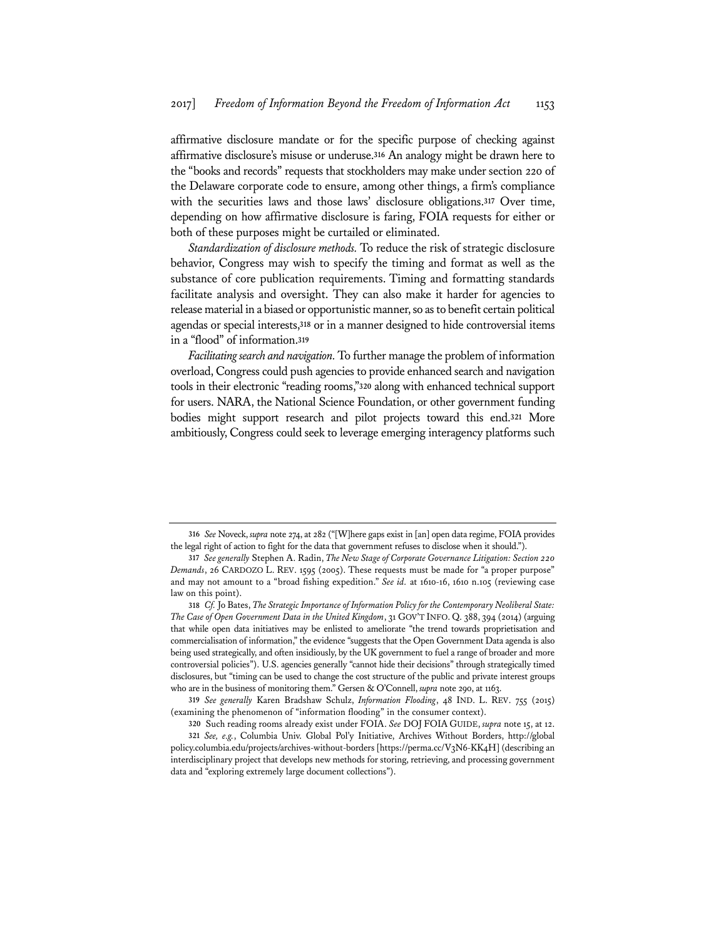affirmative disclosure mandate or for the specific purpose of checking against affirmative disclosure's misuse or underuse.**<sup>316</sup>** An analogy might be drawn here to the "books and records" requests that stockholders may make under section 220 of the Delaware corporate code to ensure, among other things, a firm's compliance with the securities laws and those laws' disclosure obligations.**<sup>317</sup>** Over time, depending on how affirmative disclosure is faring, FOIA requests for either or both of these purposes might be curtailed or eliminated.

*Standardization of disclosure methods.* To reduce the risk of strategic disclosure behavior, Congress may wish to specify the timing and format as well as the substance of core publication requirements. Timing and formatting standards facilitate analysis and oversight. They can also make it harder for agencies to release material in a biased or opportunistic manner, so as to benefit certain political agendas or special interests,**<sup>318</sup>** or in a manner designed to hide controversial items in a "flood" of information.**<sup>319</sup>**

*Facilitating search and navigation.* To further manage the problem of information overload, Congress could push agencies to provide enhanced search and navigation tools in their electronic "reading rooms,"**<sup>320</sup>** along with enhanced technical support for users. NARA, the National Science Foundation, or other government funding bodies might support research and pilot projects toward this end.**<sup>321</sup>** More ambitiously, Congress could seek to leverage emerging interagency platforms such

**<sup>316</sup>** *See* Noveck, *supra* note 274, at 282 ("[W]here gaps exist in [an] open data regime, FOIA provides the legal right of action to fight for the data that government refuses to disclose when it should.").

**<sup>317</sup>** *See generally* Stephen A. Radin, *The New Stage of Corporate Governance Litigation: Section 220 Demands*, 26 CARDOZO L. REV. 1595 (2005). These requests must be made for "a proper purpose" and may not amount to a "broad fishing expedition." *See id.* at 1610-16, 1610 n.105 (reviewing case law on this point).

**<sup>318</sup>** *Cf.* Jo Bates, *The Strategic Importance of Information Policy for the Contemporary Neoliberal State: The Case of Open Government Data in the United Kingdom*, 31 GOV'T INFO. Q. 388, 394 (2014) (arguing that while open data initiatives may be enlisted to ameliorate "the trend towards proprietisation and commercialisation of information," the evidence "suggests that the Open Government Data agenda is also being used strategically, and often insidiously, by the UK government to fuel a range of broader and more controversial policies"). U.S. agencies generally "cannot hide their decisions" through strategically timed disclosures, but "timing can be used to change the cost structure of the public and private interest groups who are in the business of monitoring them." Gersen & O'Connell, *supra* note 290, at 1163.

**<sup>319</sup>** *See generally* Karen Bradshaw Schulz, *Information Flooding*, 48 IND. L. REV. 755 (2015) (examining the phenomenon of "information flooding" in the consumer context).

**<sup>320</sup>** Such reading rooms already exist under FOIA. *See* DOJ FOIA GUIDE, *supra* note 15, at 12.

**<sup>321</sup>** *See, e.g.*, Columbia Univ. Global Pol'y Initiative, Archives Without Borders, http://global policy.columbia.edu/projects/archives-without-borders [https://perma.cc/V3N6-KK4H] (describing an interdisciplinary project that develops new methods for storing, retrieving, and processing government data and "exploring extremely large document collections").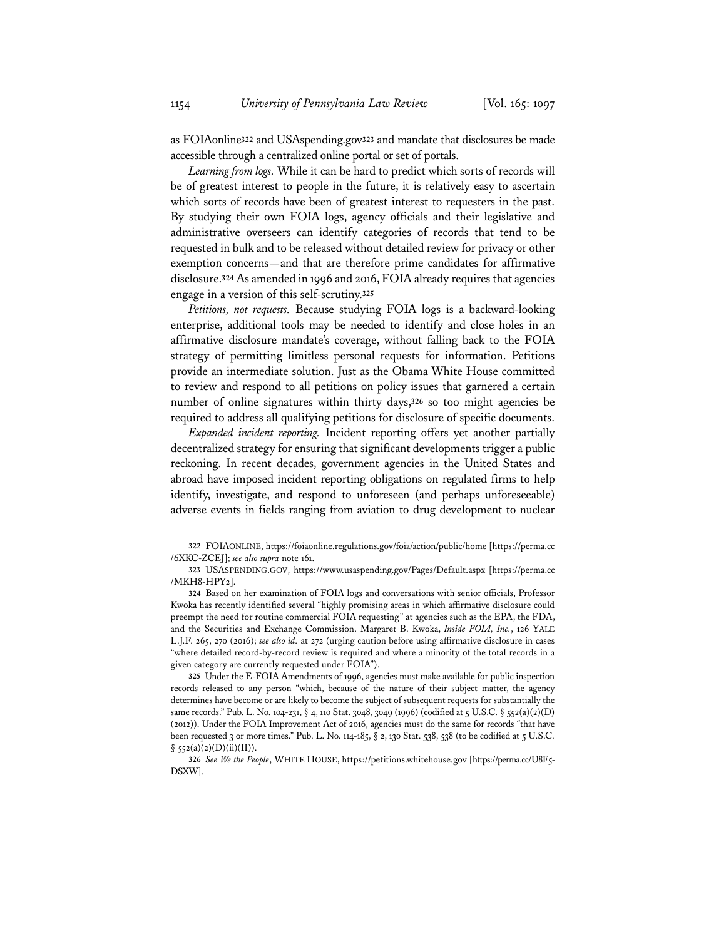as FOIAonline**<sup>322</sup>** and USAspending.gov**<sup>323</sup>** and mandate that disclosures be made accessible through a centralized online portal or set of portals.

*Learning from logs.* While it can be hard to predict which sorts of records will be of greatest interest to people in the future, it is relatively easy to ascertain which sorts of records have been of greatest interest to requesters in the past. By studying their own FOIA logs, agency officials and their legislative and administrative overseers can identify categories of records that tend to be requested in bulk and to be released without detailed review for privacy or other exemption concerns—and that are therefore prime candidates for affirmative disclosure.**<sup>324</sup>** As amended in 1996 and 2016, FOIA already requires that agencies engage in a version of this self-scrutiny.**<sup>325</sup>**

*Petitions, not requests.* Because studying FOIA logs is a backward-looking enterprise, additional tools may be needed to identify and close holes in an affirmative disclosure mandate's coverage, without falling back to the FOIA strategy of permitting limitless personal requests for information. Petitions provide an intermediate solution. Just as the Obama White House committed to review and respond to all petitions on policy issues that garnered a certain number of online signatures within thirty days,**<sup>326</sup>** so too might agencies be required to address all qualifying petitions for disclosure of specific documents.

*Expanded incident reporting.* Incident reporting offers yet another partially decentralized strategy for ensuring that significant developments trigger a public reckoning. In recent decades, government agencies in the United States and abroad have imposed incident reporting obligations on regulated firms to help identify, investigate, and respond to unforeseen (and perhaps unforeseeable) adverse events in fields ranging from aviation to drug development to nuclear

**<sup>322</sup>** FOIAONLINE, https://foiaonline.regulations.gov/foia/action/public/home [https://perma.cc /6XKC-ZCEJ]; *see also supra* note 161.

**<sup>323</sup>** USASPENDING.GOV, https://www.usaspending.gov/Pages/Default.aspx [https://perma.cc /MKH8-HPY2].

**<sup>324</sup>** Based on her examination of FOIA logs and conversations with senior officials, Professor Kwoka has recently identified several "highly promising areas in which affirmative disclosure could preempt the need for routine commercial FOIA requesting" at agencies such as the EPA, the FDA, and the Securities and Exchange Commission. Margaret B. Kwoka, *Inside FOIA, Inc.*, 126 YALE L.J.F. 265, 270 (2016); *see also id.* at 272 (urging caution before using affirmative disclosure in cases "where detailed record-by-record review is required and where a minority of the total records in a given category are currently requested under FOIA").

**<sup>325</sup>** Under the E-FOIA Amendments of 1996, agencies must make available for public inspection records released to any person "which, because of the nature of their subject matter, the agency determines have become or are likely to become the subject of subsequent requests for substantially the same records." Pub. L. No. 104-231, § 4, 110 Stat. 3048, 3049 (1996) (codified at 5 U.S.C. § 552(a)(2)(D) (2012)). Under the FOIA Improvement Act of 2016, agencies must do the same for records "that have been requested 3 or more times." Pub. L. No. 114-185, § 2, 130 Stat. 538, 538 (to be codified at 5 U.S.C.  $§$  552(a)(2)(D)(ii)(II)).

**<sup>326</sup>** *See We the People*, WHITE HOUSE, https://petitions.whitehouse.gov [https://perma.cc/U8F5- DSXW].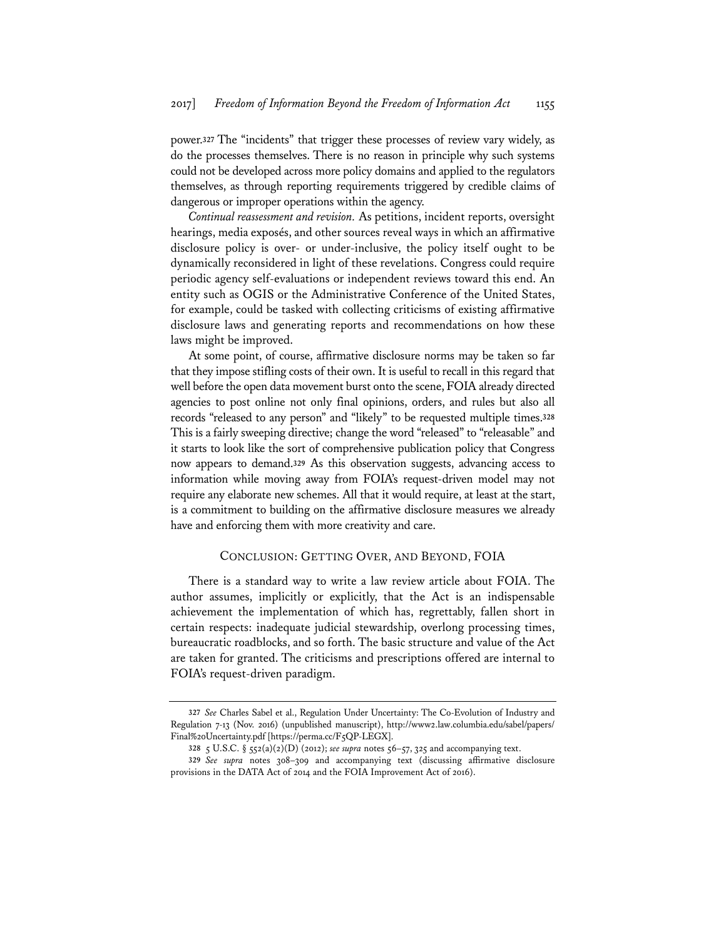power.**<sup>327</sup>** The "incidents" that trigger these processes of review vary widely, as do the processes themselves. There is no reason in principle why such systems could not be developed across more policy domains and applied to the regulators themselves, as through reporting requirements triggered by credible claims of dangerous or improper operations within the agency.

*Continual reassessment and revision.* As petitions, incident reports, oversight hearings, media exposés, and other sources reveal ways in which an affirmative disclosure policy is over- or under-inclusive, the policy itself ought to be dynamically reconsidered in light of these revelations. Congress could require periodic agency self-evaluations or independent reviews toward this end. An entity such as OGIS or the Administrative Conference of the United States, for example, could be tasked with collecting criticisms of existing affirmative disclosure laws and generating reports and recommendations on how these laws might be improved.

At some point, of course, affirmative disclosure norms may be taken so far that they impose stifling costs of their own. It is useful to recall in this regard that well before the open data movement burst onto the scene, FOIA already directed agencies to post online not only final opinions, orders, and rules but also all records "released to any person" and "likely" to be requested multiple times.**<sup>328</sup>** This is a fairly sweeping directive; change the word "released" to "releasable" and it starts to look like the sort of comprehensive publication policy that Congress now appears to demand.**<sup>329</sup>** As this observation suggests, advancing access to information while moving away from FOIA's request-driven model may not require any elaborate new schemes. All that it would require, at least at the start, is a commitment to building on the affirmative disclosure measures we already have and enforcing them with more creativity and care.

# CONCLUSION: GETTING OVER, AND BEYOND, FOIA

There is a standard way to write a law review article about FOIA. The author assumes, implicitly or explicitly, that the Act is an indispensable achievement the implementation of which has, regrettably, fallen short in certain respects: inadequate judicial stewardship, overlong processing times, bureaucratic roadblocks, and so forth. The basic structure and value of the Act are taken for granted. The criticisms and prescriptions offered are internal to FOIA's request-driven paradigm.

**<sup>327</sup>** *See* Charles Sabel et al., Regulation Under Uncertainty: The Co-Evolution of Industry and Regulation 7-13 (Nov. 2016) (unpublished manuscript), http://www2.law.columbia.edu/sabel/papers/ Final%20Uncertainty.pdf [https://perma.cc/F5QP-LEGX].

**<sup>328</sup>** 5 U.S.C. § 552(a)(2)(D) (2012); *see supra* notes 56–57, 325 and accompanying text.

**<sup>329</sup>** *See supra* notes 308–309 and accompanying text (discussing affirmative disclosure provisions in the DATA Act of 2014 and the FOIA Improvement Act of 2016).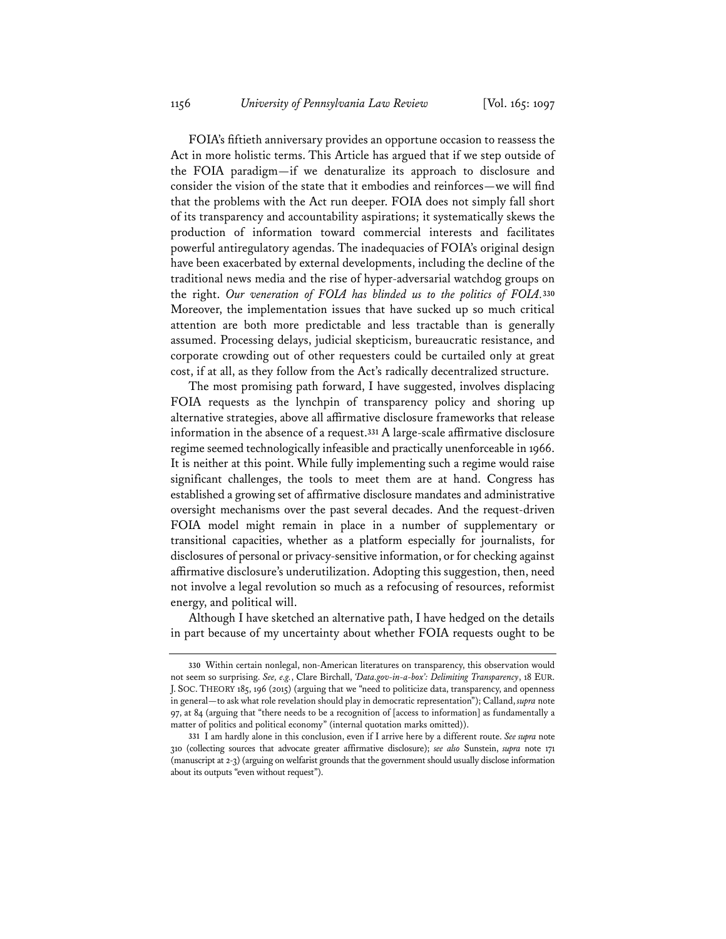FOIA's fiftieth anniversary provides an opportune occasion to reassess the Act in more holistic terms. This Article has argued that if we step outside of the FOIA paradigm—if we denaturalize its approach to disclosure and consider the vision of the state that it embodies and reinforces—we will find that the problems with the Act run deeper. FOIA does not simply fall short of its transparency and accountability aspirations; it systematically skews the production of information toward commercial interests and facilitates powerful antiregulatory agendas. The inadequacies of FOIA's original design have been exacerbated by external developments, including the decline of the traditional news media and the rise of hyper-adversarial watchdog groups on the right. *Our veneration of FOIA has blinded us to the politics of FOIA.***<sup>330</sup>** Moreover, the implementation issues that have sucked up so much critical attention are both more predictable and less tractable than is generally assumed. Processing delays, judicial skepticism, bureaucratic resistance, and corporate crowding out of other requesters could be curtailed only at great cost, if at all, as they follow from the Act's radically decentralized structure.

The most promising path forward, I have suggested, involves displacing FOIA requests as the lynchpin of transparency policy and shoring up alternative strategies, above all affirmative disclosure frameworks that release information in the absence of a request.**<sup>331</sup>** A large-scale affirmative disclosure regime seemed technologically infeasible and practically unenforceable in 1966. It is neither at this point. While fully implementing such a regime would raise significant challenges, the tools to meet them are at hand. Congress has established a growing set of affirmative disclosure mandates and administrative oversight mechanisms over the past several decades. And the request-driven FOIA model might remain in place in a number of supplementary or transitional capacities, whether as a platform especially for journalists, for disclosures of personal or privacy-sensitive information, or for checking against affirmative disclosure's underutilization. Adopting this suggestion, then, need not involve a legal revolution so much as a refocusing of resources, reformist energy, and political will.

Although I have sketched an alternative path, I have hedged on the details in part because of my uncertainty about whether FOIA requests ought to be

**<sup>330</sup>** Within certain nonlegal, non-American literatures on transparency, this observation would not seem so surprising. *See, e.g.*, Clare Birchall, *'Data.gov-in-a-box': Delimiting Transparency*, 18 EUR. J. SOC. THEORY 185, 196 (2015) (arguing that we "need to politicize data, transparency, and openness in general—to ask what role revelation should play in democratic representation"); Calland, *supra* note 97, at 84 (arguing that "there needs to be a recognition of [access to information] as fundamentally a matter of politics and political economy" (internal quotation marks omitted)).

**<sup>331</sup>** I am hardly alone in this conclusion, even if I arrive here by a different route. *See supra* note 310 (collecting sources that advocate greater affirmative disclosure); *see also* Sunstein, *supra* note 171 (manuscript at 2-3) (arguing on welfarist grounds that the government should usually disclose information about its outputs "even without request").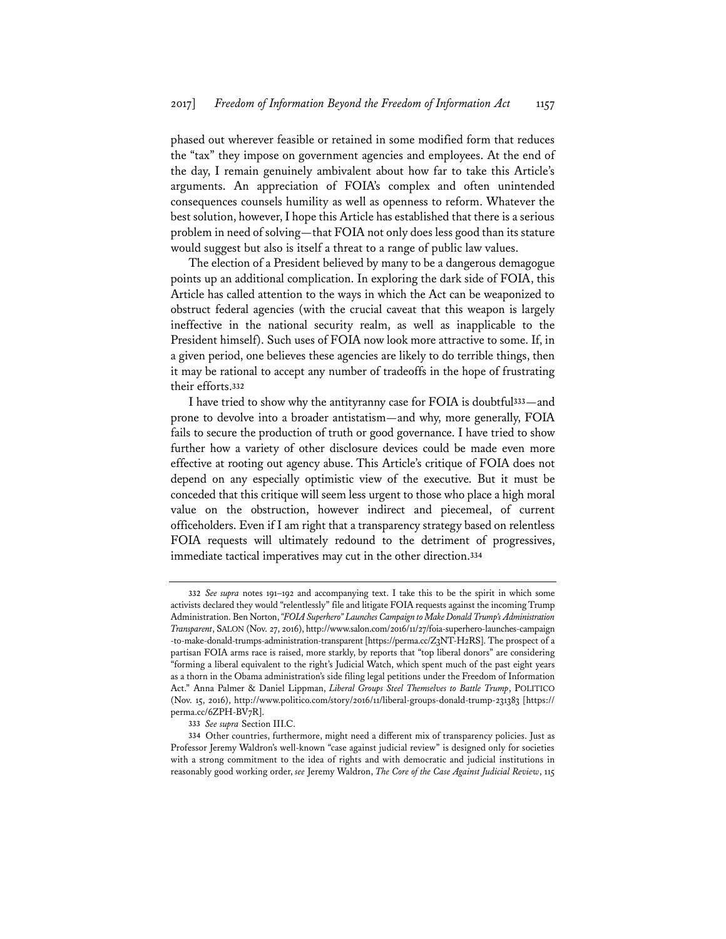phased out wherever feasible or retained in some modified form that reduces the "tax" they impose on government agencies and employees. At the end of the day, I remain genuinely ambivalent about how far to take this Article's arguments. An appreciation of FOIA's complex and often unintended consequences counsels humility as well as openness to reform. Whatever the best solution, however, I hope this Article has established that there is a serious problem in need of solving—that FOIA not only does less good than its stature would suggest but also is itself a threat to a range of public law values.

The election of a President believed by many to be a dangerous demagogue points up an additional complication. In exploring the dark side of FOIA, this Article has called attention to the ways in which the Act can be weaponized to obstruct federal agencies (with the crucial caveat that this weapon is largely ineffective in the national security realm, as well as inapplicable to the President himself). Such uses of FOIA now look more attractive to some. If, in a given period, one believes these agencies are likely to do terrible things, then it may be rational to accept any number of tradeoffs in the hope of frustrating their efforts.**<sup>332</sup>**

I have tried to show why the antityranny case for FOIA is doubtful**<sup>333</sup>**—and prone to devolve into a broader antistatism—and why, more generally, FOIA fails to secure the production of truth or good governance. I have tried to show further how a variety of other disclosure devices could be made even more effective at rooting out agency abuse. This Article's critique of FOIA does not depend on any especially optimistic view of the executive. But it must be conceded that this critique will seem less urgent to those who place a high moral value on the obstruction, however indirect and piecemeal, of current officeholders. Even if I am right that a transparency strategy based on relentless FOIA requests will ultimately redound to the detriment of progressives, immediate tactical imperatives may cut in the other direction.**<sup>334</sup>**

**<sup>332</sup>** *See supra* notes 191–192 and accompanying text. I take this to be the spirit in which some activists declared they would "relentlessly" file and litigate FOIA requests against the incoming Trump Administration. Ben Norton, *"FOIA Superhero" Launches Campaign to Make Donald Trump's Administration Transparent*, SALON (Nov. 27, 2016), http://www.salon.com/2016/11/27/foia-superhero-launches-campaign -to-make-donald-trumps-administration-transparent [https://perma.cc/Z3NT-H2RS]. The prospect of a partisan FOIA arms race is raised, more starkly, by reports that "top liberal donors" are considering "forming a liberal equivalent to the right's Judicial Watch, which spent much of the past eight years as a thorn in the Obama administration's side filing legal petitions under the Freedom of Information Act." Anna Palmer & Daniel Lippman, *Liberal Groups Steel Themselves to Battle Trump*, POLITICO (Nov. 15, 2016), http://www.politico.com/story/2016/11/liberal-groups-donald-trump-231383 [https:// perma.cc/6ZPH-BV7R].

**<sup>333</sup>** *See supra* Section III.C.

**<sup>334</sup>** Other countries, furthermore, might need a different mix of transparency policies. Just as Professor Jeremy Waldron's well-known "case against judicial review" is designed only for societies with a strong commitment to the idea of rights and with democratic and judicial institutions in reasonably good working order, *see* Jeremy Waldron, *The Core of the Case Against Judicial Review*, 115